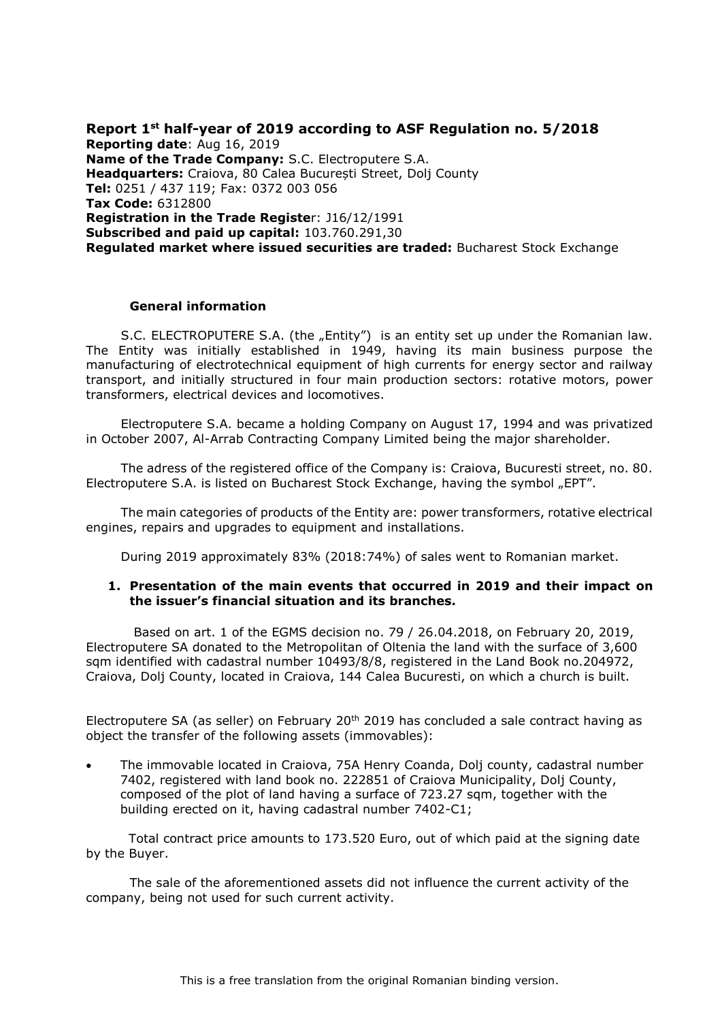**Report 1 st half-year of 2019 according to ASF Regulation no. 5/2018 Reporting date**: Aug 16, 2019 **Name of the Trade Company:** S.C. Electroputere S.A. **Headquarters:** Craiova, 80 Calea București Street, Dolj County **Tel:** 0251 / 437 119; Fax: 0372 003 056 **Tax Code:** 6312800 **Registration in the Trade Registe**r: J16/12/1991 **Subscribed and paid up capital:** 103.760.291,30 **Regulated market where issued securities are traded:** Bucharest Stock Exchange

#### **General information**

S.C. ELECTROPUTERE S.A. (the "Entity") is an entity set up under the Romanian law. The Entity was initially established in 1949, having its main business purpose the manufacturing of electrotechnical equipment of high currents for energy sector and railway transport, and initially structured in four main production sectors: rotative motors, power transformers, electrical devices and locomotives.

Electroputere S.A. became a holding Company on August 17, 1994 and was privatized in October 2007, Al-Arrab Contracting Company Limited being the major shareholder.

The adress of the registered office of the Company is: Craiova, Bucuresti street, no. 80. Electroputere S.A. is listed on Bucharest Stock Exchange, having the symbol "EPT".

The main categories of products of the Entity are: power transformers, rotative electrical engines, repairs and upgrades to equipment and installations.

During 2019 approximately 83% (2018:74%) of sales went to Romanian market.

#### **1. Presentation of the main events that occurred in 2019 and their impact on the issuer's financial situation and its branches.**

Based on art. 1 of the EGMS decision no. 79 / 26.04.2018, on February 20, 2019, Electroputere SA donated to the Metropolitan of Oltenia the land with the surface of 3,600 sqm identified with cadastral number 10493/8/8, registered in the Land Book no.204972, Craiova, Dolj County, located in Craiova, 144 Calea Bucuresti, on which a church is built.

Electroputere SA (as seller) on February  $20<sup>th</sup> 2019$  has concluded a sale contract having as object the transfer of the following assets (immovables):

 The immovable located in Craiova, 75A Henry Coanda, Dolj county, cadastral number 7402, registered with land book no. 222851 of Craiova Municipality, Dolj County, composed of the plot of land having a surface of 723.27 sqm, together with the building erected on it, having cadastral number 7402-C1;

 Total contract price amounts to 173.520 Euro, out of which paid at the signing date by the Buyer.

The sale of the aforementioned assets did not influence the current activity of the company, being not used for such current activity.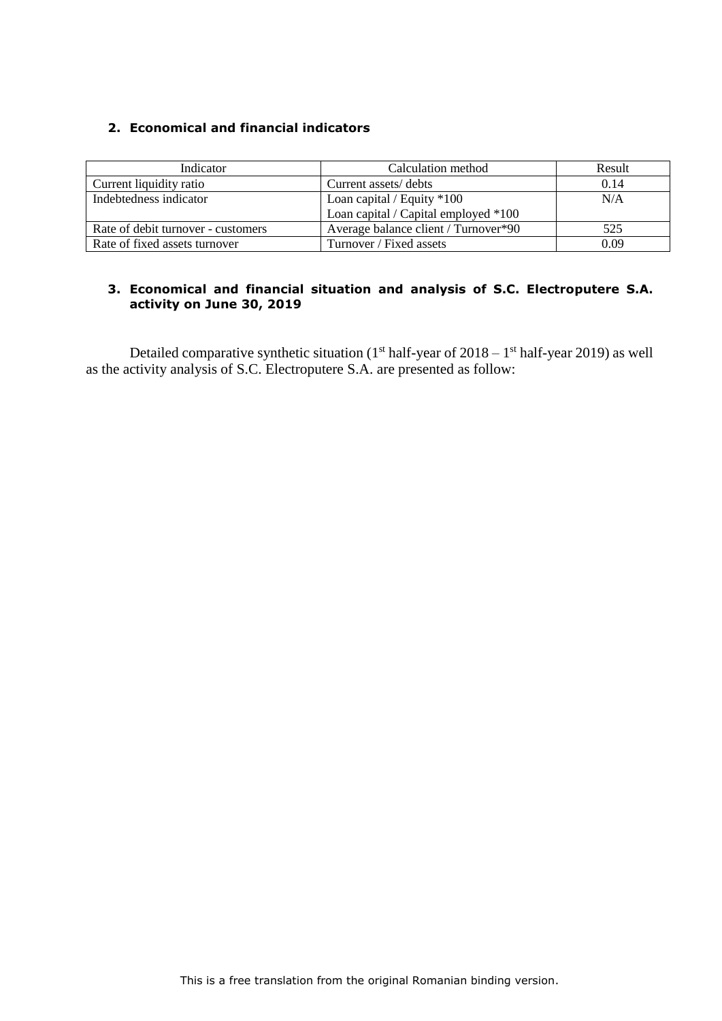# **2. Economical and financial indicators**

| Indicator                          | Calculation method                   | Result |
|------------------------------------|--------------------------------------|--------|
| Current liquidity ratio            | Current assets/debts                 | 0.14   |
| Indebtedness indicator             | Loan capital / Equity $*100$         | N/A    |
|                                    | Loan capital / Capital employed *100 |        |
| Rate of debit turnover - customers | Average balance client / Turnover*90 | 525    |
| Rate of fixed assets turnover      | Turnover / Fixed assets              | 0.09   |

# **3. Economical and financial situation and analysis of S.C. Electroputere S.A. activity on June 30, 2019**

Detailed comparative synthetic situation  $(1<sup>st</sup> half-year of 2018 - 1<sup>st</sup> half-year 2019)$  as well as the activity analysis of S.C. Electroputere S.A. are presented as follow: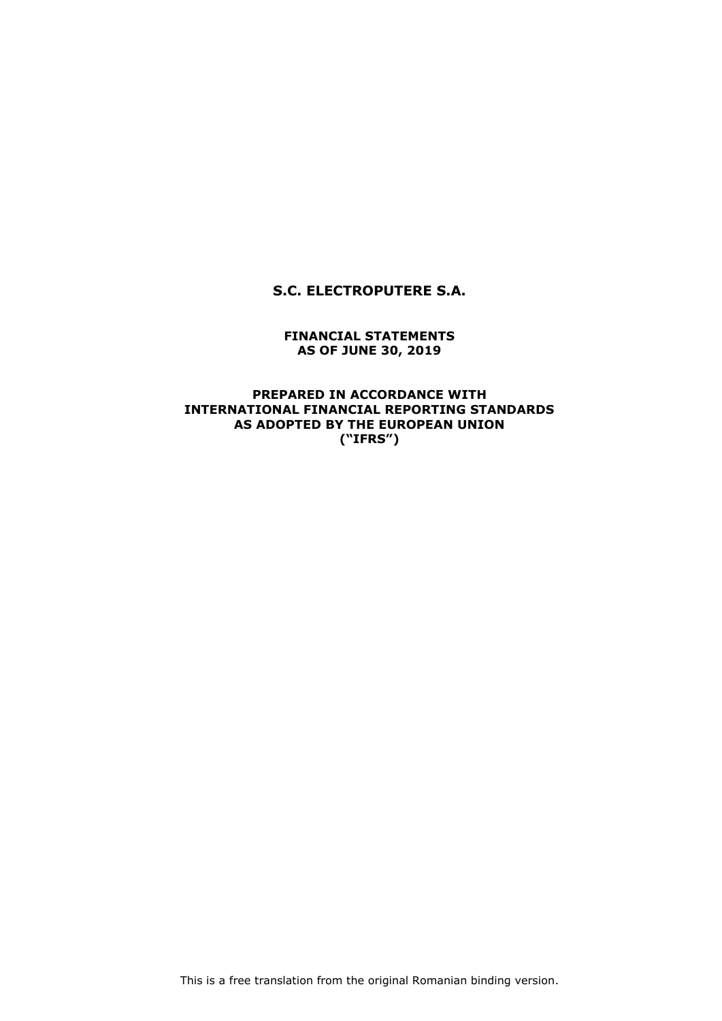# **S.C. ELECTROPUTERE S.A.**

### **FINANCIAL STATEMENTS AS OF JUNE 30, 2019**

### **PREPARED IN ACCORDANCE WITH INTERNATIONAL FINANCIAL REPORTING STANDARDS AS ADOPTED BY THE EUROPEAN UNION ("IFRS")**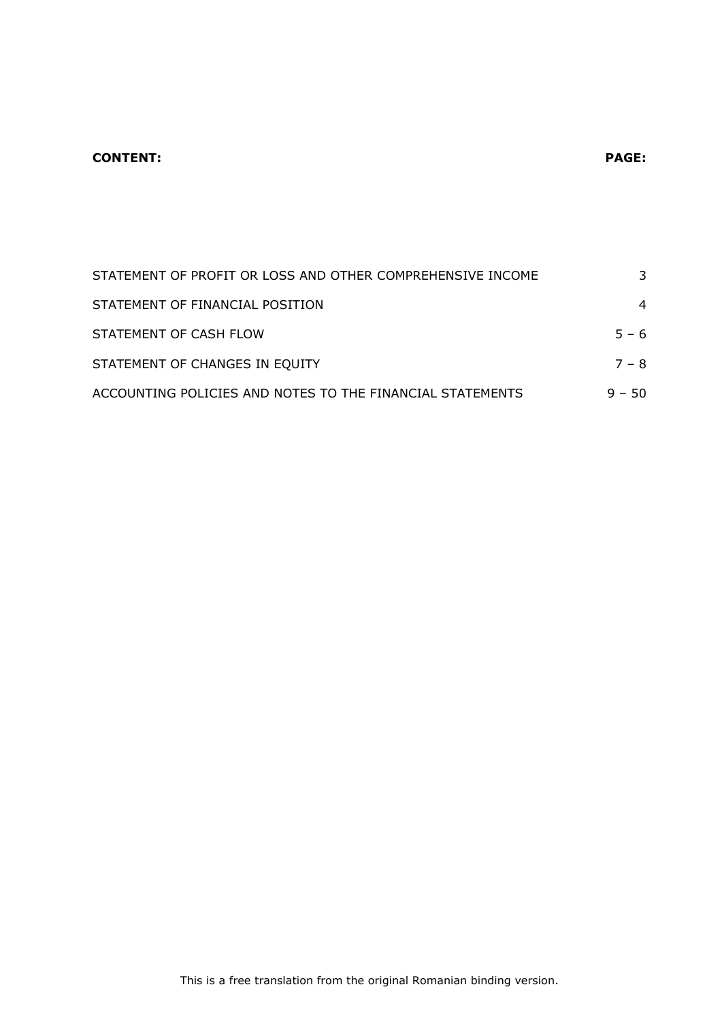# **CONTENT: PAGE:**

| STATEMENT OF PROFIT OR LOSS AND OTHER COMPREHENSIVE INCOME | 3              |
|------------------------------------------------------------|----------------|
| STATEMENT OF FINANCIAL POSITION                            | $\overline{4}$ |
| STATEMENT OF CASH FLOW                                     | $5 - 6$        |
| STATEMENT OF CHANGES IN EQUITY                             | $7 - 8$        |
| ACCOUNTING POLICIES AND NOTES TO THE FINANCIAL STATEMENTS  | $9 - 50$       |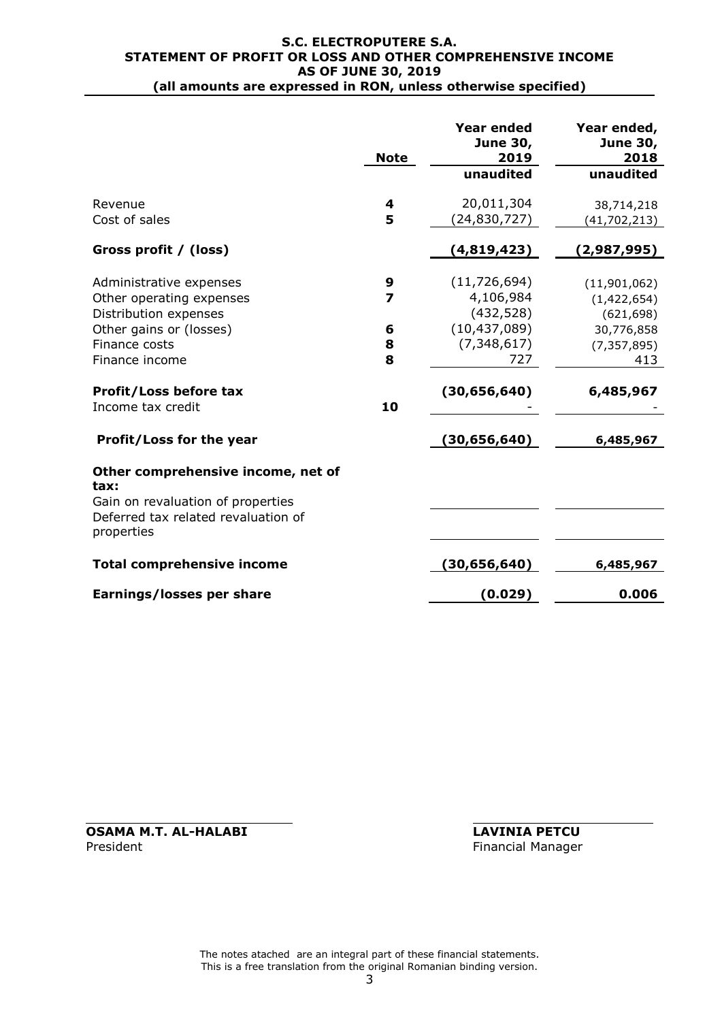#### **S.C. ELECTROPUTERE S.A. STATEMENT OF PROFIT OR LOSS AND OTHER COMPREHENSIVE INCOME AS OF JUNE 30, 2019 (all amounts are expressed in RON, unless otherwise specified)**

|                                                                                                                                                                                           | <b>Note</b>                 | <b>Year ended</b><br>June 30,<br>2019<br>unaudited                                                    | Year ended,<br><b>June 30,</b><br>2018<br>unaudited                                          |
|-------------------------------------------------------------------------------------------------------------------------------------------------------------------------------------------|-----------------------------|-------------------------------------------------------------------------------------------------------|----------------------------------------------------------------------------------------------|
| Revenue<br>Cost of sales                                                                                                                                                                  | 4<br>5                      | 20,011,304<br>(24,830,727)                                                                            | 38,714,218<br>(41, 702, 213)                                                                 |
| Gross profit / (loss)                                                                                                                                                                     |                             | (4,819,423)                                                                                           | (2,987,995)                                                                                  |
| Administrative expenses<br>Other operating expenses<br>Distribution expenses<br>Other gains or (losses)<br>Finance costs<br>Finance income<br>Profit/Loss before tax<br>Income tax credit | 9<br>7<br>6<br>8<br>8<br>10 | (11, 726, 694)<br>4,106,984<br>(432, 528)<br>(10, 437, 089)<br>(7, 348, 617)<br>727<br>(30, 656, 640) | (11,901,062)<br>(1,422,654)<br>(621, 698)<br>30,776,858<br>(7, 357, 895)<br>413<br>6,485,967 |
| Profit/Loss for the year                                                                                                                                                                  |                             | (30, 656, 640)                                                                                        | 6,485,967                                                                                    |
| Other comprehensive income, net of<br>tax:<br>Gain on revaluation of properties<br>Deferred tax related revaluation of<br>properties                                                      |                             |                                                                                                       |                                                                                              |
| <b>Total comprehensive income</b>                                                                                                                                                         |                             | (30, 656, 640)                                                                                        | 6,485,967                                                                                    |
| Earnings/losses per share                                                                                                                                                                 |                             | (0.029)                                                                                               | 0.006                                                                                        |

**OSAMA M.T. AL-HALABI LAVINIA PETCU**<br>President **Financial Manager** 

Financial Manager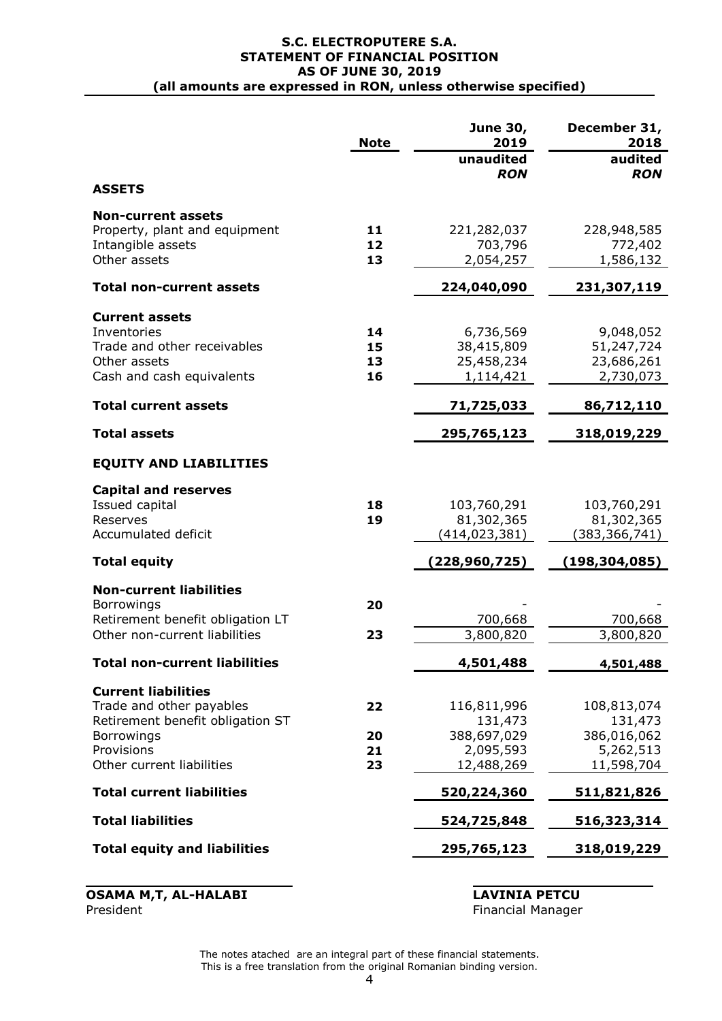|                                                                   | <b>Note</b> | June 30,<br>2019            | December 31,<br>2018        |
|-------------------------------------------------------------------|-------------|-----------------------------|-----------------------------|
|                                                                   |             | unaudited<br><b>RON</b>     | audited<br><b>RON</b>       |
| <b>ASSETS</b>                                                     |             |                             |                             |
| <b>Non-current assets</b>                                         |             |                             |                             |
| Property, plant and equipment<br>Intangible assets                | 11<br>12    | 221,282,037<br>703,796      | 228,948,585<br>772,402      |
| Other assets                                                      | 13          | 2,054,257                   | 1,586,132                   |
| <b>Total non-current assets</b>                                   |             | 224,040,090                 | 231,307,119                 |
| <b>Current assets</b>                                             |             |                             |                             |
| Inventories                                                       | 14          | 6,736,569                   | 9,048,052                   |
| Trade and other receivables<br>Other assets                       | 15<br>13    | 38,415,809<br>25,458,234    | 51,247,724<br>23,686,261    |
| Cash and cash equivalents                                         | 16          | 1,114,421                   | 2,730,073                   |
| <b>Total current assets</b>                                       |             | 71,725,033                  | 86,712,110                  |
| <b>Total assets</b>                                               |             | 295,765,123                 | 318,019,229                 |
| <b>EQUITY AND LIABILITIES</b>                                     |             |                             |                             |
| <b>Capital and reserves</b>                                       |             |                             |                             |
| Issued capital                                                    | 18          | 103,760,291                 | 103,760,291                 |
| Reserves<br>Accumulated deficit                                   | 19          | 81,302,365<br>(414,023,381) | 81,302,365<br>(383,366,741) |
| <b>Total equity</b>                                               |             | (228,960,725)               | (198,304,085)               |
| <b>Non-current liabilities</b>                                    |             |                             |                             |
| <b>Borrowings</b>                                                 | 20          |                             |                             |
| Retirement benefit obligation LT<br>Other non-current liabilities | 23          | 700,668<br>3,800,820        | 700,668                     |
|                                                                   |             |                             | 3,800,820                   |
| Total non-current liabilities                                     |             | 4,501,488                   | 4,501,488                   |
| <b>Current liabilities</b>                                        |             |                             |                             |
| Trade and other payables<br>Retirement benefit obligation ST      | 22          | 116,811,996<br>131,473      | 108,813,074<br>131,473      |
| Borrowings                                                        | 20          | 388,697,029                 | 386,016,062                 |
| Provisions                                                        | 21          | 2,095,593                   | 5,262,513                   |
| Other current liabilities                                         | 23          | 12,488,269                  | 11,598,704                  |
| <b>Total current liabilities</b>                                  |             | 520,224,360                 | 511,821,826                 |
| <b>Total liabilities</b>                                          |             | 524,725,848                 | 516,323,314                 |
| <b>Total equity and liabilities</b>                               |             | 295,765,123                 | 318,019,229                 |
|                                                                   |             |                             |                             |

**OSAMA M,T, AL-HALABI LAVINIA PETCU** President Financial Manager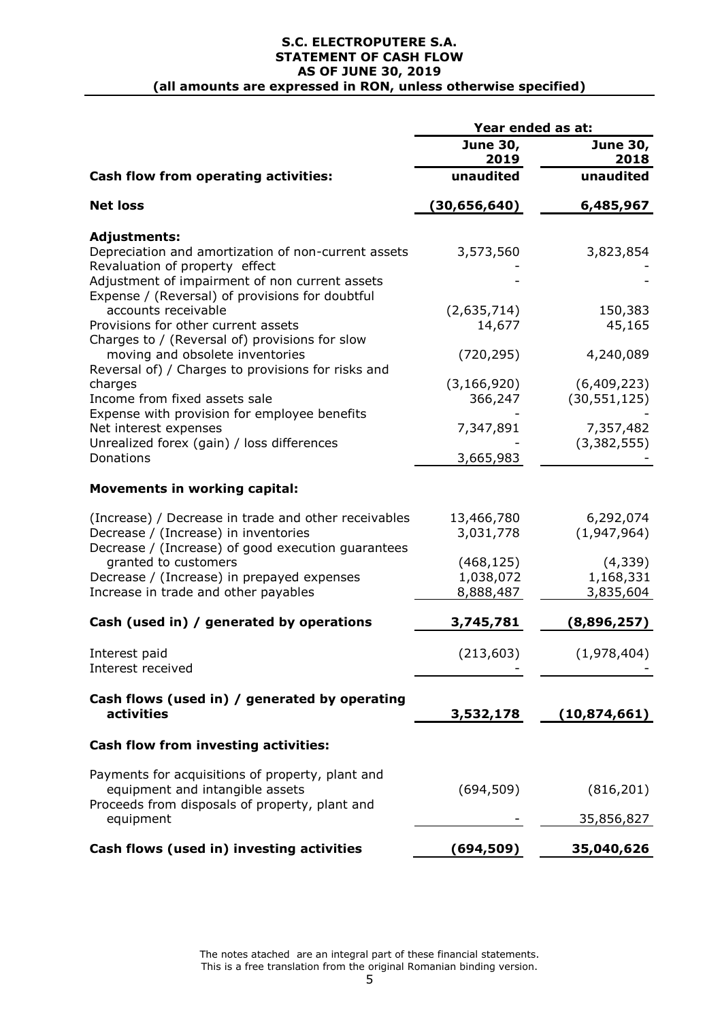#### **S.C. ELECTROPUTERE S.A. STATEMENT OF CASH FLOW AS OF JUNE 30, 2019 (all amounts are expressed in RON, unless otherwise specified)**

|                                                                                                                                                    | Year ended as at:        |                               |  |
|----------------------------------------------------------------------------------------------------------------------------------------------------|--------------------------|-------------------------------|--|
|                                                                                                                                                    | <b>June 30,</b><br>2019  | <b>June 30,</b><br>2018       |  |
| Cash flow from operating activities:                                                                                                               | unaudited                | unaudited                     |  |
| <b>Net loss</b>                                                                                                                                    | (30,656,640)             | 6,485,967                     |  |
| <b>Adjustments:</b>                                                                                                                                |                          |                               |  |
| Depreciation and amortization of non-current assets                                                                                                | 3,573,560                | 3,823,854                     |  |
| Revaluation of property effect<br>Adjustment of impairment of non current assets<br>Expense / (Reversal) of provisions for doubtful                |                          |                               |  |
| accounts receivable<br>Provisions for other current assets                                                                                         | (2,635,714)<br>14,677    | 150,383<br>45,165             |  |
| Charges to / (Reversal of) provisions for slow<br>moving and obsolete inventories                                                                  | (720, 295)               | 4,240,089                     |  |
| Reversal of) / Charges to provisions for risks and                                                                                                 |                          |                               |  |
| charges<br>Income from fixed assets sale<br>Expense with provision for employee benefits                                                           | (3, 166, 920)<br>366,247 | (6,409,223)<br>(30, 551, 125) |  |
| Net interest expenses<br>Unrealized forex (gain) / loss differences                                                                                | 7,347,891                | 7,357,482<br>(3, 382, 555)    |  |
| Donations                                                                                                                                          | 3,665,983                |                               |  |
| <b>Movements in working capital:</b>                                                                                                               |                          |                               |  |
| (Increase) / Decrease in trade and other receivables<br>Decrease / (Increase) in inventories<br>Decrease / (Increase) of good execution guarantees | 13,466,780<br>3,031,778  | 6,292,074<br>(1,947,964)      |  |
| granted to customers                                                                                                                               | (468, 125)               | (4,339)                       |  |
| Decrease / (Increase) in prepayed expenses                                                                                                         | 1,038,072                | 1,168,331                     |  |
| Increase in trade and other payables                                                                                                               | 8,888,487                | 3,835,604                     |  |
| Cash (used in) / generated by operations                                                                                                           | 3,745,781                | (8,896,257)                   |  |
| Interest paid<br>Interest received                                                                                                                 | (213, 603)               | (1,978,404)                   |  |
| Cash flows (used in) / generated by operating<br><b>activities</b>                                                                                 | 3,532,178                | (10, 874, 661)                |  |
| Cash flow from investing activities:                                                                                                               |                          |                               |  |
| Payments for acquisitions of property, plant and                                                                                                   |                          |                               |  |
| equipment and intangible assets<br>Proceeds from disposals of property, plant and                                                                  | (694, 509)               | (816, 201)                    |  |
| equipment                                                                                                                                          |                          | 35,856,827                    |  |
| Cash flows (used in) investing activities                                                                                                          | (694, 509)               | 35,040,626                    |  |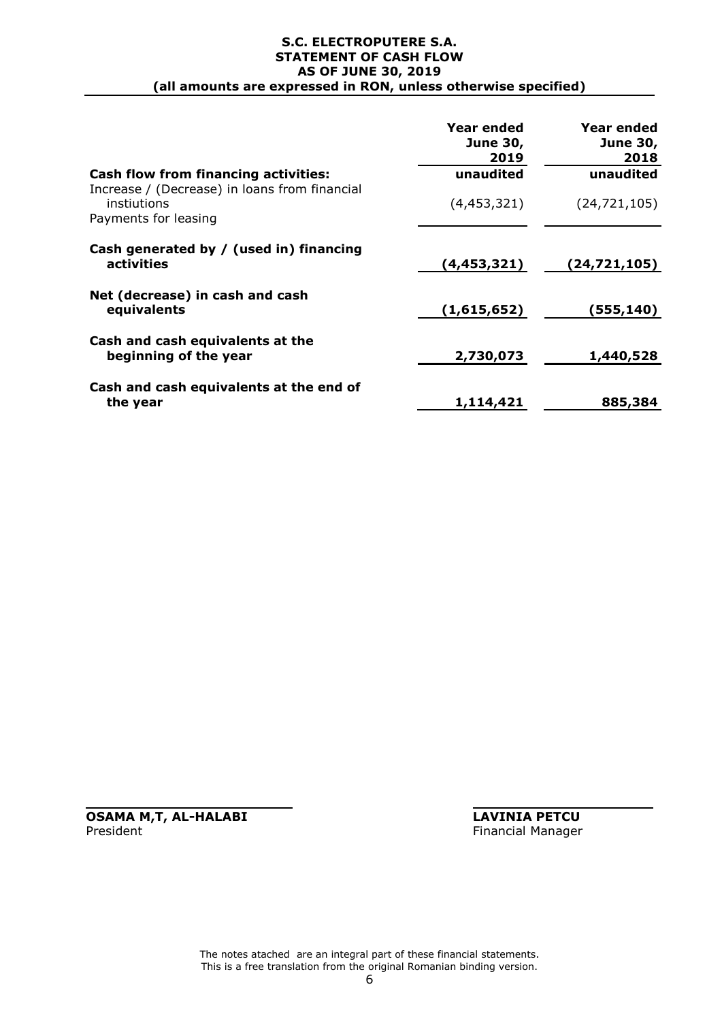#### **S.C. ELECTROPUTERE S.A. STATEMENT OF CASH FLOW AS OF JUNE 30, 2019 (all amounts are expressed in RON, unless otherwise specified)**

|                                                                                      | Year ended<br><b>June 30,</b><br>2019 | Year ended<br><b>June 30,</b><br>2018 |
|--------------------------------------------------------------------------------------|---------------------------------------|---------------------------------------|
| <b>Cash flow from financing activities:</b>                                          | unaudited                             | unaudited                             |
| Increase / (Decrease) in loans from financial<br>instiutions<br>Payments for leasing | (4,453,321)                           | (24, 721, 105)                        |
|                                                                                      |                                       |                                       |
| Cash generated by / (used in) financing<br>activities                                | (4,453,321)                           | (24,721,105)                          |
| Net (decrease) in cash and cash<br>equivalents                                       | (1,615,652)                           | (555,140)                             |
| Cash and cash equivalents at the<br>beginning of the year                            | 2,730,073                             | 1,440,528                             |
| Cash and cash equivalents at the end of<br>the year                                  | 1,114,421                             | 885,384                               |

**OSAMA M,T, AL-HALABI LAVINIA PETCU**<br>President **Financial Manager** 

Financial Manager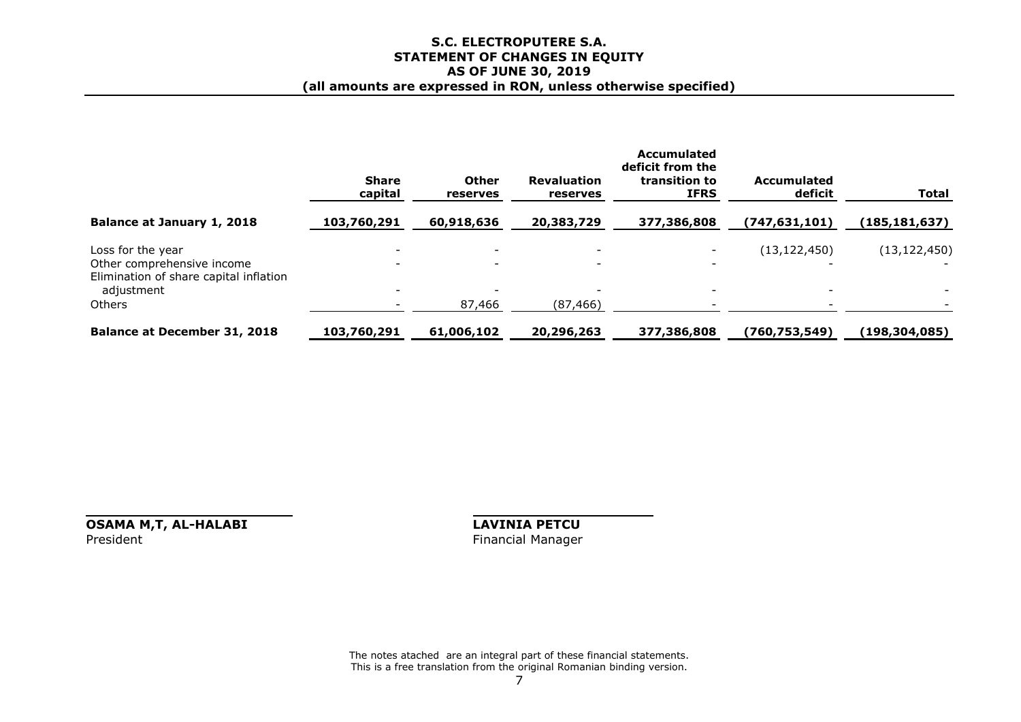#### **S.C. ELECTROPUTERE S.A. STATEMENT OF CHANGES IN EQUITY AS OF JUNE 30, 2019 (all amounts are expressed in RON, unless otherwise specified)**

|                                                                                                         | <b>Share</b><br>capital | <b>Other</b><br>reserves | <b>Revaluation</b><br>reserves | <b>Accumulated</b><br>deficit from the<br>transition to<br><b>IFRS</b> | <b>Accumulated</b><br>deficit | <b>Total</b>    |
|---------------------------------------------------------------------------------------------------------|-------------------------|--------------------------|--------------------------------|------------------------------------------------------------------------|-------------------------------|-----------------|
| Balance at January 1, 2018                                                                              | 103,760,291             | 60,918,636               | 20,383,729                     | 377,386,808                                                            | (747, 631, 101)               | (185, 181, 637) |
| Loss for the year<br>Other comprehensive income<br>Elimination of share capital inflation<br>adjustment |                         | $\overline{\phantom{0}}$ |                                | $\overline{\phantom{0}}$<br>$\overline{\phantom{0}}$                   | (13, 122, 450)                | (13, 122, 450)  |
| Others                                                                                                  |                         | 87,466                   | (87, 466)                      |                                                                        |                               |                 |
| <b>Balance at December 31, 2018</b>                                                                     | 103,760,291             | 61,006,102               | 20,296,263                     | 377,386,808                                                            | (760,753,549)                 | (198, 304, 085) |

**OSAMA M,T, AL-HALABI LAVINIA PETCU**<br>President **Financial Manager** 

Financial Manager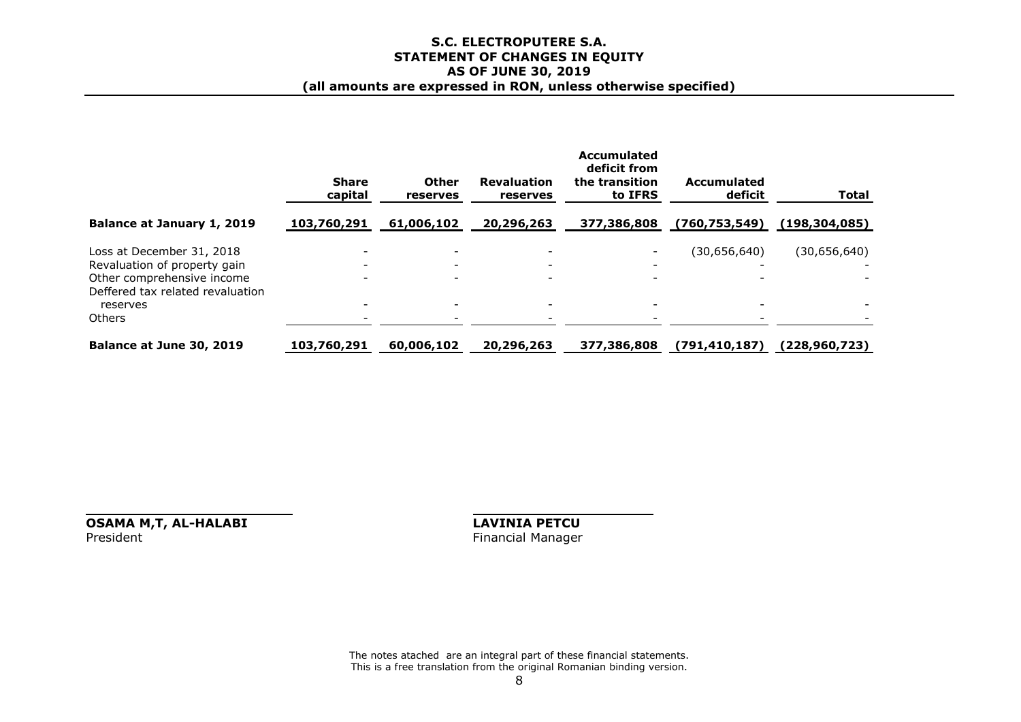#### **S.C. ELECTROPUTERE S.A. STATEMENT OF CHANGES IN EQUITY AS OF JUNE 30, 2019 (all amounts are expressed in RON, unless otherwise specified)**

|                                                                                                                                                          | <b>Share</b><br>capital                                                                                      | <b>Other</b><br>reserves | <b>Revaluation</b><br>reserves | Accumulated<br>deficit from<br>the transition<br>to IFRS | <b>Accumulated</b><br>deficit | <b>Total</b>    |
|----------------------------------------------------------------------------------------------------------------------------------------------------------|--------------------------------------------------------------------------------------------------------------|--------------------------|--------------------------------|----------------------------------------------------------|-------------------------------|-----------------|
| Balance at January 1, 2019                                                                                                                               | 103,760,291                                                                                                  | 61,006,102               | 20,296,263                     | 377,386,808                                              | (760, 753, 549)               | (198, 304, 085) |
| Loss at December 31, 2018<br>Revaluation of property gain<br>Other comprehensive income<br>Deffered tax related revaluation<br>reserves<br><b>Others</b> | $\overline{\phantom{a}}$<br>$\overline{\phantom{a}}$<br>$\overline{\phantom{a}}$<br>$\overline{\phantom{a}}$ |                          |                                |                                                          | (30,656,640)                  | (30,656,640)    |
| Balance at June 30, 2019                                                                                                                                 | 103,760,291                                                                                                  | 60,006,102               | 20,296,263                     | 377,386,808                                              | (791, 410, 187)               | (228, 960, 723) |

**OSAMA M,T, AL-HALABI LAVINIA PETCU** President Financial Manager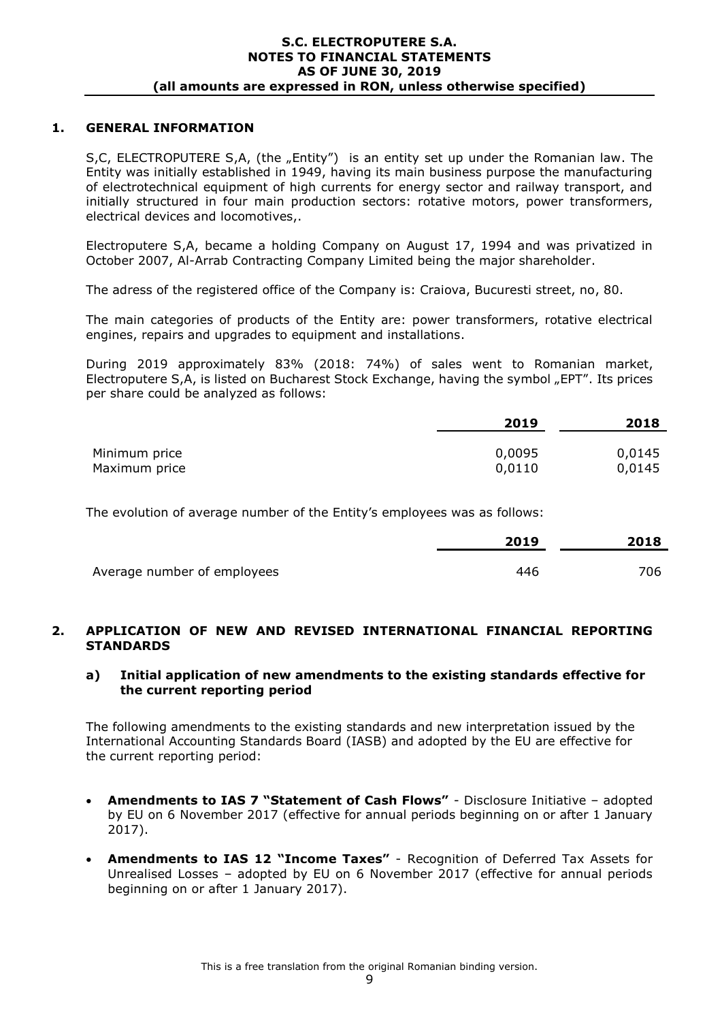### **1. GENERAL INFORMATION**

S,C, ELECTROPUTERE S,A, (the "Entity") is an entity set up under the Romanian law. The Entity was initially established in 1949, having its main business purpose the manufacturing of electrotechnical equipment of high currents for energy sector and railway transport, and initially structured in four main production sectors: rotative motors, power transformers, electrical devices and locomotives,.

Electroputere S,A, became a holding Company on August 17, 1994 and was privatized in October 2007, Al-Arrab Contracting Company Limited being the major shareholder.

The adress of the registered office of the Company is: Craiova, Bucuresti street, no, 80.

The main categories of products of the Entity are: power transformers, rotative electrical engines, repairs and upgrades to equipment and installations.

During 2019 approximately 83% (2018: 74%) of sales went to Romanian market, Electroputere S,A, is listed on Bucharest Stock Exchange, having the symbol "EPT". Its prices per share could be analyzed as follows:

|               | 2019   | 2018   |
|---------------|--------|--------|
| Minimum price | 0,0095 | 0,0145 |
| Maximum price | 0,0110 | 0,0145 |

The evolution of average number of the Entity's employees was as follows:

|                             | 2019 | 2018 |
|-----------------------------|------|------|
| Average number of employees | 446  | 706  |

### **2. APPLICATION OF NEW AND REVISED INTERNATIONAL FINANCIAL REPORTING STANDARDS**

### **a) Initial application of new amendments to the existing standards effective for the current reporting period**

The following amendments to the existing standards and new interpretation issued by the International Accounting Standards Board (IASB) and adopted by the EU are effective for the current reporting period:

- **Amendments to IAS 7 "Statement of Cash Flows"** Disclosure Initiative adopted by EU on 6 November 2017 (effective for annual periods beginning on or after 1 January 2017).
- **Amendments to IAS 12 "Income Taxes"** Recognition of Deferred Tax Assets for Unrealised Losses – adopted by EU on 6 November 2017 (effective for annual periods beginning on or after 1 January 2017).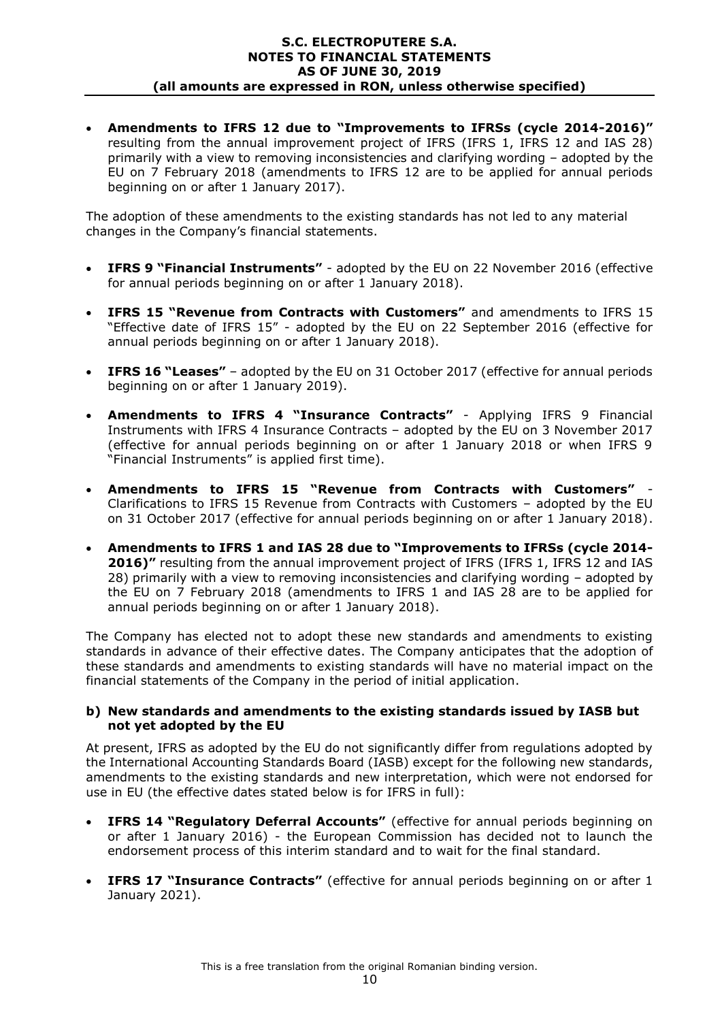**Amendments to IFRS 12 due to "Improvements to IFRSs (cycle 2014-2016)"** resulting from the annual improvement project of IFRS (IFRS 1, IFRS 12 and IAS 28) primarily with a view to removing inconsistencies and clarifying wording – adopted by the EU on 7 February 2018 (amendments to IFRS 12 are to be applied for annual periods beginning on or after 1 January 2017).

The adoption of these amendments to the existing standards has not led to any material changes in the Company's financial statements.

- **IFRS 9 "Financial Instruments"** adopted by the EU on 22 November 2016 (effective for annual periods beginning on or after 1 January 2018).
- **IFRS 15 "Revenue from Contracts with Customers"** and amendments to IFRS 15 "Effective date of IFRS 15" - adopted by the EU on 22 September 2016 (effective for annual periods beginning on or after 1 January 2018).
- **IFRS 16 "Leases"** adopted by the EU on 31 October 2017 (effective for annual periods beginning on or after 1 January 2019).
- **Amendments to IFRS 4 "Insurance Contracts"**  Applying IFRS 9 Financial Instruments with IFRS 4 Insurance Contracts – adopted by the EU on 3 November 2017 (effective for annual periods beginning on or after 1 January 2018 or when IFRS 9 "Financial Instruments" is applied first time).
- **Amendments to IFRS 15 "Revenue from Contracts with Customers"** Clarifications to IFRS 15 Revenue from Contracts with Customers – adopted by the EU on 31 October 2017 (effective for annual periods beginning on or after 1 January 2018).
- **Amendments to IFRS 1 and IAS 28 due to "Improvements to IFRSs (cycle 2014-** 2016)" resulting from the annual improvement project of IFRS (IFRS 1, IFRS 12 and IAS 28) primarily with a view to removing inconsistencies and clarifying wording – adopted by the EU on 7 February 2018 (amendments to IFRS 1 and IAS 28 are to be applied for annual periods beginning on or after 1 January 2018).

The Company has elected not to adopt these new standards and amendments to existing standards in advance of their effective dates. The Company anticipates that the adoption of these standards and amendments to existing standards will have no material impact on the financial statements of the Company in the period of initial application.

### **b) New standards and amendments to the existing standards issued by IASB but not yet adopted by the EU**

At present, IFRS as adopted by the EU do not significantly differ from regulations adopted by the International Accounting Standards Board (IASB) except for the following new standards, amendments to the existing standards and new interpretation, which were not endorsed for use in EU (the effective dates stated below is for IFRS in full):

- **IFRS 14 "Regulatory Deferral Accounts"** (effective for annual periods beginning on or after 1 January 2016) - the European Commission has decided not to launch the endorsement process of this interim standard and to wait for the final standard.
- **IFRS 17 "Insurance Contracts"** (effective for annual periods beginning on or after 1 January 2021).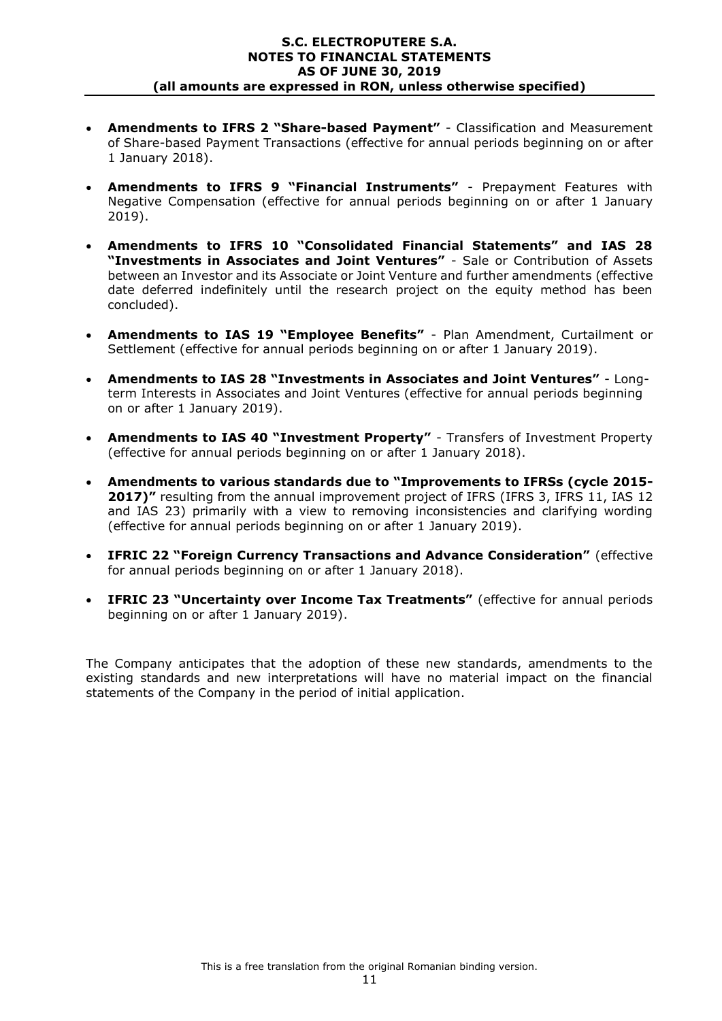- **Amendments to IFRS 2 "Share-based Payment"** Classification and Measurement of Share-based Payment Transactions (effective for annual periods beginning on or after 1 January 2018).
- **Amendments to IFRS 9 "Financial Instruments"**  Prepayment Features with Negative Compensation (effective for annual periods beginning on or after 1 January 2019).
- **Amendments to IFRS 10 "Consolidated Financial Statements" and IAS 28 "Investments in Associates and Joint Ventures"** - Sale or Contribution of Assets between an Investor and its Associate or Joint Venture and further amendments (effective date deferred indefinitely until the research project on the equity method has been concluded).
- **Amendments to IAS 19 "Employee Benefits"** Plan Amendment, Curtailment or Settlement (effective for annual periods beginning on or after 1 January 2019).
- **Amendments to IAS 28 "Investments in Associates and Joint Ventures"**  Longterm Interests in Associates and Joint Ventures (effective for annual periods beginning on or after 1 January 2019).
- **Amendments to IAS 40 "Investment Property"** Transfers of Investment Property (effective for annual periods beginning on or after 1 January 2018).
- **Amendments to various standards due to "Improvements to IFRSs (cycle 2015- 2017)"** resulting from the annual improvement project of IFRS (IFRS 3, IFRS 11, IAS 12 and IAS 23) primarily with a view to removing inconsistencies and clarifying wording (effective for annual periods beginning on or after 1 January 2019).
- **IFRIC 22 "Foreign Currency Transactions and Advance Consideration"** (effective for annual periods beginning on or after 1 January 2018).
- **IFRIC 23 "Uncertainty over Income Tax Treatments"** (effective for annual periods beginning on or after 1 January 2019).

The Company anticipates that the adoption of these new standards, amendments to the existing standards and new interpretations will have no material impact on the financial statements of the Company in the period of initial application.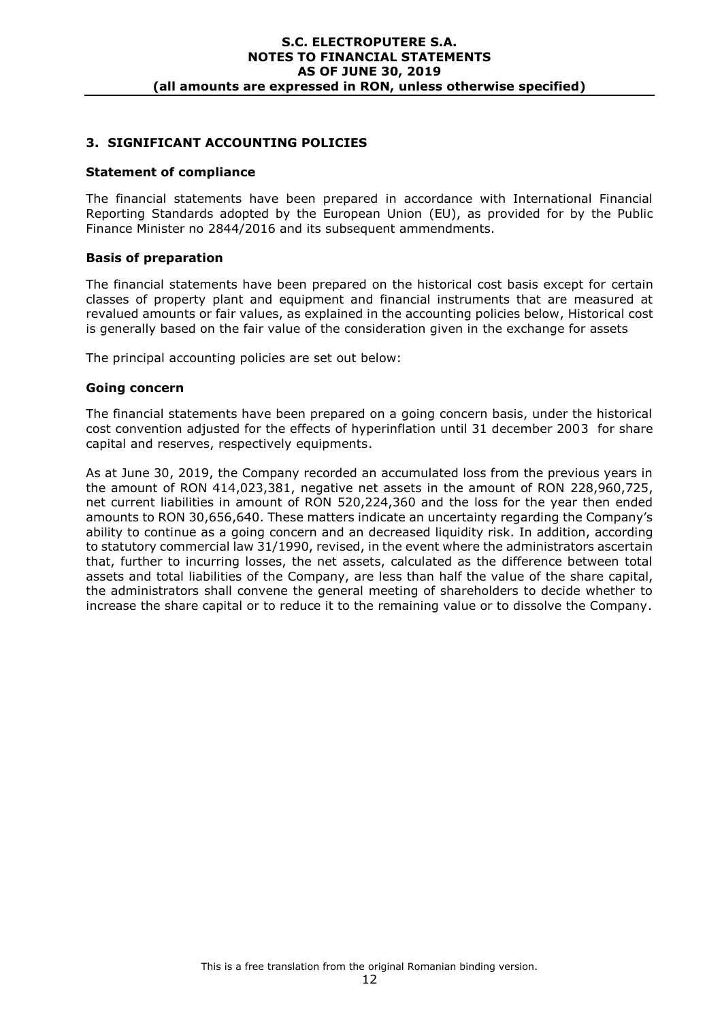### **3. SIGNIFICANT ACCOUNTING POLICIES**

#### **Statement of compliance**

The financial statements have been prepared in accordance with International Financial Reporting Standards adopted by the European Union (EU), as provided for by the Public Finance Minister no 2844/2016 and its subsequent ammendments.

#### **Basis of preparation**

The financial statements have been prepared on the historical cost basis except for certain classes of property plant and equipment and financial instruments that are measured at revalued amounts or fair values, as explained in the accounting policies below, Historical cost is generally based on the fair value of the consideration given in the exchange for assets

The principal accounting policies are set out below:

#### **Going concern**

The financial statements have been prepared on a going concern basis, under the historical cost convention adjusted for the effects of hyperinflation until 31 december 2003 for share capital and reserves, respectively equipments.

As at June 30, 2019, the Company recorded an accumulated loss from the previous years in the amount of RON 414,023,381, negative net assets in the amount of RON 228,960,725, net current liabilities in amount of RON 520,224,360 and the loss for the year then ended amounts to RON 30,656,640. These matters indicate an uncertainty regarding the Company's ability to continue as a going concern and an decreased liquidity risk. In addition, according to statutory commercial law 31/1990, revised, in the event where the administrators ascertain that, further to incurring losses, the net assets, calculated as the difference between total assets and total liabilities of the Company, are less than half the value of the share capital, the administrators shall convene the general meeting of shareholders to decide whether to increase the share capital or to reduce it to the remaining value or to dissolve the Company.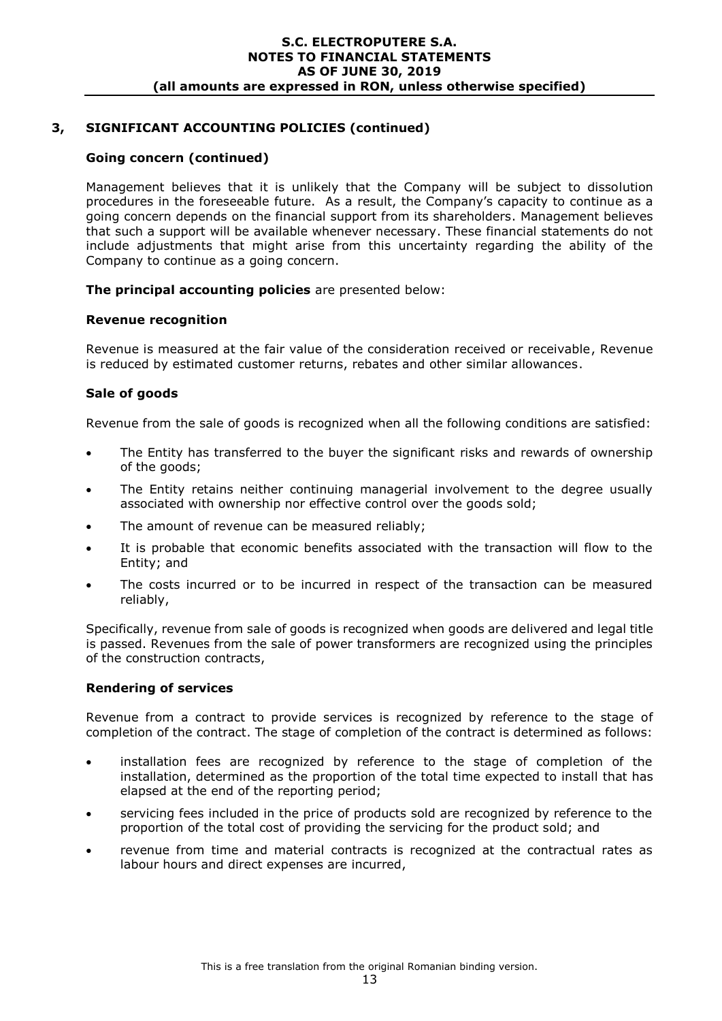### **Going concern (continued)**

Management believes that it is unlikely that the Company will be subject to dissolution procedures in the foreseeable future. As a result, the Company's capacity to continue as a going concern depends on the financial support from its shareholders. Management believes that such a support will be available whenever necessary. These financial statements do not include adjustments that might arise from this uncertainty regarding the ability of the Company to continue as a going concern.

**The principal accounting policies** are presented below:

#### **Revenue recognition**

Revenue is measured at the fair value of the consideration received or receivable, Revenue is reduced by estimated customer returns, rebates and other similar allowances.

### **Sale of goods**

Revenue from the sale of goods is recognized when all the following conditions are satisfied:

- The Entity has transferred to the buyer the significant risks and rewards of ownership of the goods;
- The Entity retains neither continuing managerial involvement to the degree usually associated with ownership nor effective control over the goods sold;
- The amount of revenue can be measured reliably;
- It is probable that economic benefits associated with the transaction will flow to the Entity; and
- The costs incurred or to be incurred in respect of the transaction can be measured reliably,

Specifically, revenue from sale of goods is recognized when goods are delivered and legal title is passed. Revenues from the sale of power transformers are recognized using the principles of the construction contracts,

#### **Rendering of services**

Revenue from a contract to provide services is recognized by reference to the stage of completion of the contract. The stage of completion of the contract is determined as follows:

- installation fees are recognized by reference to the stage of completion of the installation, determined as the proportion of the total time expected to install that has elapsed at the end of the reporting period;
- servicing fees included in the price of products sold are recognized by reference to the proportion of the total cost of providing the servicing for the product sold; and
- revenue from time and material contracts is recognized at the contractual rates as labour hours and direct expenses are incurred,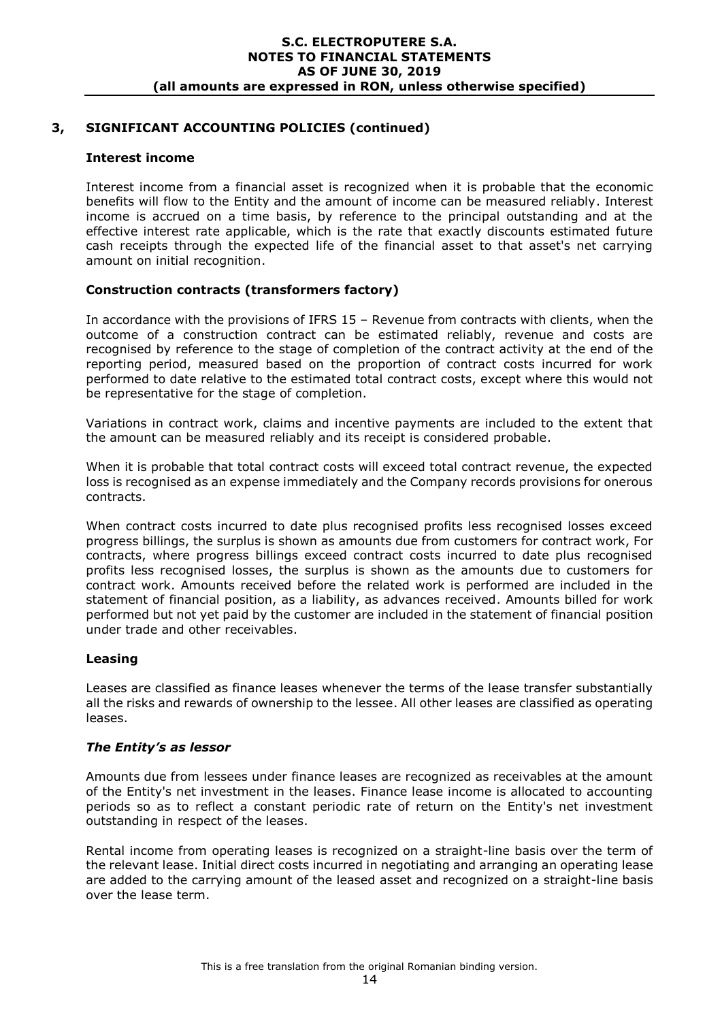### **Interest income**

Interest income from a financial asset is recognized when it is probable that the economic benefits will flow to the Entity and the amount of income can be measured reliably. Interest income is accrued on a time basis, by reference to the principal outstanding and at the effective interest rate applicable, which is the rate that exactly discounts estimated future cash receipts through the expected life of the financial asset to that asset's net carrying amount on initial recognition.

### **Construction contracts (transformers factory)**

In accordance with the provisions of IFRS 15 – Revenue from contracts with clients, when the outcome of a construction contract can be estimated reliably, revenue and costs are recognised by reference to the stage of completion of the contract activity at the end of the reporting period, measured based on the proportion of contract costs incurred for work performed to date relative to the estimated total contract costs, except where this would not be representative for the stage of completion.

Variations in contract work, claims and incentive payments are included to the extent that the amount can be measured reliably and its receipt is considered probable.

When it is probable that total contract costs will exceed total contract revenue, the expected loss is recognised as an expense immediately and the Company records provisions for onerous contracts.

When contract costs incurred to date plus recognised profits less recognised losses exceed progress billings, the surplus is shown as amounts due from customers for contract work, For contracts, where progress billings exceed contract costs incurred to date plus recognised profits less recognised losses, the surplus is shown as the amounts due to customers for contract work. Amounts received before the related work is performed are included in the statement of financial position, as a liability, as advances received. Amounts billed for work performed but not yet paid by the customer are included in the statement of financial position under trade and other receivables.

### **Leasing**

Leases are classified as finance leases whenever the terms of the lease transfer substantially all the risks and rewards of ownership to the lessee. All other leases are classified as operating leases.

### *The Entity's as lessor*

Amounts due from lessees under finance leases are recognized as receivables at the amount of the Entity's net investment in the leases. Finance lease income is allocated to accounting periods so as to reflect a constant periodic rate of return on the Entity's net investment outstanding in respect of the leases.

Rental income from operating leases is recognized on a straight-line basis over the term of the relevant lease. Initial direct costs incurred in negotiating and arranging an operating lease are added to the carrying amount of the leased asset and recognized on a straight-line basis over the lease term.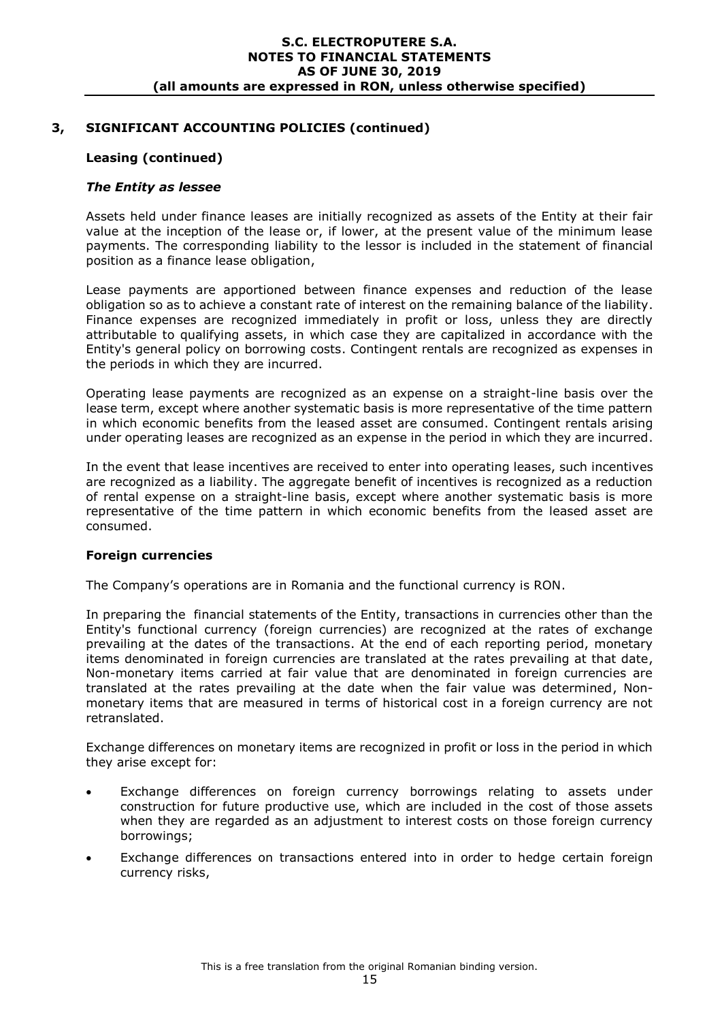### **Leasing (continued)**

### *The Entity as lessee*

Assets held under finance leases are initially recognized as assets of the Entity at their fair value at the inception of the lease or, if lower, at the present value of the minimum lease payments. The corresponding liability to the lessor is included in the statement of financial position as a finance lease obligation,

Lease payments are apportioned between finance expenses and reduction of the lease obligation so as to achieve a constant rate of interest on the remaining balance of the liability. Finance expenses are recognized immediately in profit or loss, unless they are directly attributable to qualifying assets, in which case they are capitalized in accordance with the Entity's general policy on borrowing costs. Contingent rentals are recognized as expenses in the periods in which they are incurred.

Operating lease payments are recognized as an expense on a straight-line basis over the lease term, except where another systematic basis is more representative of the time pattern in which economic benefits from the leased asset are consumed. Contingent rentals arising under operating leases are recognized as an expense in the period in which they are incurred.

In the event that lease incentives are received to enter into operating leases, such incentives are recognized as a liability. The aggregate benefit of incentives is recognized as a reduction of rental expense on a straight-line basis, except where another systematic basis is more representative of the time pattern in which economic benefits from the leased asset are consumed.

#### **Foreign currencies**

The Company's operations are in Romania and the functional currency is RON.

In preparing the financial statements of the Entity, transactions in currencies other than the Entity's functional currency (foreign currencies) are recognized at the rates of exchange prevailing at the dates of the transactions. At the end of each reporting period, monetary items denominated in foreign currencies are translated at the rates prevailing at that date, Non-monetary items carried at fair value that are denominated in foreign currencies are translated at the rates prevailing at the date when the fair value was determined, Nonmonetary items that are measured in terms of historical cost in a foreign currency are not retranslated.

Exchange differences on monetary items are recognized in profit or loss in the period in which they arise except for:

- Exchange differences on foreign currency borrowings relating to assets under construction for future productive use, which are included in the cost of those assets when they are regarded as an adjustment to interest costs on those foreign currency borrowings;
- Exchange differences on transactions entered into in order to hedge certain foreign currency risks,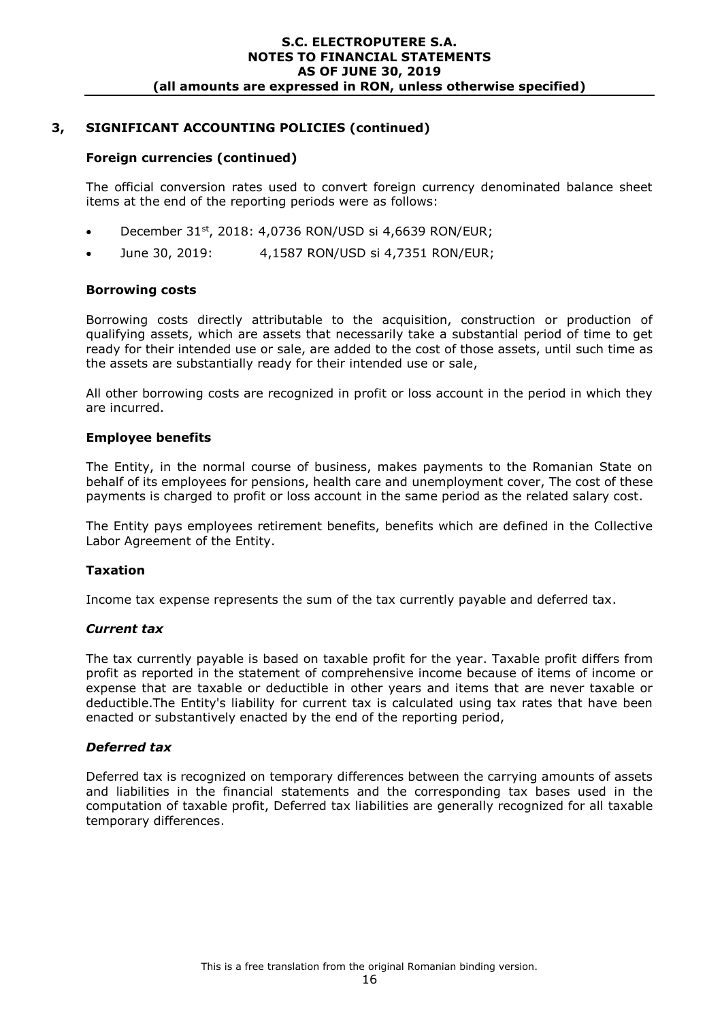### **Foreign currencies (continued)**

The official conversion rates used to convert foreign currency denominated balance sheet items at the end of the reporting periods were as follows:

- December 31<sup>st</sup>, 2018: 4,0736 RON/USD si 4,6639 RON/EUR;
- June 30, 2019: 4,1587 RON/USD si 4,7351 RON/EUR;

### **Borrowing costs**

Borrowing costs directly attributable to the acquisition, construction or production of qualifying assets, which are assets that necessarily take a substantial period of time to get ready for their intended use or sale, are added to the cost of those assets, until such time as the assets are substantially ready for their intended use or sale,

All other borrowing costs are recognized in profit or loss account in the period in which they are incurred.

#### **Employee benefits**

The Entity, in the normal course of business, makes payments to the Romanian State on behalf of its employees for pensions, health care and unemployment cover, The cost of these payments is charged to profit or loss account in the same period as the related salary cost.

The Entity pays employees retirement benefits, benefits which are defined in the Collective Labor Agreement of the Entity.

#### **Taxation**

Income tax expense represents the sum of the tax currently payable and deferred tax.

#### *Current tax*

The tax currently payable is based on taxable profit for the year. Taxable profit differs from profit as reported in the statement of comprehensive income because of items of income or expense that are taxable or deductible in other years and items that are never taxable or deductible.The Entity's liability for current tax is calculated using tax rates that have been enacted or substantively enacted by the end of the reporting period,

#### *Deferred tax*

Deferred tax is recognized on temporary differences between the carrying amounts of assets and liabilities in the financial statements and the corresponding tax bases used in the computation of taxable profit, Deferred tax liabilities are generally recognized for all taxable temporary differences.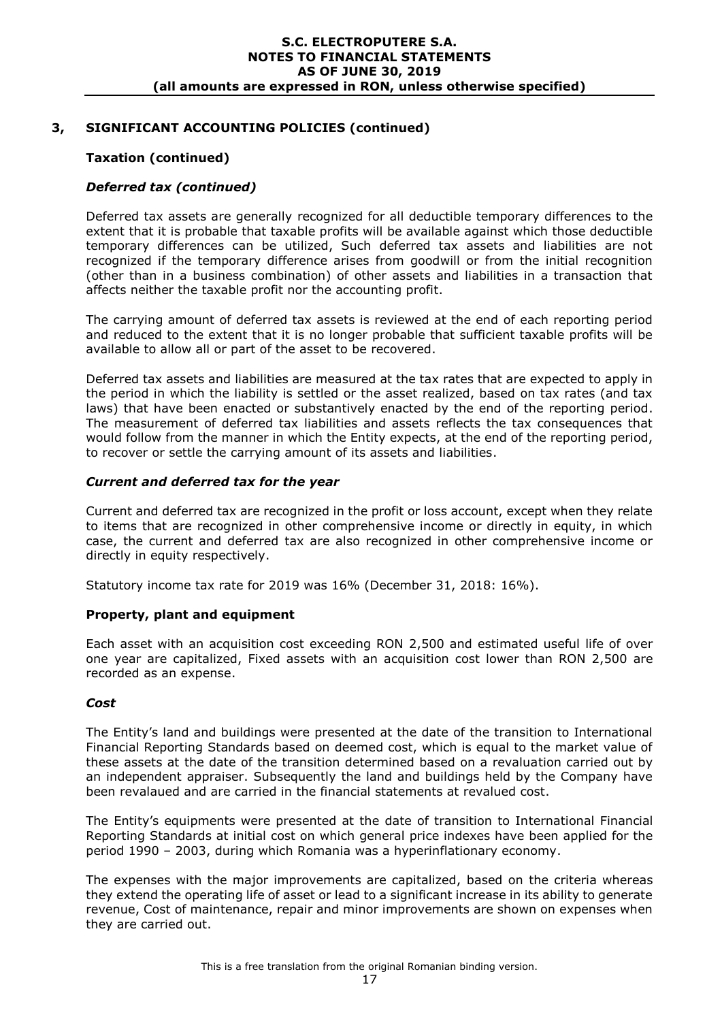### **Taxation (continued)**

### *Deferred tax (continued)*

Deferred tax assets are generally recognized for all deductible temporary differences to the extent that it is probable that taxable profits will be available against which those deductible temporary differences can be utilized, Such deferred tax assets and liabilities are not recognized if the temporary difference arises from goodwill or from the initial recognition (other than in a business combination) of other assets and liabilities in a transaction that affects neither the taxable profit nor the accounting profit.

The carrying amount of deferred tax assets is reviewed at the end of each reporting period and reduced to the extent that it is no longer probable that sufficient taxable profits will be available to allow all or part of the asset to be recovered.

Deferred tax assets and liabilities are measured at the tax rates that are expected to apply in the period in which the liability is settled or the asset realized, based on tax rates (and tax laws) that have been enacted or substantively enacted by the end of the reporting period. The measurement of deferred tax liabilities and assets reflects the tax consequences that would follow from the manner in which the Entity expects, at the end of the reporting period, to recover or settle the carrying amount of its assets and liabilities.

#### *Current and deferred tax for the year*

Current and deferred tax are recognized in the profit or loss account, except when they relate to items that are recognized in other comprehensive income or directly in equity, in which case, the current and deferred tax are also recognized in other comprehensive income or directly in equity respectively.

Statutory income tax rate for 2019 was 16% (December 31, 2018: 16%).

#### **Property, plant and equipment**

Each asset with an acquisition cost exceeding RON 2,500 and estimated useful life of over one year are capitalized, Fixed assets with an acquisition cost lower than RON 2,500 are recorded as an expense.

#### *Cost*

The Entity's land and buildings were presented at the date of the transition to International Financial Reporting Standards based on deemed cost, which is equal to the market value of these assets at the date of the transition determined based on a revaluation carried out by an independent appraiser. Subsequently the land and buildings held by the Company have been revalaued and are carried in the financial statements at revalued cost.

The Entity's equipments were presented at the date of transition to International Financial Reporting Standards at initial cost on which general price indexes have been applied for the period 1990 – 2003, during which Romania was a hyperinflationary economy.

The expenses with the major improvements are capitalized, based on the criteria whereas they extend the operating life of asset or lead to a significant increase in its ability to generate revenue, Cost of maintenance, repair and minor improvements are shown on expenses when they are carried out.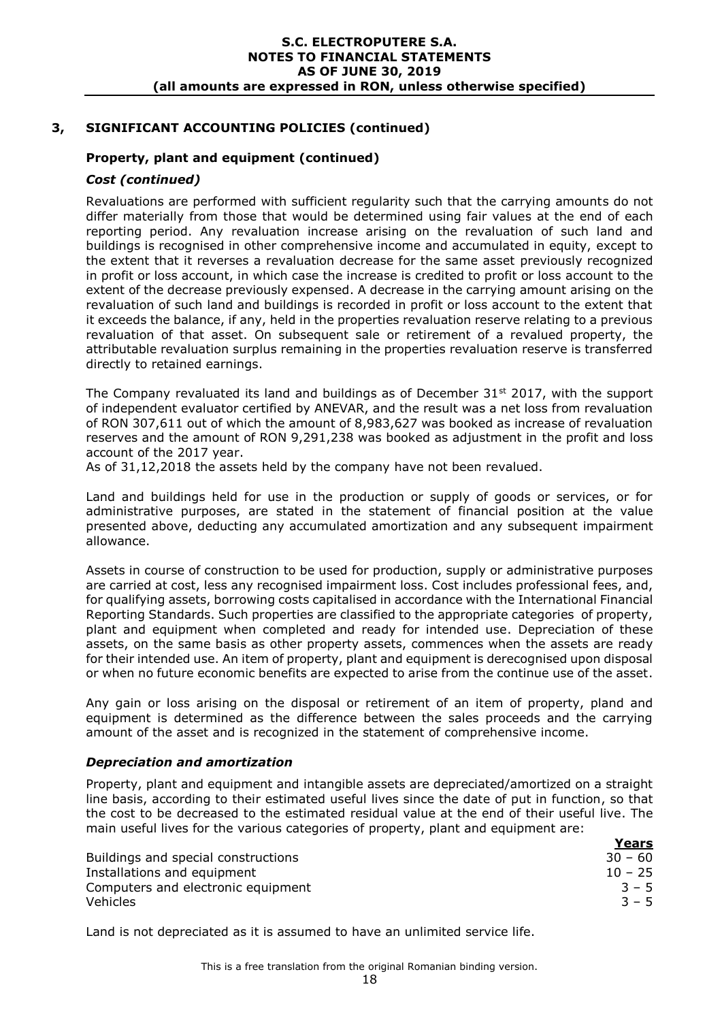### **Property, plant and equipment (continued)**

#### *Cost (continued)*

Revaluations are performed with sufficient regularity such that the carrying amounts do not differ materially from those that would be determined using fair values at the end of each reporting period. Any revaluation increase arising on the revaluation of such land and buildings is recognised in other comprehensive income and accumulated in equity, except to the extent that it reverses a revaluation decrease for the same asset previously recognized in profit or loss account, in which case the increase is credited to profit or loss account to the extent of the decrease previously expensed. A decrease in the carrying amount arising on the revaluation of such land and buildings is recorded in profit or loss account to the extent that it exceeds the balance, if any, held in the properties revaluation reserve relating to a previous revaluation of that asset. On subsequent sale or retirement of a revalued property, the attributable revaluation surplus remaining in the properties revaluation reserve is transferred directly to retained earnings.

The Company revaluated its land and buildings as of December  $31<sup>st</sup> 2017$ , with the support of independent evaluator certified by ANEVAR, and the result was a net loss from revaluation of RON 307,611 out of which the amount of 8,983,627 was booked as increase of revaluation reserves and the amount of RON 9,291,238 was booked as adjustment in the profit and loss account of the 2017 year.

As of 31,12,2018 the assets held by the company have not been revalued.

Land and buildings held for use in the production or supply of goods or services, or for administrative purposes, are stated in the statement of financial position at the value presented above, deducting any accumulated amortization and any subsequent impairment allowance.

Assets in course of construction to be used for production, supply or administrative purposes are carried at cost, less any recognised impairment loss. Cost includes professional fees, and, for qualifying assets, borrowing costs capitalised in accordance with the International Financial Reporting Standards. Such properties are classified to the appropriate categories of property, plant and equipment when completed and ready for intended use. Depreciation of these assets, on the same basis as other property assets, commences when the assets are ready for their intended use. An item of property, plant and equipment is derecognised upon disposal or when no future economic benefits are expected to arise from the continue use of the asset.

Any gain or loss arising on the disposal or retirement of an item of property, pland and equipment is determined as the difference between the sales proceeds and the carrying amount of the asset and is recognized in the statement of comprehensive income.

#### *Depreciation and amortization*

Property, plant and equipment and intangible assets are depreciated/amortized on a straight line basis, according to their estimated useful lives since the date of put in function, so that the cost to be decreased to the estimated residual value at the end of their useful live. The main useful lives for the various categories of property, plant and equipment are:

|                                     | Years     |
|-------------------------------------|-----------|
| Buildings and special constructions | $30 - 60$ |
| Installations and equipment         | $10 - 25$ |
| Computers and electronic equipment  | $3 - 5$   |
| <b>Vehicles</b>                     | $3 - 5$   |

Land is not depreciated as it is assumed to have an unlimited service life.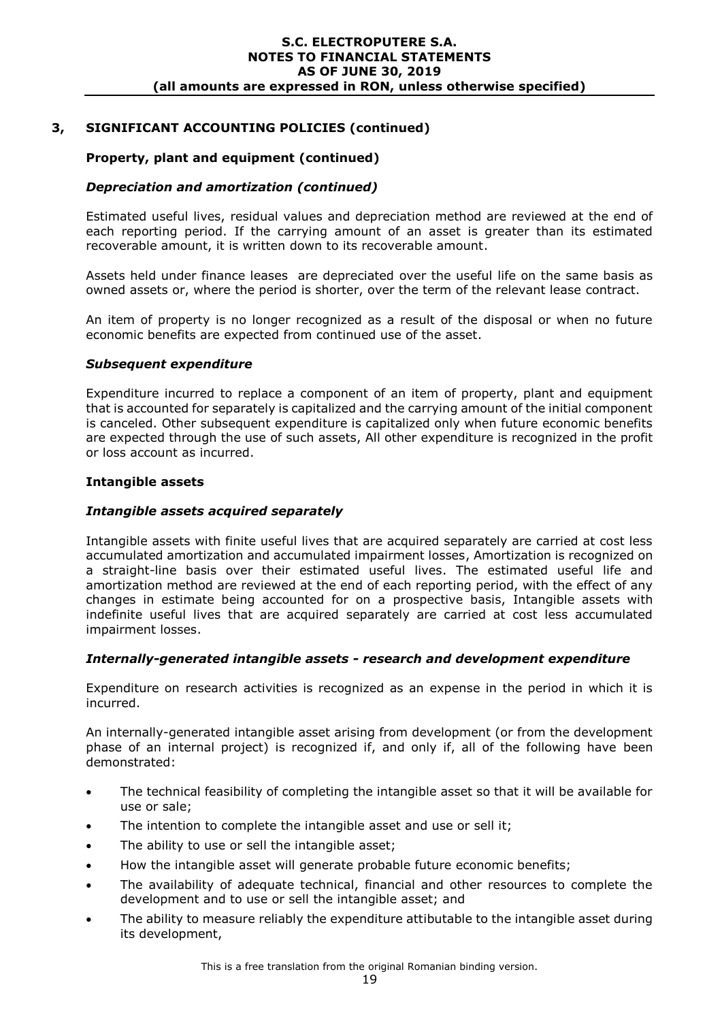# **3, SIGNIFICANT ACCOUNTING POLICIES (continued)**

### **Property, plant and equipment (continued)**

### *Depreciation and amortization (continued)*

Estimated useful lives, residual values and depreciation method are reviewed at the end of each reporting period. If the carrying amount of an asset is greater than its estimated recoverable amount, it is written down to its recoverable amount.

Assets held under finance leases are depreciated over the useful life on the same basis as owned assets or, where the period is shorter, over the term of the relevant lease contract.

An item of property is no longer recognized as a result of the disposal or when no future economic benefits are expected from continued use of the asset.

#### *Subsequent expenditure*

Expenditure incurred to replace a component of an item of property, plant and equipment that is accounted for separately is capitalized and the carrying amount of the initial component is canceled. Other subsequent expenditure is capitalized only when future economic benefits are expected through the use of such assets, All other expenditure is recognized in the profit or loss account as incurred.

#### **Intangible assets**

#### *Intangible assets acquired separately*

Intangible assets with finite useful lives that are acquired separately are carried at cost less accumulated amortization and accumulated impairment losses, Amortization is recognized on a straight-line basis over their estimated useful lives. The estimated useful life and amortization method are reviewed at the end of each reporting period, with the effect of any changes in estimate being accounted for on a prospective basis, Intangible assets with indefinite useful lives that are acquired separately are carried at cost less accumulated impairment losses.

### *Internally-generated intangible assets - research and development expenditure*

Expenditure on research activities is recognized as an expense in the period in which it is incurred.

An internally-generated intangible asset arising from development (or from the development phase of an internal project) is recognized if, and only if, all of the following have been demonstrated:

- The technical feasibility of completing the intangible asset so that it will be available for use or sale;
- The intention to complete the intangible asset and use or sell it;
- The ability to use or sell the intangible asset;
- How the intangible asset will generate probable future economic benefits;
- The availability of adequate technical, financial and other resources to complete the development and to use or sell the intangible asset; and
- The ability to measure reliably the expenditure attibutable to the intangible asset during its development,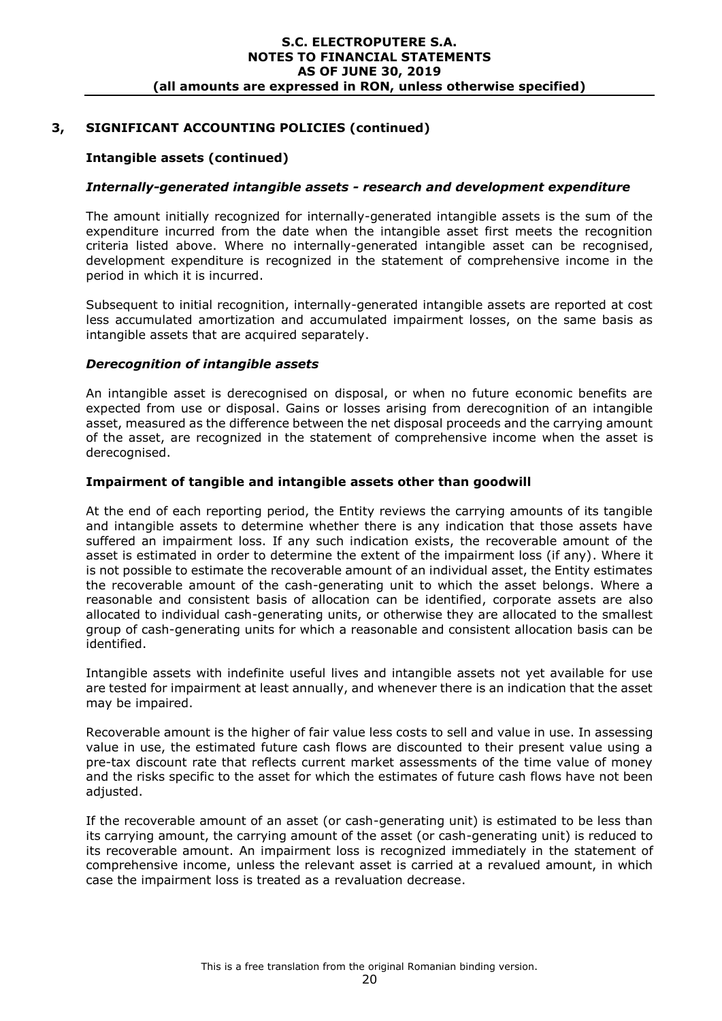### **Intangible assets (continued)**

#### *Internally-generated intangible assets - research and development expenditure*

The amount initially recognized for internally-generated intangible assets is the sum of the expenditure incurred from the date when the intangible asset first meets the recognition criteria listed above. Where no internally-generated intangible asset can be recognised, development expenditure is recognized in the statement of comprehensive income in the period in which it is incurred.

Subsequent to initial recognition, internally-generated intangible assets are reported at cost less accumulated amortization and accumulated impairment losses, on the same basis as intangible assets that are acquired separately.

### *Derecognition of intangible assets*

An intangible asset is derecognised on disposal, or when no future economic benefits are expected from use or disposal. Gains or losses arising from derecognition of an intangible asset, measured as the difference between the net disposal proceeds and the carrying amount of the asset, are recognized in the statement of comprehensive income when the asset is derecognised.

### **Impairment of tangible and intangible assets other than goodwill**

At the end of each reporting period, the Entity reviews the carrying amounts of its tangible and intangible assets to determine whether there is any indication that those assets have suffered an impairment loss. If any such indication exists, the recoverable amount of the asset is estimated in order to determine the extent of the impairment loss (if any). Where it is not possible to estimate the recoverable amount of an individual asset, the Entity estimates the recoverable amount of the cash-generating unit to which the asset belongs. Where a reasonable and consistent basis of allocation can be identified, corporate assets are also allocated to individual cash-generating units, or otherwise they are allocated to the smallest group of cash-generating units for which a reasonable and consistent allocation basis can be identified.

Intangible assets with indefinite useful lives and intangible assets not yet available for use are tested for impairment at least annually, and whenever there is an indication that the asset may be impaired.

Recoverable amount is the higher of fair value less costs to sell and value in use. In assessing value in use, the estimated future cash flows are discounted to their present value using a pre-tax discount rate that reflects current market assessments of the time value of money and the risks specific to the asset for which the estimates of future cash flows have not been adjusted.

If the recoverable amount of an asset (or cash-generating unit) is estimated to be less than its carrying amount, the carrying amount of the asset (or cash-generating unit) is reduced to its recoverable amount. An impairment loss is recognized immediately in the statement of comprehensive income, unless the relevant asset is carried at a revalued amount, in which case the impairment loss is treated as a revaluation decrease.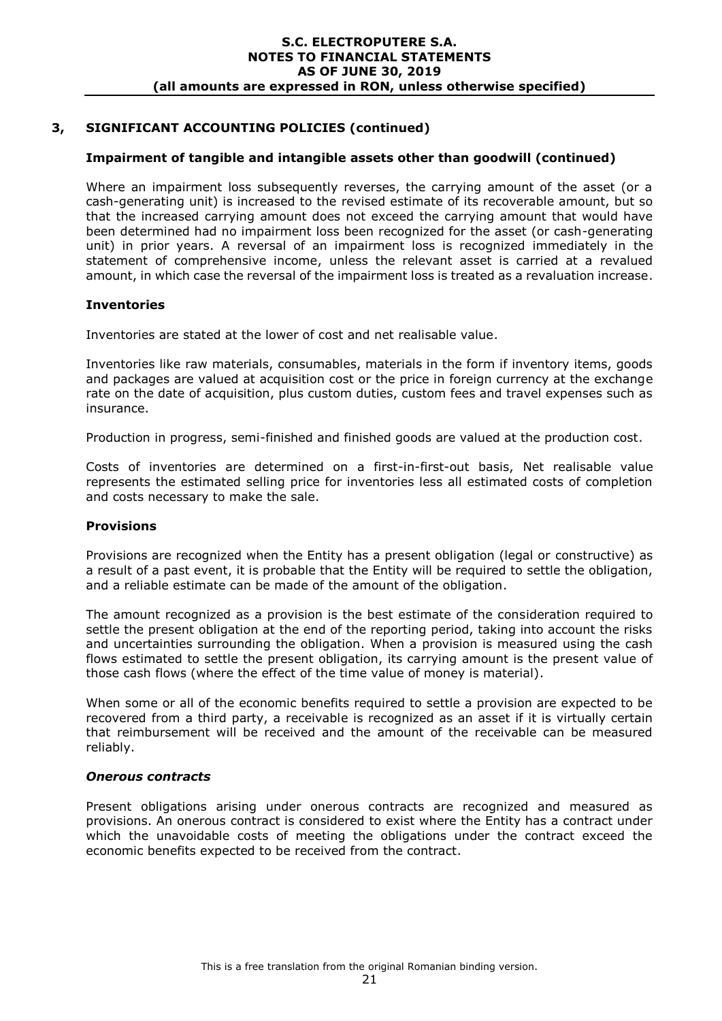### **Impairment of tangible and intangible assets other than goodwill (continued)**

Where an impairment loss subsequently reverses, the carrying amount of the asset (or a cash-generating unit) is increased to the revised estimate of its recoverable amount, but so that the increased carrying amount does not exceed the carrying amount that would have been determined had no impairment loss been recognized for the asset (or cash-generating unit) in prior years. A reversal of an impairment loss is recognized immediately in the statement of comprehensive income, unless the relevant asset is carried at a revalued amount, in which case the reversal of the impairment loss is treated as a revaluation increase.

### **Inventories**

Inventories are stated at the lower of cost and net realisable value.

Inventories like raw materials, consumables, materials in the form if inventory items, goods and packages are valued at acquisition cost or the price in foreign currency at the exchange rate on the date of acquisition, plus custom duties, custom fees and travel expenses such as insurance.

Production in progress, semi-finished and finished goods are valued at the production cost.

Costs of inventories are determined on a first-in-first-out basis, Net realisable value represents the estimated selling price for inventories less all estimated costs of completion and costs necessary to make the sale.

#### **Provisions**

Provisions are recognized when the Entity has a present obligation (legal or constructive) as a result of a past event, it is probable that the Entity will be required to settle the obligation, and a reliable estimate can be made of the amount of the obligation.

The amount recognized as a provision is the best estimate of the consideration required to settle the present obligation at the end of the reporting period, taking into account the risks and uncertainties surrounding the obligation. When a provision is measured using the cash flows estimated to settle the present obligation, its carrying amount is the present value of those cash flows (where the effect of the time value of money is material).

When some or all of the economic benefits required to settle a provision are expected to be recovered from a third party, a receivable is recognized as an asset if it is virtually certain that reimbursement will be received and the amount of the receivable can be measured reliably.

#### *Onerous contracts*

Present obligations arising under onerous contracts are recognized and measured as provisions. An onerous contract is considered to exist where the Entity has a contract under which the unavoidable costs of meeting the obligations under the contract exceed the economic benefits expected to be received from the contract.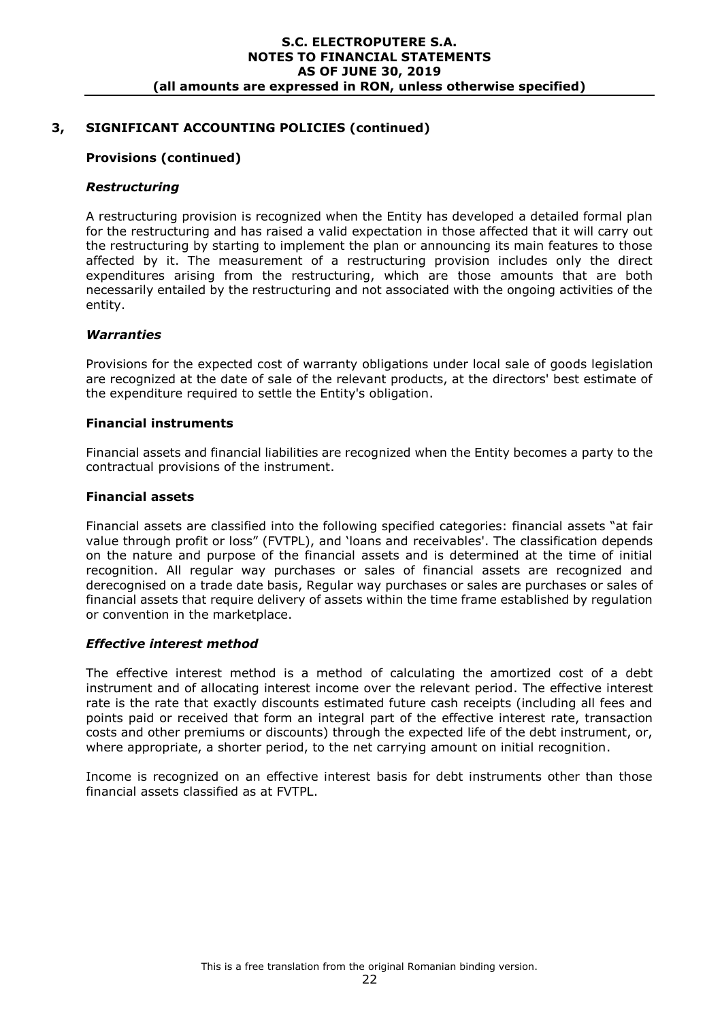### **Provisions (continued)**

### *Restructuring*

A restructuring provision is recognized when the Entity has developed a detailed formal plan for the restructuring and has raised a valid expectation in those affected that it will carry out the restructuring by starting to implement the plan or announcing its main features to those affected by it. The measurement of a restructuring provision includes only the direct expenditures arising from the restructuring, which are those amounts that are both necessarily entailed by the restructuring and not associated with the ongoing activities of the entity.

#### *Warranties*

Provisions for the expected cost of warranty obligations under local sale of goods legislation are recognized at the date of sale of the relevant products, at the directors' best estimate of the expenditure required to settle the Entity's obligation.

#### **Financial instruments**

Financial assets and financial liabilities are recognized when the Entity becomes a party to the contractual provisions of the instrument.

### **Financial assets**

Financial assets are classified into the following specified categories: financial assets "at fair value through profit or loss" (FVTPL), and 'loans and receivables'. The classification depends on the nature and purpose of the financial assets and is determined at the time of initial recognition. All regular way purchases or sales of financial assets are recognized and derecognised on a trade date basis, Regular way purchases or sales are purchases or sales of financial assets that require delivery of assets within the time frame established by regulation or convention in the marketplace.

#### *Effective interest method*

The effective interest method is a method of calculating the amortized cost of a debt instrument and of allocating interest income over the relevant period. The effective interest rate is the rate that exactly discounts estimated future cash receipts (including all fees and points paid or received that form an integral part of the effective interest rate, transaction costs and other premiums or discounts) through the expected life of the debt instrument, or, where appropriate, a shorter period, to the net carrying amount on initial recognition.

Income is recognized on an effective interest basis for debt instruments other than those financial assets classified as at FVTPL.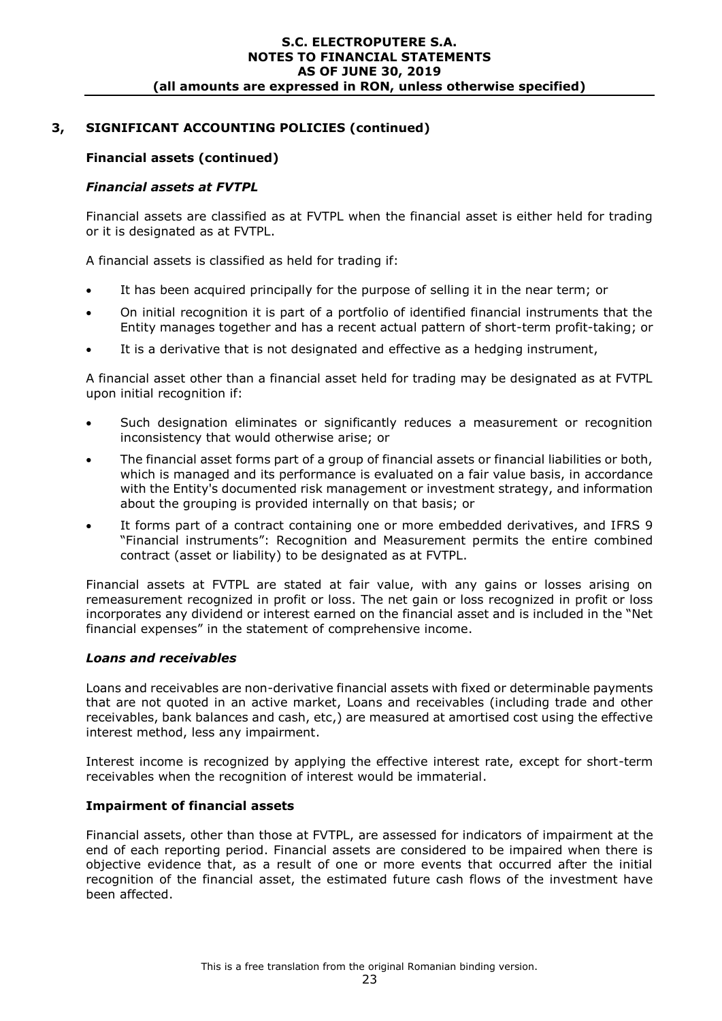# **3, SIGNIFICANT ACCOUNTING POLICIES (continued)**

### **Financial assets (continued)**

### *Financial assets at FVTPL*

Financial assets are classified as at FVTPL when the financial asset is either held for trading or it is designated as at FVTPL.

A financial assets is classified as held for trading if:

- It has been acquired principally for the purpose of selling it in the near term; or
- On initial recognition it is part of a portfolio of identified financial instruments that the Entity manages together and has a recent actual pattern of short-term profit-taking; or
- It is a derivative that is not designated and effective as a hedging instrument,

A financial asset other than a financial asset held for trading may be designated as at FVTPL upon initial recognition if:

- Such designation eliminates or significantly reduces a measurement or recognition inconsistency that would otherwise arise; or
- The financial asset forms part of a group of financial assets or financial liabilities or both, which is managed and its performance is evaluated on a fair value basis, in accordance with the Entity's documented risk management or investment strategy, and information about the grouping is provided internally on that basis; or
- It forms part of a contract containing one or more embedded derivatives, and IFRS 9 "Financial instruments": Recognition and Measurement permits the entire combined contract (asset or liability) to be designated as at FVTPL.

Financial assets at FVTPL are stated at fair value, with any gains or losses arising on remeasurement recognized in profit or loss. The net gain or loss recognized in profit or loss incorporates any dividend or interest earned on the financial asset and is included in the "Net financial expenses" in the statement of comprehensive income.

### *Loans and receivables*

Loans and receivables are non-derivative financial assets with fixed or determinable payments that are not quoted in an active market, Loans and receivables (including trade and other receivables, bank balances and cash, etc,) are measured at amortised cost using the effective interest method, less any impairment.

Interest income is recognized by applying the effective interest rate, except for short-term receivables when the recognition of interest would be immaterial.

#### **Impairment of financial assets**

Financial assets, other than those at FVTPL, are assessed for indicators of impairment at the end of each reporting period. Financial assets are considered to be impaired when there is objective evidence that, as a result of one or more events that occurred after the initial recognition of the financial asset, the estimated future cash flows of the investment have been affected.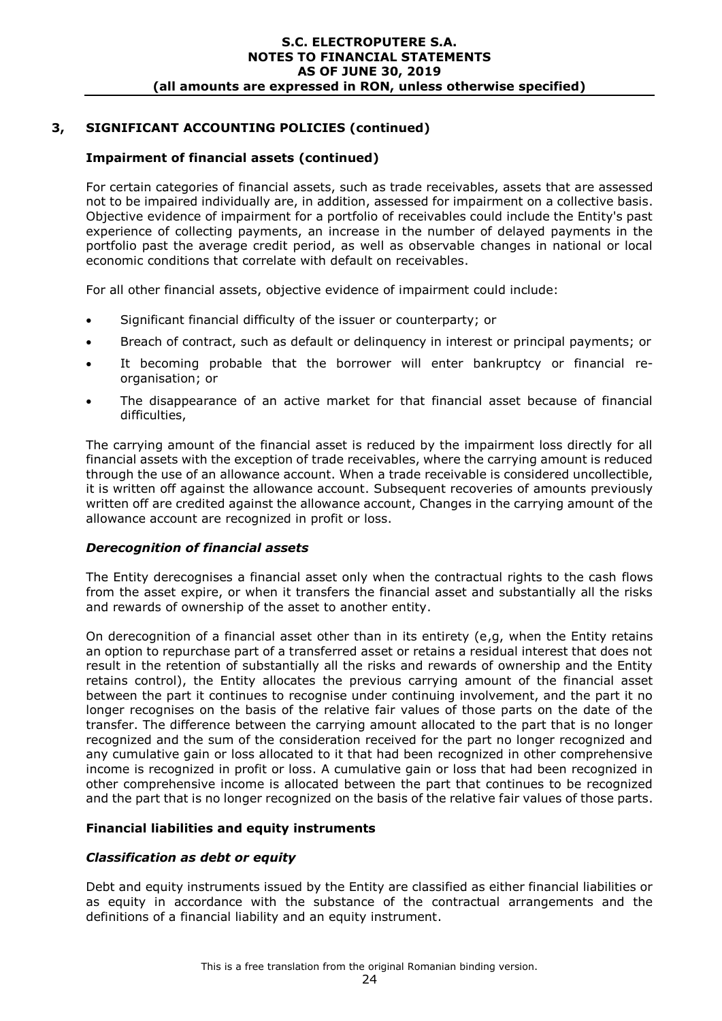# **Impairment of financial assets (continued)**

For certain categories of financial assets, such as trade receivables, assets that are assessed not to be impaired individually are, in addition, assessed for impairment on a collective basis. Objective evidence of impairment for a portfolio of receivables could include the Entity's past experience of collecting payments, an increase in the number of delayed payments in the portfolio past the average credit period, as well as observable changes in national or local economic conditions that correlate with default on receivables.

For all other financial assets, objective evidence of impairment could include:

- Significant financial difficulty of the issuer or counterparty; or
- Breach of contract, such as default or delinquency in interest or principal payments; or
- It becoming probable that the borrower will enter bankruptcy or financial reorganisation; or
- The disappearance of an active market for that financial asset because of financial difficulties,

The carrying amount of the financial asset is reduced by the impairment loss directly for all financial assets with the exception of trade receivables, where the carrying amount is reduced through the use of an allowance account. When a trade receivable is considered uncollectible, it is written off against the allowance account. Subsequent recoveries of amounts previously written off are credited against the allowance account, Changes in the carrying amount of the allowance account are recognized in profit or loss.

### *Derecognition of financial assets*

The Entity derecognises a financial asset only when the contractual rights to the cash flows from the asset expire, or when it transfers the financial asset and substantially all the risks and rewards of ownership of the asset to another entity.

On derecognition of a financial asset other than in its entirety (e,g, when the Entity retains an option to repurchase part of a transferred asset or retains a residual interest that does not result in the retention of substantially all the risks and rewards of ownership and the Entity retains control), the Entity allocates the previous carrying amount of the financial asset between the part it continues to recognise under continuing involvement, and the part it no longer recognises on the basis of the relative fair values of those parts on the date of the transfer. The difference between the carrying amount allocated to the part that is no longer recognized and the sum of the consideration received for the part no longer recognized and any cumulative gain or loss allocated to it that had been recognized in other comprehensive income is recognized in profit or loss. A cumulative gain or loss that had been recognized in other comprehensive income is allocated between the part that continues to be recognized and the part that is no longer recognized on the basis of the relative fair values of those parts.

### **Financial liabilities and equity instruments**

#### *Classification as debt or equity*

Debt and equity instruments issued by the Entity are classified as either financial liabilities or as equity in accordance with the substance of the contractual arrangements and the definitions of a financial liability and an equity instrument.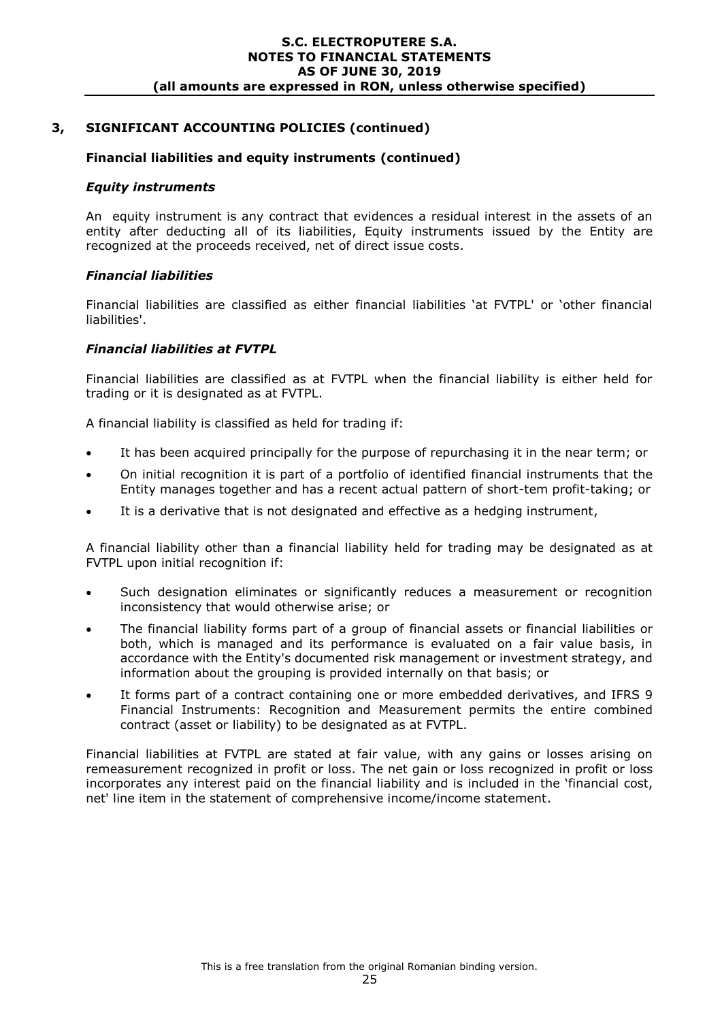### **3, SIGNIFICANT ACCOUNTING POLICIES (continued)**

#### **Financial liabilities and equity instruments (continued)**

#### *Equity instruments*

An equity instrument is any contract that evidences a residual interest in the assets of an entity after deducting all of its liabilities, Equity instruments issued by the Entity are recognized at the proceeds received, net of direct issue costs.

#### *Financial liabilities*

Financial liabilities are classified as either financial liabilities 'at FVTPL' or 'other financial liabilities'.

#### *Financial liabilities at FVTPL*

Financial liabilities are classified as at FVTPL when the financial liability is either held for trading or it is designated as at FVTPL.

A financial liability is classified as held for trading if:

- It has been acquired principally for the purpose of repurchasing it in the near term; or
- On initial recognition it is part of a portfolio of identified financial instruments that the Entity manages together and has a recent actual pattern of short-tem profit-taking; or
- It is a derivative that is not designated and effective as a hedging instrument,

A financial liability other than a financial liability held for trading may be designated as at FVTPL upon initial recognition if:

- Such designation eliminates or significantly reduces a measurement or recognition inconsistency that would otherwise arise; or
- The financial liability forms part of a group of financial assets or financial liabilities or both, which is managed and its performance is evaluated on a fair value basis, in accordance with the Entity's documented risk management or investment strategy, and information about the grouping is provided internally on that basis; or
- It forms part of a contract containing one or more embedded derivatives, and IFRS 9 Financial Instruments: Recognition and Measurement permits the entire combined contract (asset or liability) to be designated as at FVTPL.

Financial liabilities at FVTPL are stated at fair value, with any gains or losses arising on remeasurement recognized in profit or loss. The net gain or loss recognized in profit or loss incorporates any interest paid on the financial liability and is included in the 'financial cost, net' line item in the statement of comprehensive income/income statement.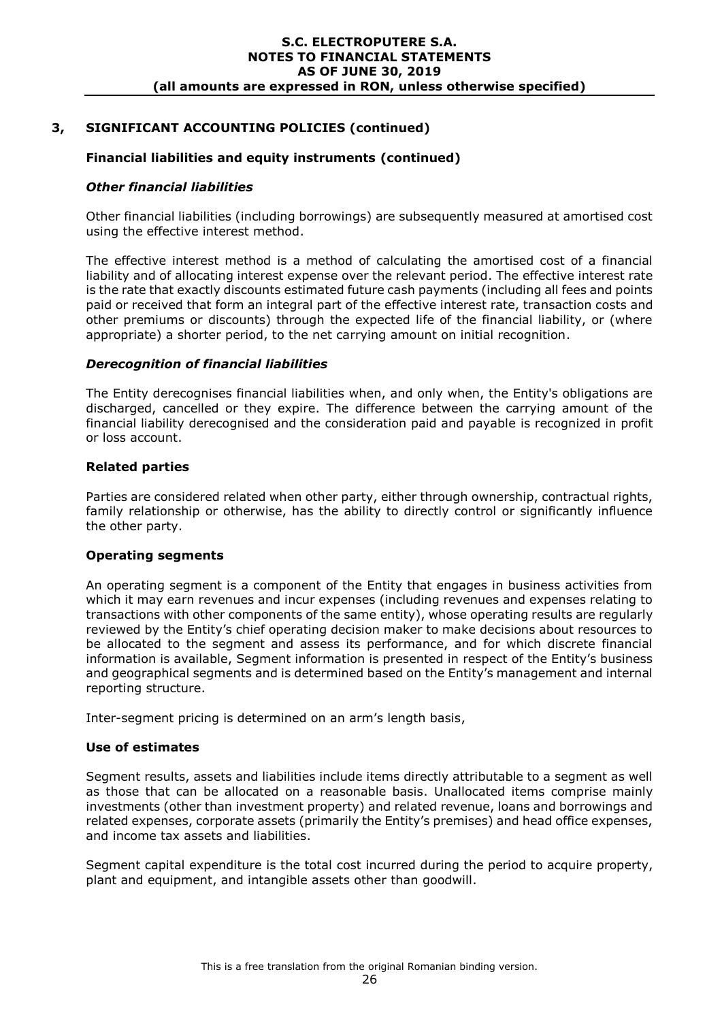# **3, SIGNIFICANT ACCOUNTING POLICIES (continued)**

### **Financial liabilities and equity instruments (continued)**

#### *Other financial liabilities*

Other financial liabilities (including borrowings) are subsequently measured at amortised cost using the effective interest method.

The effective interest method is a method of calculating the amortised cost of a financial liability and of allocating interest expense over the relevant period. The effective interest rate is the rate that exactly discounts estimated future cash payments (including all fees and points paid or received that form an integral part of the effective interest rate, transaction costs and other premiums or discounts) through the expected life of the financial liability, or (where appropriate) a shorter period, to the net carrying amount on initial recognition.

#### *Derecognition of financial liabilities*

The Entity derecognises financial liabilities when, and only when, the Entity's obligations are discharged, cancelled or they expire. The difference between the carrying amount of the financial liability derecognised and the consideration paid and payable is recognized in profit or loss account.

### **Related parties**

Parties are considered related when other party, either through ownership, contractual rights, family relationship or otherwise, has the ability to directly control or significantly influence the other party.

#### **Operating segments**

An operating segment is a component of the Entity that engages in business activities from which it may earn revenues and incur expenses (including revenues and expenses relating to transactions with other components of the same entity), whose operating results are regularly reviewed by the Entity's chief operating decision maker to make decisions about resources to be allocated to the segment and assess its performance, and for which discrete financial information is available, Segment information is presented in respect of the Entity's business and geographical segments and is determined based on the Entity's management and internal reporting structure.

Inter-segment pricing is determined on an arm's length basis,

#### **Use of estimates**

Segment results, assets and liabilities include items directly attributable to a segment as well as those that can be allocated on a reasonable basis. Unallocated items comprise mainly investments (other than investment property) and related revenue, loans and borrowings and related expenses, corporate assets (primarily the Entity's premises) and head office expenses, and income tax assets and liabilities.

Segment capital expenditure is the total cost incurred during the period to acquire property, plant and equipment, and intangible assets other than goodwill.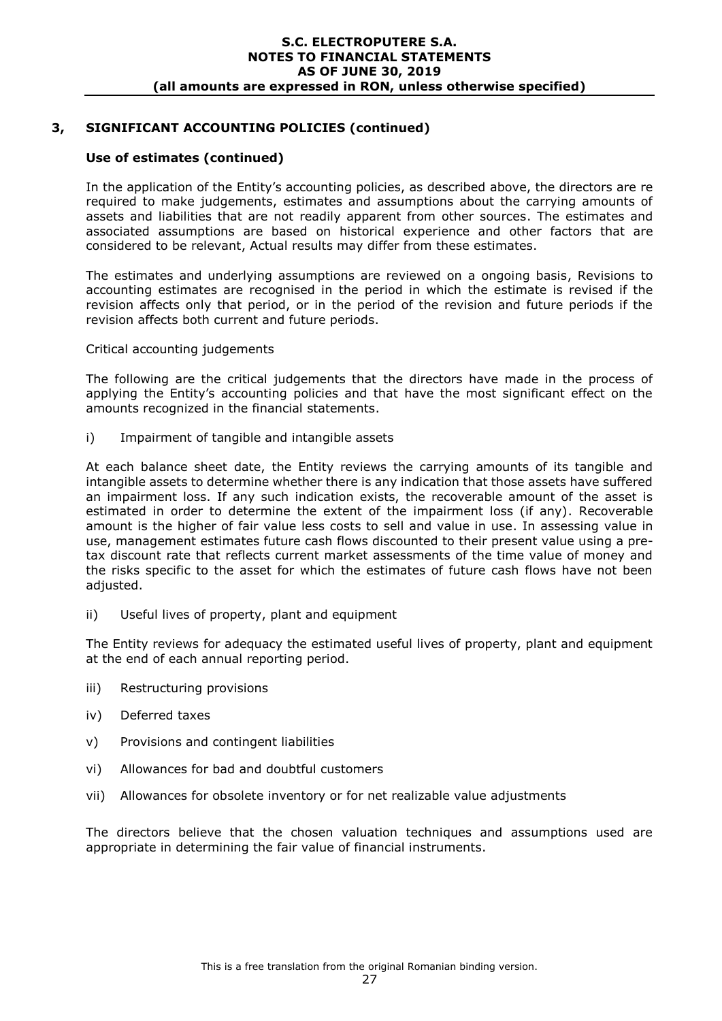### **Use of estimates (continued)**

In the application of the Entity's accounting policies, as described above, the directors are re required to make judgements, estimates and assumptions about the carrying amounts of assets and liabilities that are not readily apparent from other sources. The estimates and associated assumptions are based on historical experience and other factors that are considered to be relevant, Actual results may differ from these estimates.

The estimates and underlying assumptions are reviewed on a ongoing basis, Revisions to accounting estimates are recognised in the period in which the estimate is revised if the revision affects only that period, or in the period of the revision and future periods if the revision affects both current and future periods.

Critical accounting judgements

The following are the critical judgements that the directors have made in the process of applying the Entity's accounting policies and that have the most significant effect on the amounts recognized in the financial statements.

i) Impairment of tangible and intangible assets

At each balance sheet date, the Entity reviews the carrying amounts of its tangible and intangible assets to determine whether there is any indication that those assets have suffered an impairment loss. If any such indication exists, the recoverable amount of the asset is estimated in order to determine the extent of the impairment loss (if any). Recoverable amount is the higher of fair value less costs to sell and value in use. In assessing value in use, management estimates future cash flows discounted to their present value using a pretax discount rate that reflects current market assessments of the time value of money and the risks specific to the asset for which the estimates of future cash flows have not been adjusted.

ii) Useful lives of property, plant and equipment

The Entity reviews for adequacy the estimated useful lives of property, plant and equipment at the end of each annual reporting period.

- iii) Restructuring provisions
- iv) Deferred taxes
- v) Provisions and contingent liabilities
- vi) Allowances for bad and doubtful customers
- vii) Allowances for obsolete inventory or for net realizable value adjustments

The directors believe that the chosen valuation techniques and assumptions used are appropriate in determining the fair value of financial instruments.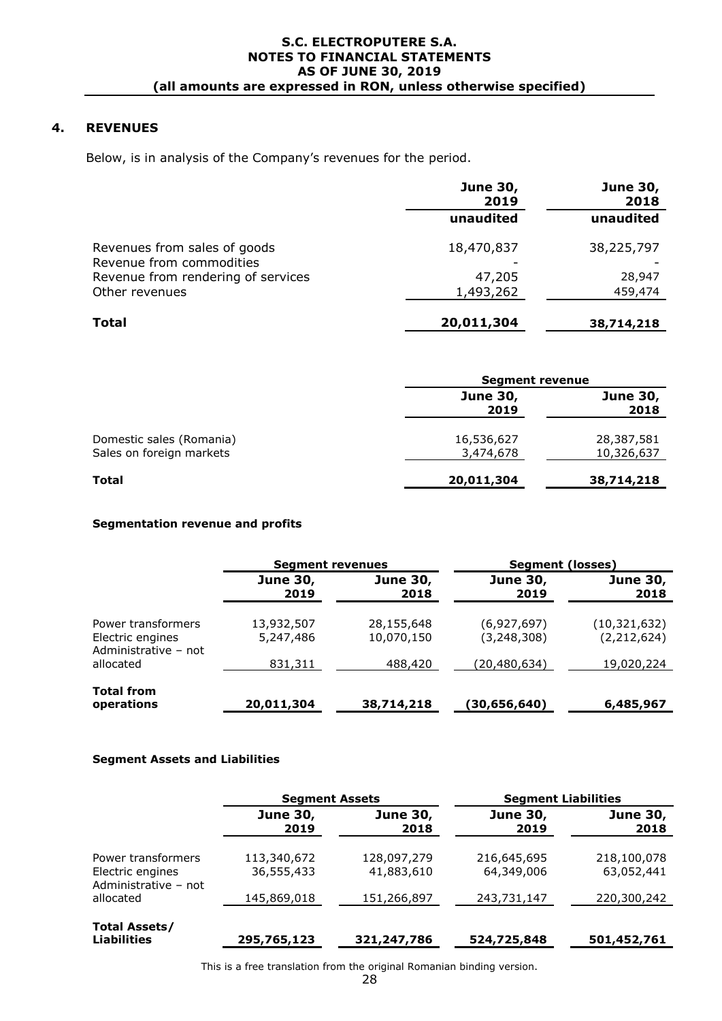# **4. REVENUES**

Below, is in analysis of the Company's revenues for the period.

|                                                          | <b>June 30,</b><br>2019 | <b>June 30,</b><br>2018 |
|----------------------------------------------------------|-------------------------|-------------------------|
|                                                          | unaudited               | unaudited               |
| Revenues from sales of goods<br>Revenue from commodities | 18,470,837              | 38,225,797              |
| Revenue from rendering of services                       | 47,205                  | 28,947                  |
| Other revenues                                           | 1,493,262               | 459,474                 |
| <b>Total</b>                                             | 20,011,304              | 38,714,218              |

|                                                      | <b>Segment revenue</b>  |                          |  |
|------------------------------------------------------|-------------------------|--------------------------|--|
|                                                      | <b>June 30,</b><br>2019 | <b>June 30,</b><br>2018  |  |
| Domestic sales (Romania)<br>Sales on foreign markets | 16,536,627<br>3,474,678 | 28,387,581<br>10,326,637 |  |
| Total                                                | 20,011,304              | 38,714,218               |  |

#### **Segmentation revenue and profits**

|                                                                |                                                    | <b>Segment revenues</b>  |                              | Segment (losses)              |  |
|----------------------------------------------------------------|----------------------------------------------------|--------------------------|------------------------------|-------------------------------|--|
|                                                                | <b>June 30,</b><br><b>June 30,</b><br>2019<br>2018 |                          | <b>June 30,</b><br>2019      | <b>June 30,</b><br>2018       |  |
| Power transformers<br>Electric engines<br>Administrative - not | 13,932,507<br>5,247,486                            | 28,155,648<br>10,070,150 | (6,927,697)<br>(3, 248, 308) | (10,321,632)<br>(2, 212, 624) |  |
| allocated                                                      | 831,311                                            | 488,420                  | (20, 480, 634)               | 19,020,224                    |  |
| <b>Total from</b><br>operations                                | 20,011,304                                         | 38,714,218               | (30,656,640)                 | 6,485,967                     |  |

#### **Segment Assets and Liabilities**

|                                                                | <b>Segment Assets</b>                              |                           | <b>Segment Liabilities</b> |                           |  |
|----------------------------------------------------------------|----------------------------------------------------|---------------------------|----------------------------|---------------------------|--|
|                                                                | <b>June 30,</b><br><b>June 30,</b><br>2019<br>2018 |                           | <b>June 30,</b><br>2019    | <b>June 30,</b><br>2018   |  |
| Power transformers<br>Electric engines<br>Administrative - not | 113,340,672<br>36,555,433                          | 128,097,279<br>41,883,610 | 216,645,695<br>64,349,006  | 218,100,078<br>63,052,441 |  |
| allocated                                                      | 145,869,018                                        | 151,266,897               | 243,731,147                | 220,300,242               |  |
| <b>Total Assets/</b><br><b>Liabilities</b>                     | 295,765,123                                        | 321,247,786               | 524,725,848                | 501,452,761               |  |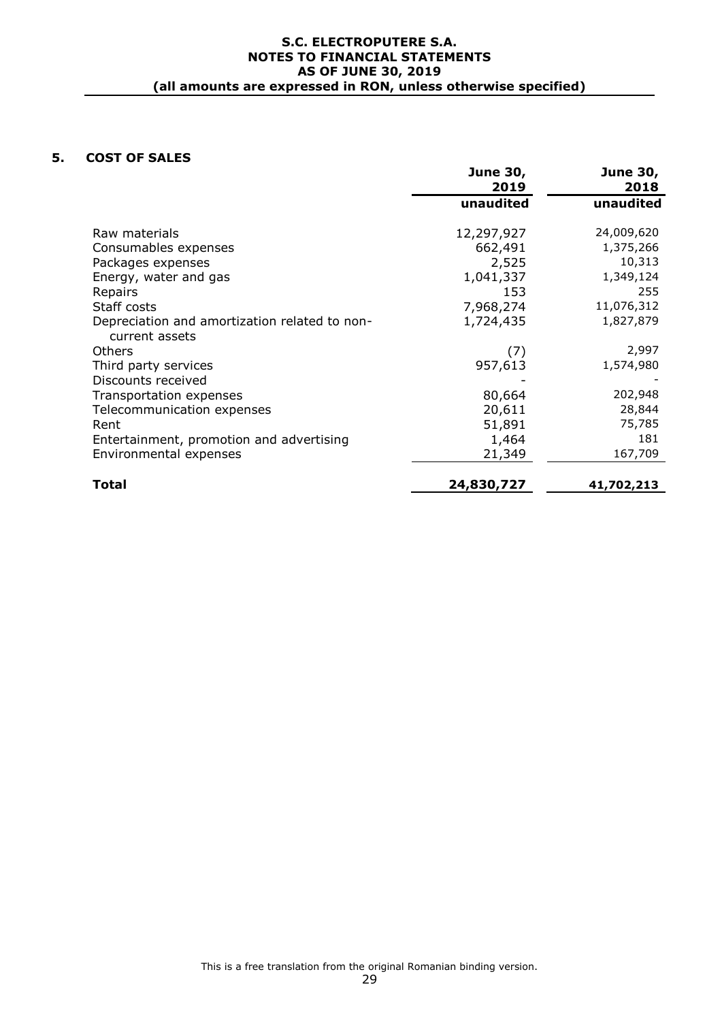### **5. COST OF SALES**

|                                                                 | <b>June 30,</b><br>2019 | <b>June 30,</b><br>2018 |
|-----------------------------------------------------------------|-------------------------|-------------------------|
|                                                                 | unaudited               | unaudited               |
| Raw materials                                                   | 12,297,927              | 24,009,620              |
| Consumables expenses                                            | 662,491                 | 1,375,266               |
| Packages expenses                                               | 2,525                   | 10,313                  |
| Energy, water and gas                                           | 1,041,337               | 1,349,124               |
| Repairs                                                         | 153                     | 255                     |
| Staff costs                                                     | 7,968,274               | 11,076,312              |
| Depreciation and amortization related to non-<br>current assets | 1,724,435               | 1,827,879               |
| Others                                                          | (7)                     | 2,997                   |
| Third party services                                            | 957,613                 | 1,574,980               |
| Discounts received                                              |                         |                         |
| Transportation expenses                                         | 80,664                  | 202,948                 |
| Telecommunication expenses                                      | 20,611                  | 28,844                  |
| Rent                                                            | 51,891                  | 75,785                  |
| Entertainment, promotion and advertising                        | 1,464                   | 181                     |
| Environmental expenses                                          | 21,349                  | 167,709                 |
| <b>Total</b>                                                    | 24,830,727              | 41,702,213              |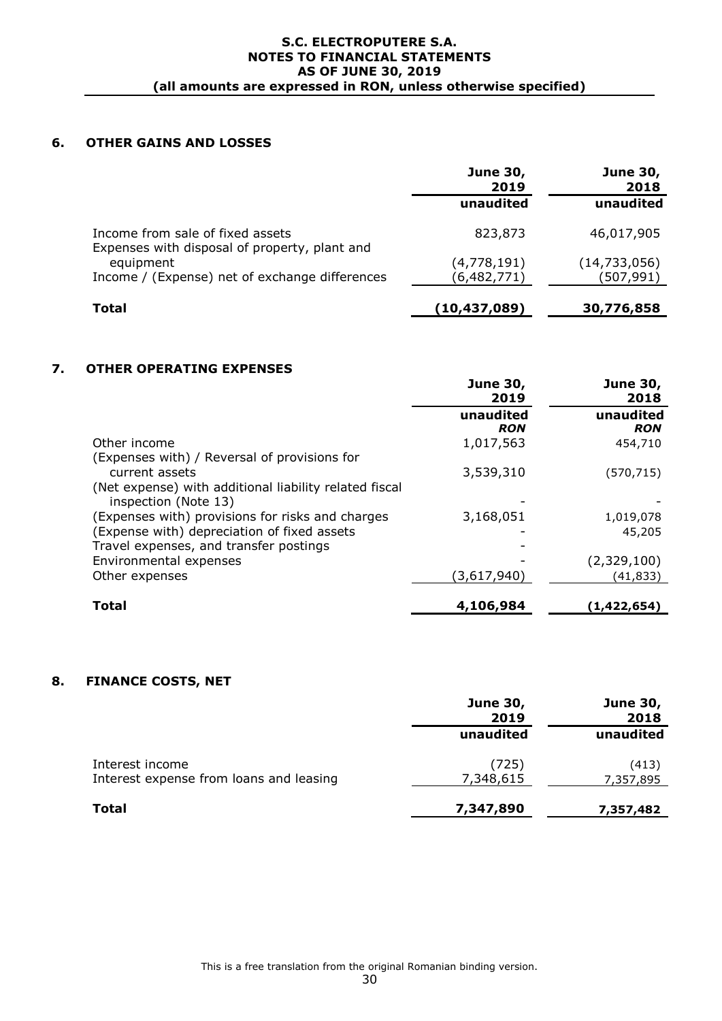# **6. OTHER GAINS AND LOSSES**

|                                                                                   | <b>June 30,</b><br>2019 | <b>June 30,</b><br>2018 |  |
|-----------------------------------------------------------------------------------|-------------------------|-------------------------|--|
|                                                                                   | unaudited               | unaudited               |  |
| Income from sale of fixed assets<br>Expenses with disposal of property, plant and | 823,873                 | 46,017,905              |  |
| equipment                                                                         | (4,778,191)             | (14, 733, 056)          |  |
| Income / (Expense) net of exchange differences                                    | (6, 482, 771)           | (507,991)               |  |
| Total                                                                             | (10, 437, 089)          | 30,776,858              |  |

# **7. OTHER OPERATING EXPENSES**

|                                                                                | <b>June 30,</b><br>2019 | <b>June 30,</b><br>2018 |
|--------------------------------------------------------------------------------|-------------------------|-------------------------|
|                                                                                | unaudited<br><b>RON</b> | unaudited<br><b>RON</b> |
| Other income                                                                   | 1,017,563               | 454,710                 |
| (Expenses with) / Reversal of provisions for<br>current assets                 | 3,539,310               | (570,715)               |
| (Net expense) with additional liability related fiscal<br>inspection (Note 13) |                         |                         |
| (Expenses with) provisions for risks and charges                               | 3,168,051               | 1,019,078               |
| (Expense with) depreciation of fixed assets                                    |                         | 45,205                  |
| Travel expenses, and transfer postings                                         |                         |                         |
| Environmental expenses                                                         |                         | (2,329,100)             |
| Other expenses                                                                 | (3,617,940)             | (41,833)                |
| Total                                                                          | 4,106,984               | (1,422,654)             |

### **8. FINANCE COSTS, NET**

|                                                            | <b>June 30,</b><br>2019 | <b>June 30,</b><br>2018 |  |
|------------------------------------------------------------|-------------------------|-------------------------|--|
|                                                            | unaudited               | unaudited               |  |
| Interest income<br>Interest expense from loans and leasing | (725)<br>7,348,615      | (413)<br>7,357,895      |  |
| <b>Total</b>                                               | 7,347,890               | 7,357,482               |  |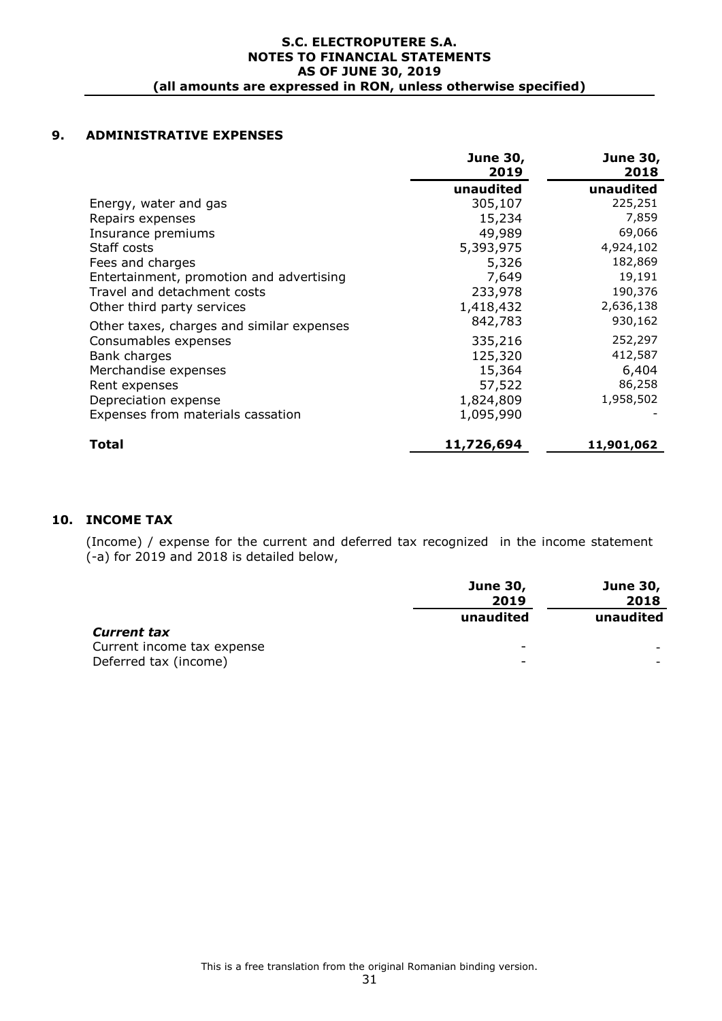### **9. ADMINISTRATIVE EXPENSES**

|                                           | <b>June 30,</b> | <b>June 30,</b> |
|-------------------------------------------|-----------------|-----------------|
|                                           | 2019            | 2018            |
|                                           | unaudited       | unaudited       |
| Energy, water and gas                     | 305,107         | 225,251         |
| Repairs expenses                          | 15,234          | 7,859           |
| Insurance premiums                        | 49,989          | 69,066          |
| Staff costs                               | 5,393,975       | 4,924,102       |
| Fees and charges                          | 5,326           | 182,869         |
| Entertainment, promotion and advertising  | 7,649           | 19,191          |
| Travel and detachment costs               | 233,978         | 190,376         |
| Other third party services                | 1,418,432       | 2,636,138       |
| Other taxes, charges and similar expenses | 842,783         | 930,162         |
| Consumables expenses                      | 335,216         | 252,297         |
| Bank charges                              | 125,320         | 412,587         |
| Merchandise expenses                      | 15,364          | 6,404           |
| Rent expenses                             | 57,522          | 86,258          |
| Depreciation expense                      | 1,824,809       | 1,958,502       |
| Expenses from materials cassation         | 1,095,990       |                 |
| Total                                     | 11,726,694      | 11,901,062      |

### **10. INCOME TAX**

(Income) / expense for the current and deferred tax recognized in the income statement (-a) for 2019 and 2018 is detailed below,

|                            | <b>June 30,</b><br>2019  | <b>June 30,</b><br>2018 |
|----------------------------|--------------------------|-------------------------|
|                            | unaudited                | unaudited               |
| <b>Current tax</b>         |                          |                         |
| Current income tax expense | $\overline{\phantom{0}}$ |                         |
| Deferred tax (income)      | $\overline{\phantom{0}}$ |                         |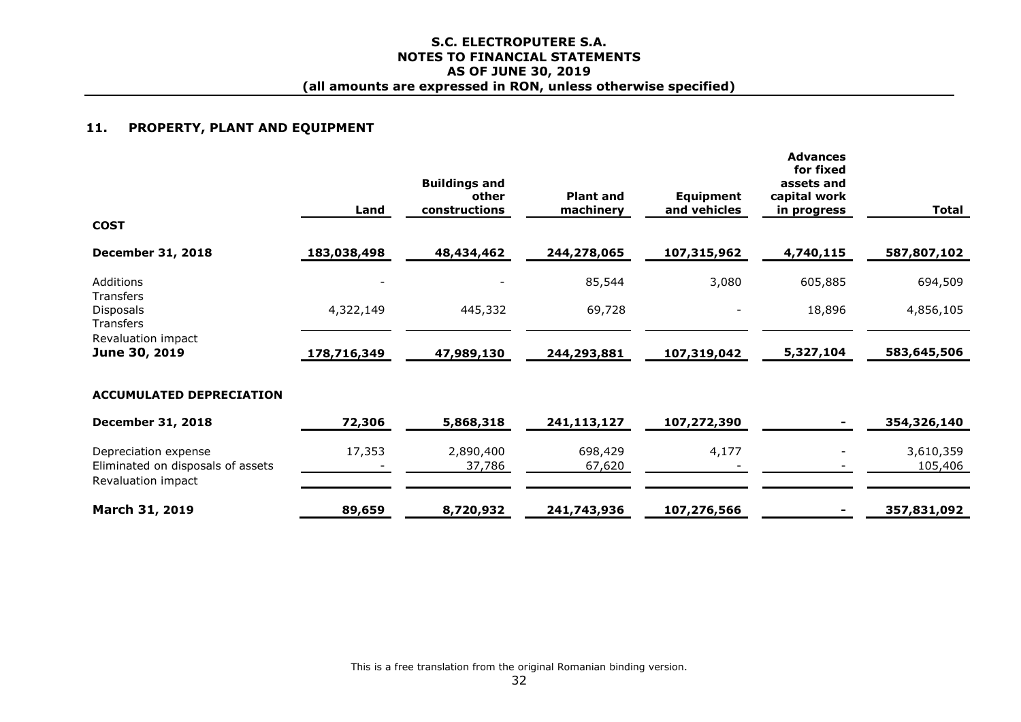#### **11. PROPERTY, PLANT AND EQUIPMENT**

|                                                                                 | Land        | <b>Buildings and</b><br>other<br>constructions | <b>Plant and</b><br>machinery | <b>Equipment</b><br>and vehicles | <b>Advances</b><br>for fixed<br>assets and<br>capital work<br><u>in progress</u> | <b>Total</b>         |
|---------------------------------------------------------------------------------|-------------|------------------------------------------------|-------------------------------|----------------------------------|----------------------------------------------------------------------------------|----------------------|
| <b>COST</b>                                                                     |             |                                                |                               |                                  |                                                                                  |                      |
| <b>December 31, 2018</b>                                                        | 183,038,498 | 48,434,462                                     | 244,278,065                   | 107,315,962                      | 4,740,115                                                                        | 587,807,102          |
| Additions                                                                       |             |                                                | 85,544                        | 3,080                            | 605,885                                                                          | 694,509              |
| Transfers<br>Disposals<br>Transfers                                             | 4,322,149   | 445,332                                        | 69,728                        |                                  | 18,896                                                                           | 4,856,105            |
| Revaluation impact<br>June 30, 2019                                             | 178,716,349 | 47,989,130                                     | 244,293,881                   | 107,319,042                      | 5,327,104                                                                        | 583,645,506          |
| <b>ACCUMULATED DEPRECIATION</b>                                                 |             |                                                |                               |                                  |                                                                                  |                      |
| <b>December 31, 2018</b>                                                        | 72,306      | 5,868,318                                      | 241,113,127                   | 107,272,390                      |                                                                                  | 354,326,140          |
| Depreciation expense<br>Eliminated on disposals of assets<br>Revaluation impact | 17,353      | 2,890,400<br>37,786                            | 698,429<br>67,620             | 4,177                            |                                                                                  | 3,610,359<br>105,406 |
| March 31, 2019                                                                  | 89,659      | 8,720,932                                      | 241,743,936                   | 107,276,566                      |                                                                                  | 357,831,092          |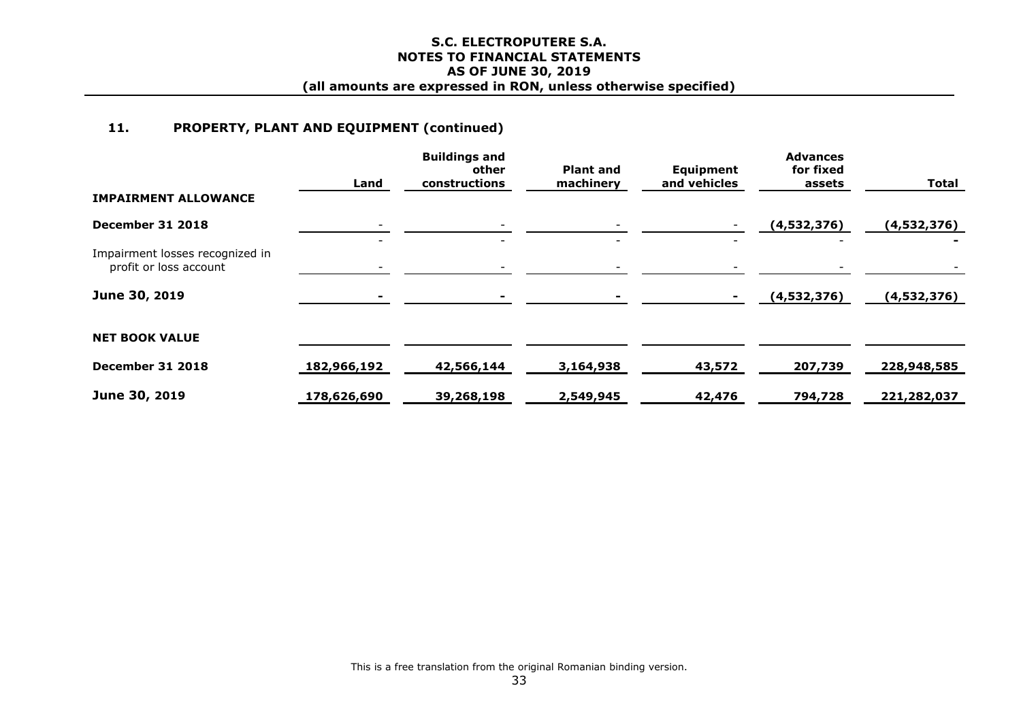# **11. PROPERTY, PLANT AND EQUIPMENT (continued)**

|                                                           | Land        | <b>Buildings and</b><br>other<br>constructions | <b>Plant and</b><br>machinery | Equipment<br>and vehicles | <b>Advances</b><br>for fixed<br>assets | <b>Total</b> |
|-----------------------------------------------------------|-------------|------------------------------------------------|-------------------------------|---------------------------|----------------------------------------|--------------|
| <b>IMPAIRMENT ALLOWANCE</b>                               |             |                                                |                               |                           |                                        |              |
| <b>December 31 2018</b>                                   |             |                                                |                               |                           | (4,532,376)                            | (4,532,376)  |
| Impairment losses recognized in<br>profit or loss account |             |                                                |                               |                           |                                        |              |
| June 30, 2019                                             |             |                                                |                               |                           | (4,532,376)                            | (4,532,376)  |
| <b>NET BOOK VALUE</b>                                     |             |                                                |                               |                           |                                        |              |
| December 31 2018                                          | 182,966,192 | 42,566,144                                     | 3,164,938                     | 43,572                    | 207,739                                | 228,948,585  |
| June 30, 2019                                             | 178,626,690 | 39,268,198                                     | 2,549,945                     | 42,476                    | 794,728                                | 221,282,037  |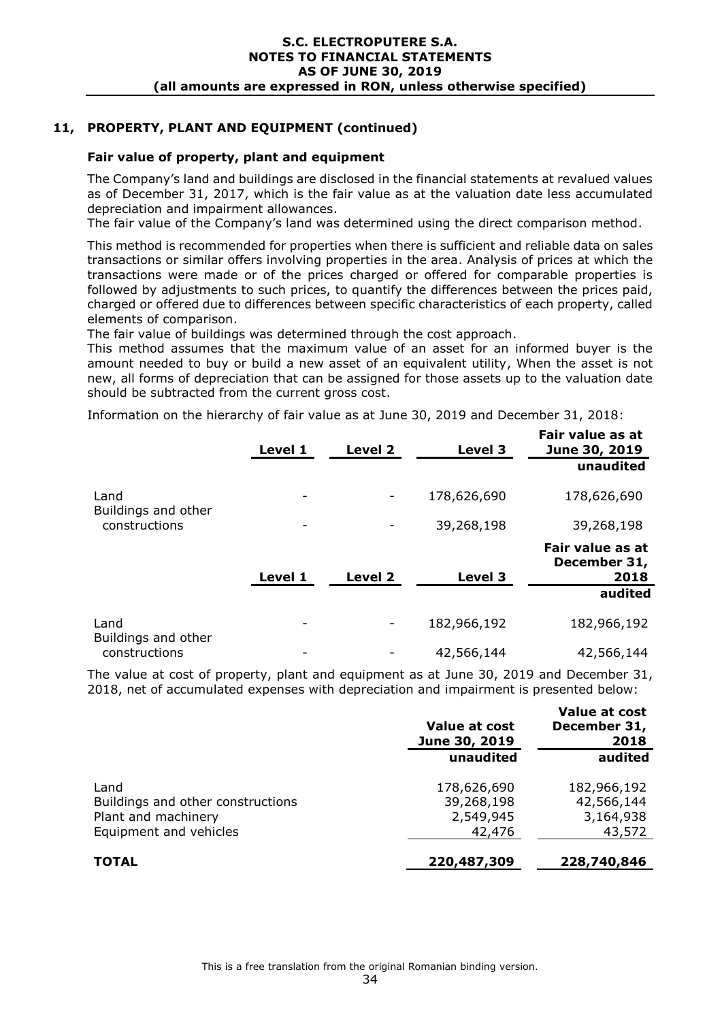# **11, PROPERTY, PLANT AND EQUIPMENT (continued)**

### **Fair value of property, plant and equipment**

The Company's land and buildings are disclosed in the financial statements at revalued values as of December 31, 2017, which is the fair value as at the valuation date less accumulated depreciation and impairment allowances.

The fair value of the Company's land was determined using the direct comparison method.

This method is recommended for properties when there is sufficient and reliable data on sales transactions or similar offers involving properties in the area. Analysis of prices at which the transactions were made or of the prices charged or offered for comparable properties is followed by adjustments to such prices, to quantify the differences between the prices paid, charged or offered due to differences between specific characteristics of each property, called elements of comparison.

The fair value of buildings was determined through the cost approach.

This method assumes that the maximum value of an asset for an informed buyer is the amount needed to buy or build a new asset of an equivalent utility, When the asset is not new, all forms of depreciation that can be assigned for those assets up to the valuation date should be subtracted from the current gross cost.

Information on the hierarchy of fair value as at June 30, 2019 and December 31, 2018:

|                             | Level 1 | Level 2 | Level 3     | Fair value as at<br>June 30, 2019 |
|-----------------------------|---------|---------|-------------|-----------------------------------|
|                             |         |         |             | unaudited                         |
| Land<br>Buildings and other | -       |         | 178,626,690 | 178,626,690                       |
| constructions               | -       |         | 39,268,198  | 39,268,198                        |
|                             |         |         |             | Fair value as at<br>December 31,  |
|                             | Level 1 | Level 2 | Level 3     | 2018                              |
|                             |         |         |             | audited                           |
| Land<br>Buildings and other | -       | ۰       | 182,966,192 | 182,966,192                       |
| constructions               |         |         | 42,566,144  | 42,566,144                        |

The value at cost of property, plant and equipment as at June 30, 2019 and December 31, 2018, net of accumulated expenses with depreciation and impairment is presented below:

| Value at cost<br>June 30, 2019 | Value at cost<br>December 31,<br>2018 |
|--------------------------------|---------------------------------------|
| unaudited                      | audited                               |
| 178,626,690                    | 182,966,192                           |
| 39,268,198                     | 42,566,144                            |
| 2,549,945                      | 3,164,938                             |
| 42,476                         | 43,572                                |
| 220,487,309                    | 228,740,846                           |
|                                |                                       |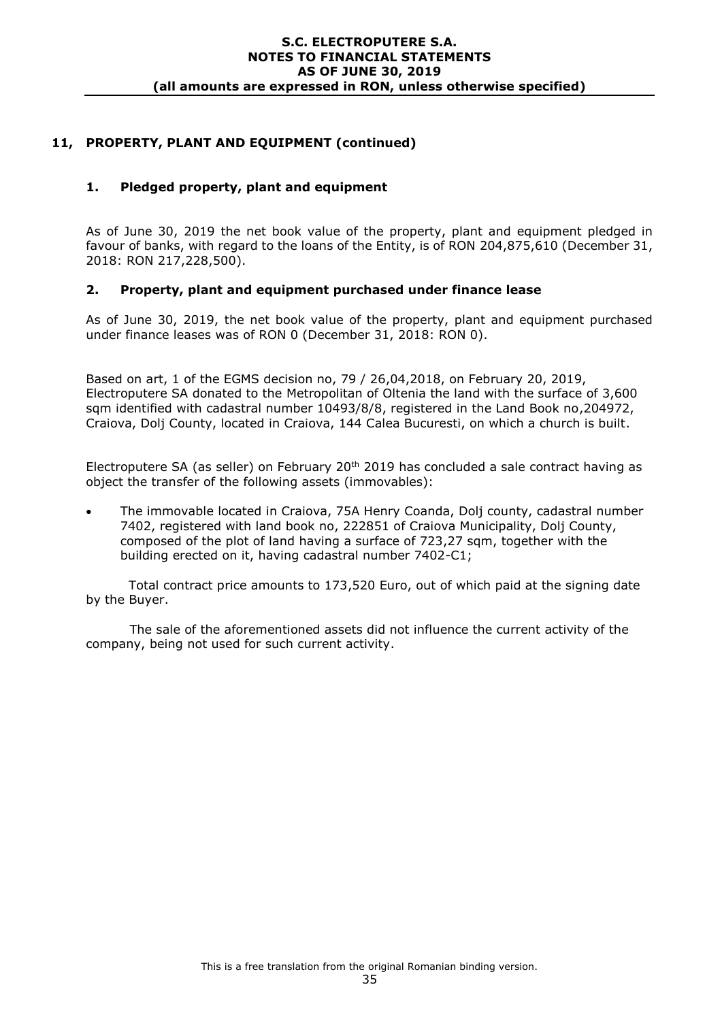# **11, PROPERTY, PLANT AND EQUIPMENT (continued)**

### **1. Pledged property, plant and equipment**

As of June 30, 2019 the net book value of the property, plant and equipment pledged in favour of banks, with regard to the loans of the Entity, is of RON 204,875,610 (December 31, 2018: RON 217,228,500).

### **2. Property, plant and equipment purchased under finance lease**

As of June 30, 2019, the net book value of the property, plant and equipment purchased under finance leases was of RON 0 (December 31, 2018: RON 0).

Based on art, 1 of the EGMS decision no, 79 / 26,04,2018, on February 20, 2019, Electroputere SA donated to the Metropolitan of Oltenia the land with the surface of 3,600 sqm identified with cadastral number 10493/8/8, registered in the Land Book no,204972, Craiova, Dolj County, located in Craiova, 144 Calea Bucuresti, on which a church is built.

Electroputere SA (as seller) on February 20<sup>th</sup> 2019 has concluded a sale contract having as object the transfer of the following assets (immovables):

 The immovable located in Craiova, 75A Henry Coanda, Dolj county, cadastral number 7402, registered with land book no, 222851 of Craiova Municipality, Dolj County, composed of the plot of land having a surface of 723,27 sqm, together with the building erected on it, having cadastral number 7402-C1;

 Total contract price amounts to 173,520 Euro, out of which paid at the signing date by the Buyer.

The sale of the aforementioned assets did not influence the current activity of the company, being not used for such current activity.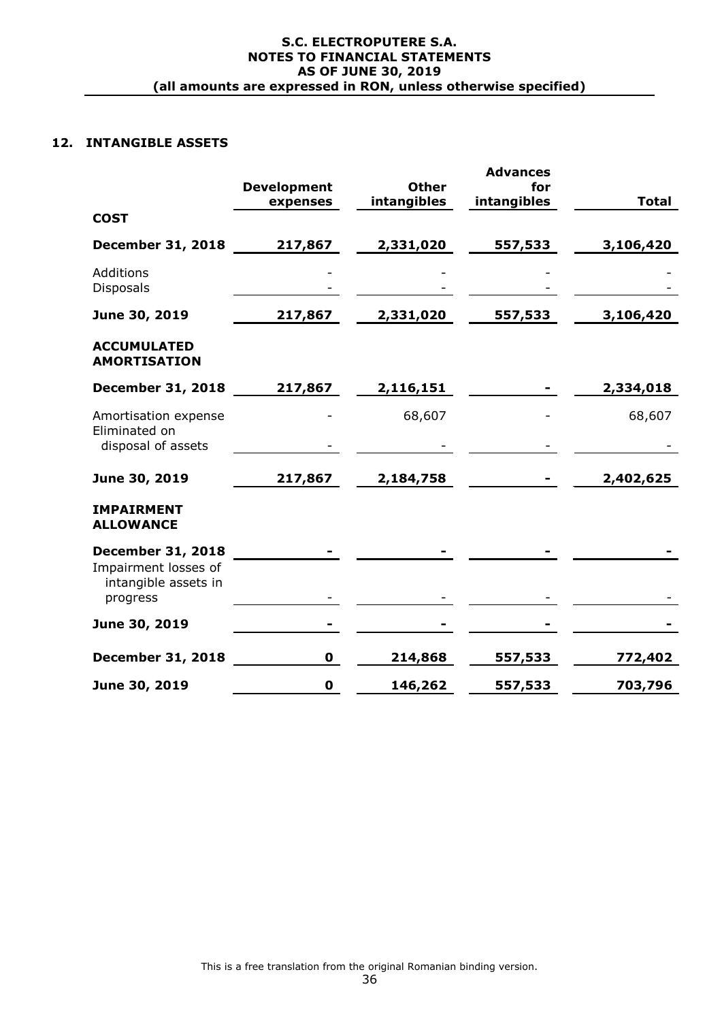# **12. INTANGIBLE ASSETS**

|                                                          | <b>Development</b> | <b>Other</b> | <b>Advances</b><br>for |              |
|----------------------------------------------------------|--------------------|--------------|------------------------|--------------|
|                                                          | expenses           | intangibles  | intangibles            | <b>Total</b> |
| <b>COST</b>                                              |                    |              |                        |              |
| <b>December 31, 2018</b>                                 | 217,867            | 2,331,020    | 557,533                | 3,106,420    |
| Additions<br><b>Disposals</b>                            |                    |              |                        |              |
| June 30, 2019                                            | 217,867            | 2,331,020    | 557,533                | 3,106,420    |
| <b>ACCUMULATED</b><br><b>AMORTISATION</b>                |                    |              |                        |              |
| <b>December 31, 2018</b>                                 | 217,867            | 2,116,151    |                        | 2,334,018    |
| Amortisation expense<br>Eliminated on                    |                    | 68,607       |                        | 68,607       |
| disposal of assets                                       |                    |              |                        |              |
| June 30, 2019                                            | 217,867            | 2,184,758    |                        | 2,402,625    |
| <b>IMPAIRMENT</b><br><b>ALLOWANCE</b>                    |                    |              |                        |              |
| <b>December 31, 2018</b>                                 |                    |              |                        |              |
| Impairment losses of<br>intangible assets in<br>progress |                    |              |                        |              |
| June 30, 2019                                            |                    |              |                        |              |
| <b>December 31, 2018</b>                                 | 0                  | 214,868      | 557,533                | 772,402      |
| June 30, 2019                                            | 0                  | 146,262      | 557,533                | 703,796      |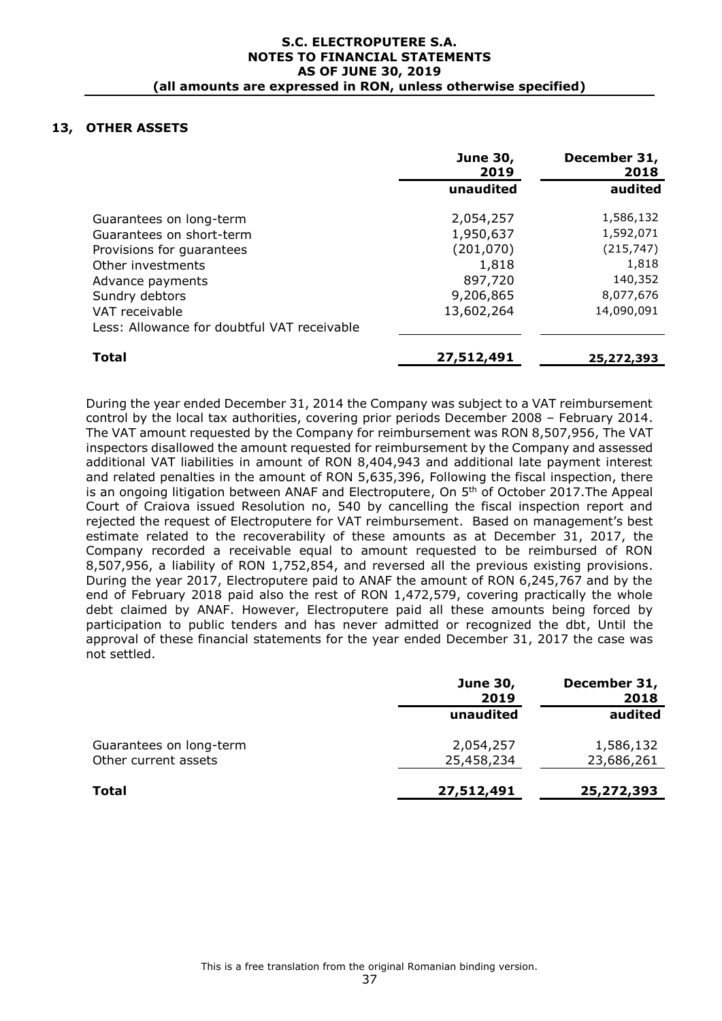### **13, OTHER ASSETS**

|                                             | <b>June 30,</b><br>2019 | December 31,<br>2018 |
|---------------------------------------------|-------------------------|----------------------|
|                                             | unaudited               | audited              |
| Guarantees on long-term                     | 2,054,257               | 1,586,132            |
| Guarantees on short-term                    | 1,950,637               | 1,592,071            |
| Provisions for quarantees                   | (201, 070)              | (215, 747)           |
| Other investments                           | 1,818                   | 1,818                |
| Advance payments                            | 897,720                 | 140,352              |
| Sundry debtors                              | 9,206,865               | 8,077,676            |
| VAT receivable                              | 13,602,264              | 14,090,091           |
| Less: Allowance for doubtful VAT receivable |                         |                      |
| <b>Total</b>                                | 27,512,491              | 25,272,393           |

During the year ended December 31, 2014 the Company was subject to a VAT reimbursement control by the local tax authorities, covering prior periods December 2008 – February 2014. The VAT amount requested by the Company for reimbursement was RON 8,507,956, The VAT inspectors disallowed the amount requested for reimbursement by the Company and assessed additional VAT liabilities in amount of RON 8,404,943 and additional late payment interest and related penalties in the amount of RON 5,635,396, Following the fiscal inspection, there is an ongoing litigation between ANAF and Electroputere, On 5<sup>th</sup> of October 2017. The Appeal Court of Craiova issued Resolution no, 540 by cancelling the fiscal inspection report and rejected the request of Electroputere for VAT reimbursement. Based on management's best estimate related to the recoverability of these amounts as at December 31, 2017, the Company recorded a receivable equal to amount requested to be reimbursed of RON 8,507,956, a liability of RON 1,752,854, and reversed all the previous existing provisions. During the year 2017, Electroputere paid to ANAF the amount of RON 6,245,767 and by the end of February 2018 paid also the rest of RON 1,472,579, covering practically the whole debt claimed by ANAF. However, Electroputere paid all these amounts being forced by participation to public tenders and has never admitted or recognized the dbt, Until the approval of these financial statements for the year ended December 31, 2017 the case was not settled.

|                         | <b>June 30,</b><br>2019 | December 31,<br>2018 |
|-------------------------|-------------------------|----------------------|
|                         | unaudited               | audited              |
| Guarantees on long-term | 2,054,257               | 1,586,132            |
| Other current assets    | 25,458,234              | 23,686,261           |
| <b>Total</b>            | 27,512,491              | 25,272,393           |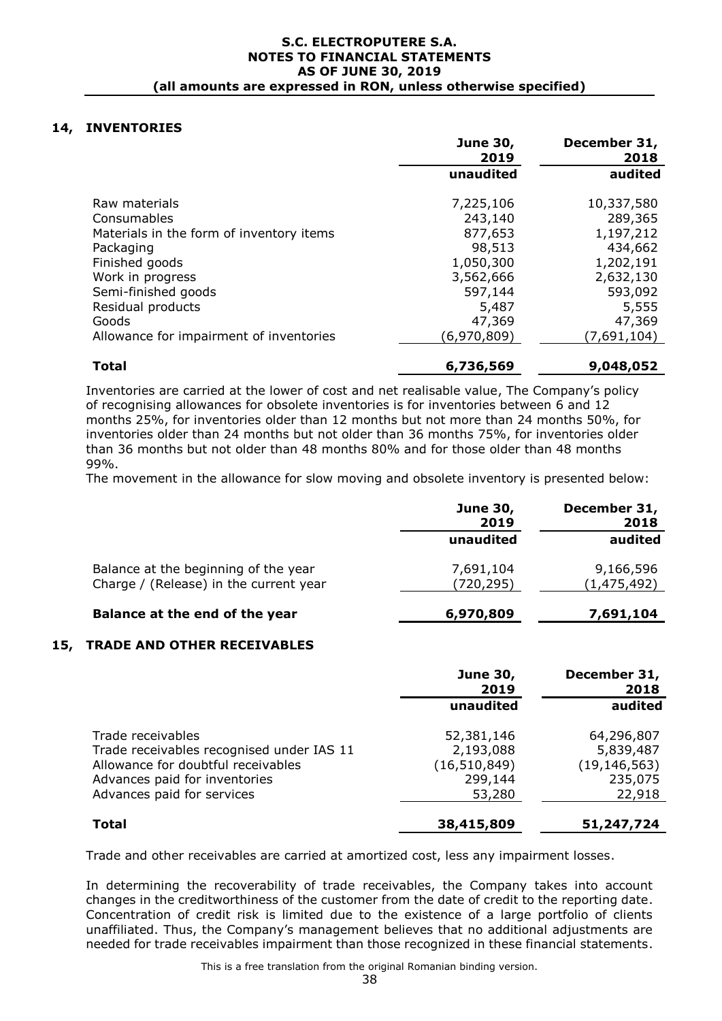### **14, INVENTORIES**

|                                          | <b>June 30,</b><br>2019 | December 31,<br>2018 |
|------------------------------------------|-------------------------|----------------------|
|                                          | unaudited               | audited              |
| Raw materials                            | 7,225,106               | 10,337,580           |
| Consumables                              | 243,140                 | 289,365              |
| Materials in the form of inventory items | 877,653                 | 1,197,212            |
| Packaging                                | 98,513                  | 434,662              |
| Finished goods                           | 1,050,300               | 1,202,191            |
| Work in progress                         | 3,562,666               | 2,632,130            |
| Semi-finished goods                      | 597,144                 | 593,092              |
| Residual products                        | 5,487                   | 5,555                |
| Goods                                    | 47,369                  | 47,369               |
| Allowance for impairment of inventories  | (6,970,809)             | (7,691,104)          |
| <b>Total</b>                             | 6,736,569               | 9,048,052            |

Inventories are carried at the lower of cost and net realisable value, The Company's policy of recognising allowances for obsolete inventories is for inventories between 6 and 12 months 25%, for inventories older than 12 months but not more than 24 months 50%, for inventories older than 24 months but not older than 36 months 75%, for inventories older than 36 months but not older than 48 months 80% and for those older than 48 months 99%.

The movement in the allowance for slow moving and obsolete inventory is presented below:

|                                                                                | <b>June 30,</b><br>2019 | December 31,<br>2018     |
|--------------------------------------------------------------------------------|-------------------------|--------------------------|
|                                                                                | unaudited               | audited                  |
| Balance at the beginning of the year<br>Charge / (Release) in the current year | 7,691,104<br>(720,295)  | 9,166,596<br>(1,475,492) |
| Balance at the end of the year                                                 | 6,970,809               | 7,691,104                |

#### **15, TRADE AND OTHER RECEIVABLES**

|                                                                                                                                                                     | <b>June 30,</b><br>2019                                        | December 31,<br>2018                                           |
|---------------------------------------------------------------------------------------------------------------------------------------------------------------------|----------------------------------------------------------------|----------------------------------------------------------------|
|                                                                                                                                                                     | unaudited                                                      | audited                                                        |
| Trade receivables<br>Trade receivables recognised under IAS 11<br>Allowance for doubtful receivables<br>Advances paid for inventories<br>Advances paid for services | 52,381,146<br>2,193,088<br>(16, 510, 849)<br>299,144<br>53,280 | 64,296,807<br>5,839,487<br>(19, 146, 563)<br>235,075<br>22,918 |
| <b>Total</b>                                                                                                                                                        | 38,415,809                                                     | 51,247,724                                                     |

Trade and other receivables are carried at amortized cost, less any impairment losses.

In determining the recoverability of trade receivables, the Company takes into account changes in the creditworthiness of the customer from the date of credit to the reporting date. Concentration of credit risk is limited due to the existence of a large portfolio of clients unaffiliated. Thus, the Company's management believes that no additional adjustments are needed for trade receivables impairment than those recognized in these financial statements.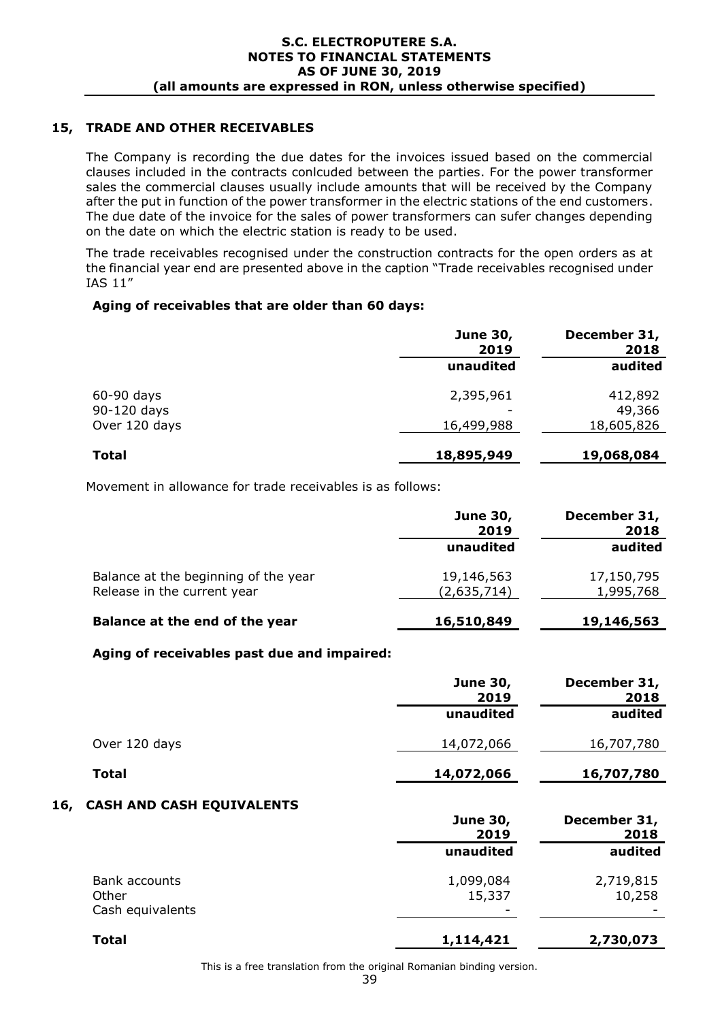# **15, TRADE AND OTHER RECEIVABLES**

The Company is recording the due dates for the invoices issued based on the commercial clauses included in the contracts conlcuded between the parties. For the power transformer sales the commercial clauses usually include amounts that will be received by the Company after the put in function of the power transformer in the electric stations of the end customers. The due date of the invoice for the sales of power transformers can sufer changes depending on the date on which the electric station is ready to be used.

The trade receivables recognised under the construction contracts for the open orders as at the financial year end are presented above in the caption "Trade receivables recognised under IAS 11"

### **Aging of receivables that are older than 60 days:**

|                                              | <b>June 30,</b><br>2019 | December 31,<br>2018            |
|----------------------------------------------|-------------------------|---------------------------------|
|                                              | unaudited               | audited                         |
| $60-90$ days<br>90-120 days<br>Over 120 days | 2,395,961<br>16,499,988 | 412,892<br>49,366<br>18,605,826 |
| <b>Total</b>                                 | 18,895,949              | 19,068,084                      |

Movement in allowance for trade receivables is as follows:

|                                      | <b>June 30,</b><br>2019 | December 31,<br>2018 |
|--------------------------------------|-------------------------|----------------------|
|                                      | unaudited               | audited              |
| Balance at the beginning of the year | 19,146,563              | 17,150,795           |
| Release in the current year          | (2,635,714)             | 1,995,768            |
| Balance at the end of the year       | 16,510,849              | 19,146,563           |

#### **Aging of receivables past due and impaired:**

|               | <b>June 30,</b><br>2019 | December 31,<br>2018 |
|---------------|-------------------------|----------------------|
|               | unaudited               | audited              |
| Over 120 days | 14,072,066              | 16,707,780           |
| <b>Total</b>  | 14,072,066              | 16,707,780           |
|               |                         |                      |

### **16, CASH AND CASH EQUIVALENTS**

|                                            | <b>June 30,</b><br>2019                         | December 31,<br>2018 |
|--------------------------------------------|-------------------------------------------------|----------------------|
|                                            | unaudited                                       | audited              |
| Bank accounts<br>Other<br>Cash equivalents | 1,099,084<br>15,337<br>$\overline{\phantom{a}}$ | 2,719,815<br>10,258  |
| <b>Total</b>                               | 1,114,421                                       | 2,730,073            |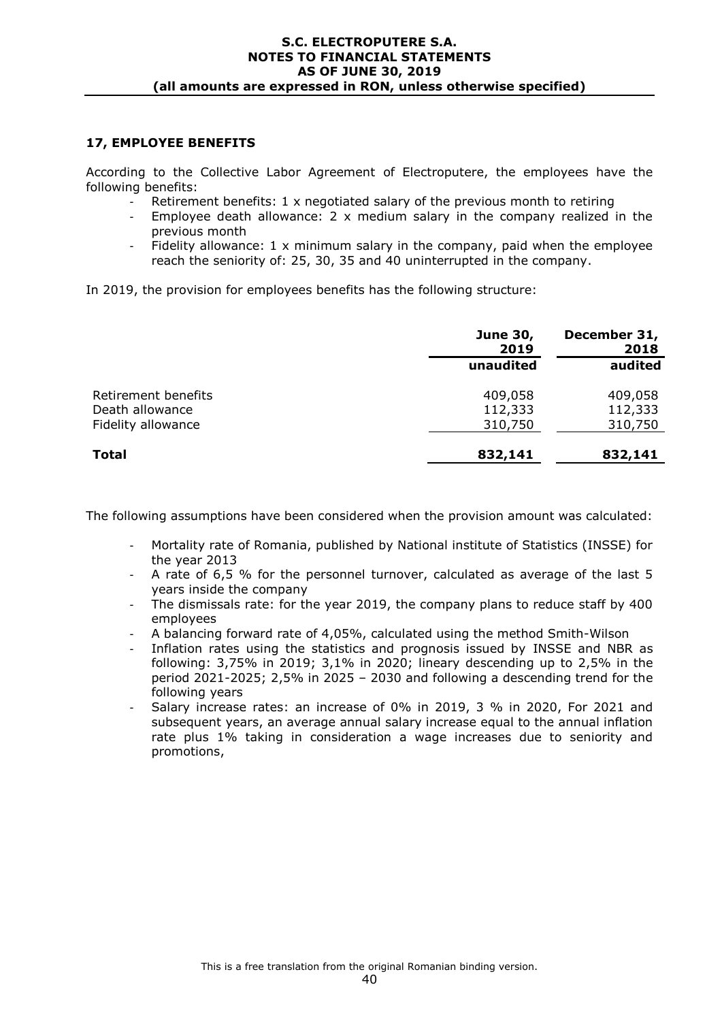### **17, EMPLOYEE BENEFITS**

According to the Collective Labor Agreement of Electroputere, the employees have the following benefits:

- Retirement benefits:  $1 \times$  negotiated salary of the previous month to retiring
- Employee death allowance: 2  $\times$  medium salary in the company realized in the previous month
- Fidelity allowance: 1 x minimum salary in the company, paid when the employee reach the seniority of: 25, 30, 35 and 40 uninterrupted in the company.

In 2019, the provision for employees benefits has the following structure:

|                     | <b>June 30,</b><br>2019 | December 31,<br>2018 |
|---------------------|-------------------------|----------------------|
|                     | unaudited               | audited              |
| Retirement benefits | 409,058                 | 409,058              |
| Death allowance     | 112,333                 | 112,333              |
| Fidelity allowance  | 310,750                 | 310,750              |
| <b>Total</b>        | 832,141                 | 832,141              |

The following assumptions have been considered when the provision amount was calculated:

- Mortality rate of Romania, published by National institute of Statistics (INSSE) for the year 2013
- A rate of 6,5 % for the personnel turnover, calculated as average of the last 5 years inside the company
- The dismissals rate: for the year 2019, the company plans to reduce staff by 400 employees
- A balancing forward rate of 4,05%, calculated using the method Smith-Wilson
- Inflation rates using the statistics and prognosis issued by INSSE and NBR as following: 3,75% in 2019; 3,1% in 2020; lineary descending up to 2,5% in the period 2021-2025; 2,5% in 2025 – 2030 and following a descending trend for the following years
- Salary increase rates: an increase of 0% in 2019, 3 % in 2020, For 2021 and subsequent years, an average annual salary increase equal to the annual inflation rate plus 1% taking in consideration a wage increases due to seniority and promotions,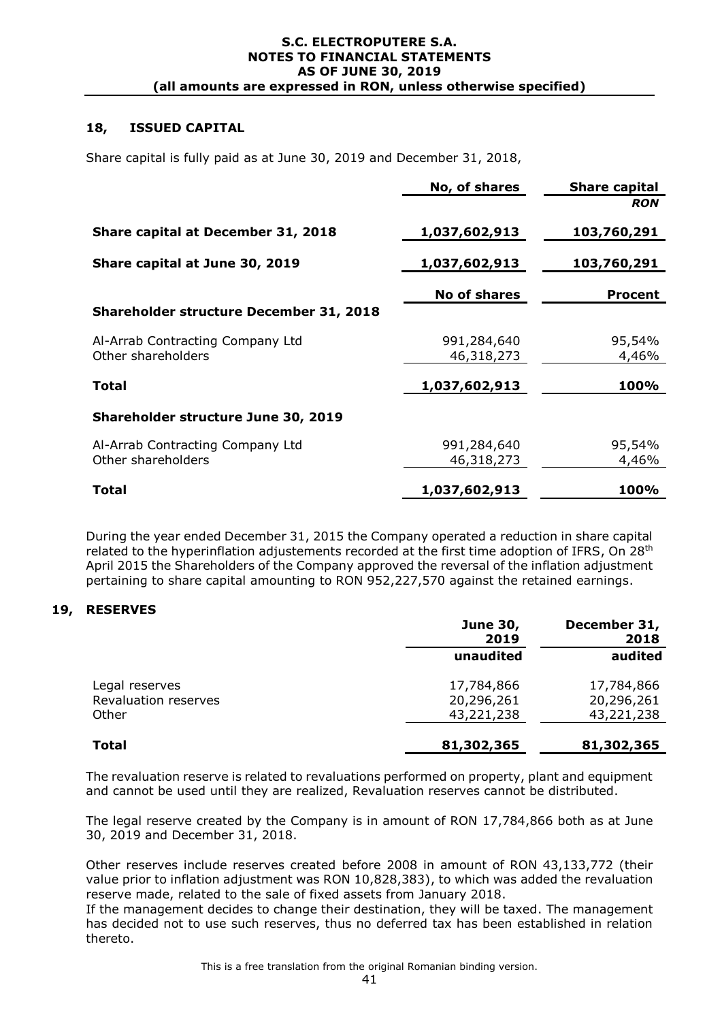### **18, ISSUED CAPITAL**

Share capital is fully paid as at June 30, 2019 and December 31, 2018,

|                                                | No, of shares       | <b>Share capital</b> |
|------------------------------------------------|---------------------|----------------------|
|                                                |                     | <b>RON</b>           |
| Share capital at December 31, 2018             | 1,037,602,913       | 103,760,291          |
| Share capital at June 30, 2019                 | 1,037,602,913       | 103,760,291          |
|                                                | <b>No of shares</b> | <b>Procent</b>       |
| <b>Shareholder structure December 31, 2018</b> |                     |                      |
| Al-Arrab Contracting Company Ltd               | 991,284,640         | 95,54%               |
| Other shareholders                             | 46,318,273          | 4,46%                |
| Total                                          | 1,037,602,913       | 100%                 |
| Shareholder structure June 30, 2019            |                     |                      |
| Al-Arrab Contracting Company Ltd               | 991,284,640         | 95,54%               |
| Other shareholders                             | 46,318,273          | 4,46%                |
| Total                                          | 1,037,602,913       | 100%                 |

During the year ended December 31, 2015 the Company operated a reduction in share capital related to the hyperinflation adjustements recorded at the first time adoption of IFRS, On 28<sup>th</sup> April 2015 the Shareholders of the Company approved the reversal of the inflation adjustment pertaining to share capital amounting to RON 952,227,570 against the retained earnings.

#### **19, RESERVES**

|                                                 | <b>June 30,</b><br>2019                | December 31,<br>2018                   |
|-------------------------------------------------|----------------------------------------|----------------------------------------|
|                                                 | unaudited                              | audited                                |
| Legal reserves<br>Revaluation reserves<br>Other | 17,784,866<br>20,296,261<br>43,221,238 | 17,784,866<br>20,296,261<br>43,221,238 |
| <b>Total</b>                                    | 81,302,365                             | 81,302,365                             |

The revaluation reserve is related to revaluations performed on property, plant and equipment and cannot be used until they are realized, Revaluation reserves cannot be distributed.

The legal reserve created by the Company is in amount of RON 17,784,866 both as at June 30, 2019 and December 31, 2018.

Other reserves include reserves created before 2008 in amount of RON 43,133,772 (their value prior to inflation adjustment was RON 10,828,383), to which was added the revaluation reserve made, related to the sale of fixed assets from January 2018.

If the management decides to change their destination, they will be taxed. The management has decided not to use such reserves, thus no deferred tax has been established in relation thereto.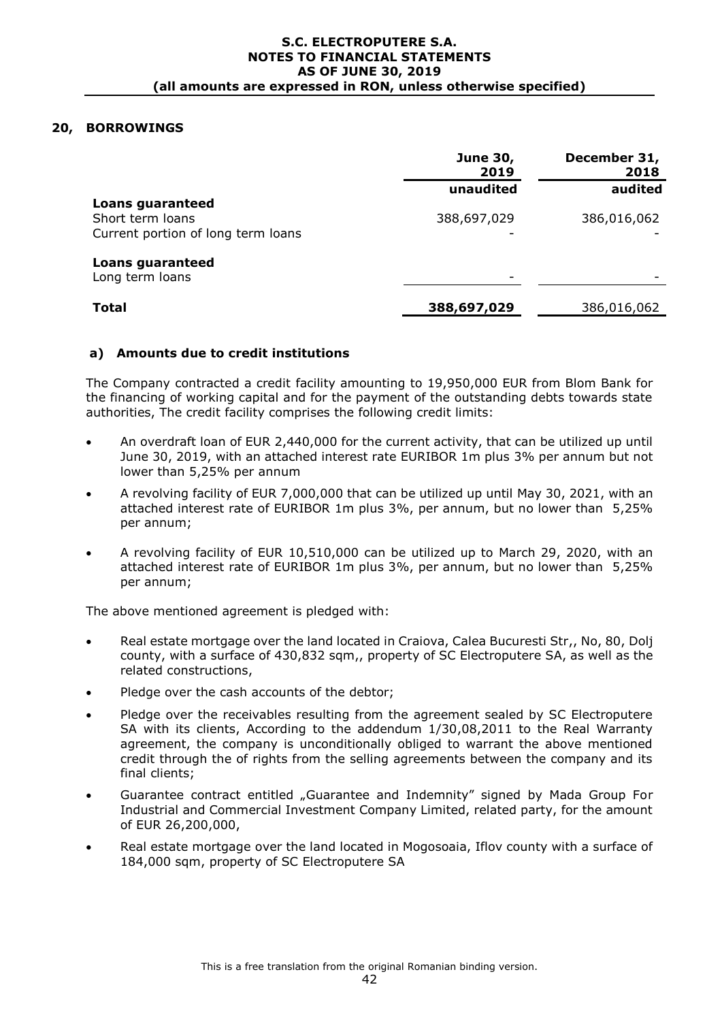### **20, BORROWINGS**

|                                                                            | <b>June 30,</b><br>2019 | December 31,<br>2018 |
|----------------------------------------------------------------------------|-------------------------|----------------------|
|                                                                            | unaudited               | audited              |
| Loans guaranteed<br>Short term loans<br>Current portion of long term loans | 388,697,029             | 386,016,062          |
| <b>Loans guaranteed</b><br>Long term loans                                 |                         |                      |
| <b>Total</b>                                                               | 388,697,029             | 386,016,062          |

#### **a) Amounts due to credit institutions**

The Company contracted a credit facility amounting to 19,950,000 EUR from Blom Bank for the financing of working capital and for the payment of the outstanding debts towards state authorities, The credit facility comprises the following credit limits:

- An overdraft loan of EUR 2,440,000 for the current activity, that can be utilized up until June 30, 2019, with an attached interest rate EURIBOR 1m plus 3% per annum but not lower than 5,25% per annum
- A revolving facility of EUR 7,000,000 that can be utilized up until May 30, 2021, with an attached interest rate of EURIBOR 1m plus 3%, per annum, but no lower than 5,25% per annum;
- A revolving facility of EUR 10,510,000 can be utilized up to March 29, 2020, with an attached interest rate of EURIBOR 1m plus 3%, per annum, but no lower than 5,25% per annum;

The above mentioned agreement is pledged with:

- Real estate mortgage over the land located in Craiova, Calea Bucuresti Str,, No, 80, Dolj county, with a surface of 430,832 sqm,, property of SC Electroputere SA, as well as the related constructions,
- Pledge over the cash accounts of the debtor;
- Pledge over the receivables resulting from the agreement sealed by SC Electroputere SA with its clients, According to the addendum 1/30,08,2011 to the Real Warranty agreement, the company is unconditionally obliged to warrant the above mentioned credit through the of rights from the selling agreements between the company and its final clients;
- Guarantee contract entitled "Guarantee and Indemnity" signed by Mada Group For Industrial and Commercial Investment Company Limited, related party, for the amount of EUR 26,200,000,
- Real estate mortgage over the land located in Mogosoaia, Iflov county with a surface of 184,000 sqm, property of SC Electroputere SA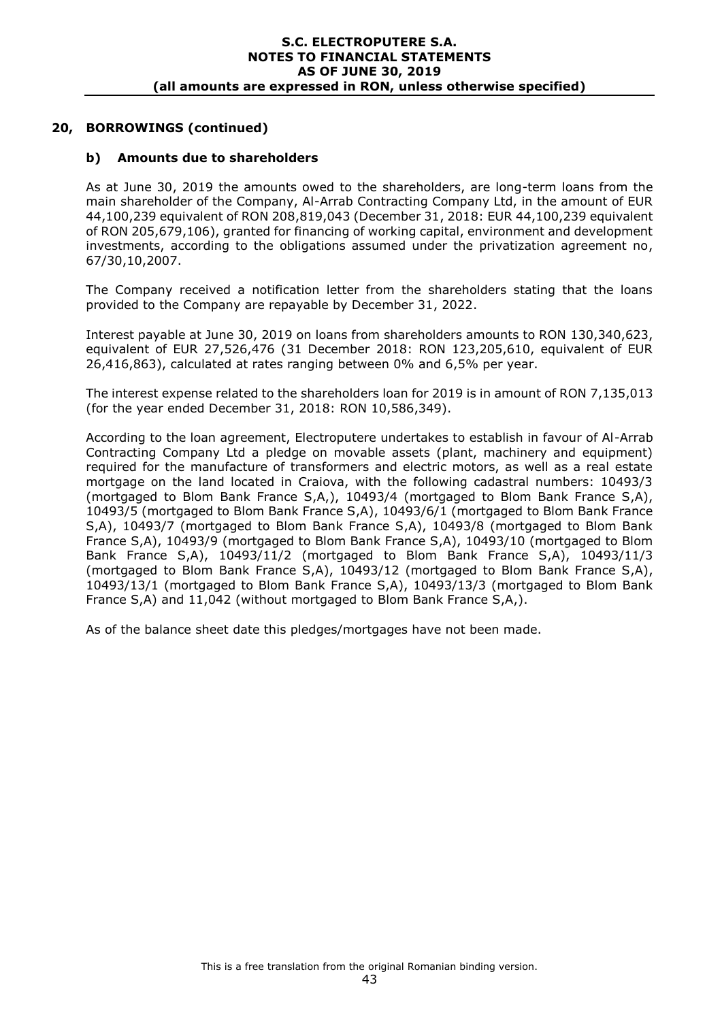# **20, BORROWINGS (continued)**

### **b) Amounts due to shareholders**

As at June 30, 2019 the amounts owed to the shareholders, are long-term loans from the main shareholder of the Company, Al-Arrab Contracting Company Ltd, in the amount of EUR 44,100,239 equivalent of RON 208,819,043 (December 31, 2018: EUR 44,100,239 equivalent of RON 205,679,106), granted for financing of working capital, environment and development investments, according to the obligations assumed under the privatization agreement no, 67/30,10,2007.

The Company received a notification letter from the shareholders stating that the loans provided to the Company are repayable by December 31, 2022.

Interest payable at June 30, 2019 on loans from shareholders amounts to RON 130,340,623, equivalent of EUR 27,526,476 (31 December 2018: RON 123,205,610, equivalent of EUR 26,416,863), calculated at rates ranging between 0% and 6,5% per year.

The interest expense related to the shareholders loan for 2019 is in amount of RON 7,135,013 (for the year ended December 31, 2018: RON 10,586,349).

According to the loan agreement, Electroputere undertakes to establish in favour of Al-Arrab Contracting Company Ltd a pledge on movable assets (plant, machinery and equipment) required for the manufacture of transformers and electric motors, as well as a real estate mortgage on the land located in Craiova, with the following cadastral numbers: 10493/3 (mortgaged to Blom Bank France S,A,), 10493/4 (mortgaged to Blom Bank France S,A), 10493/5 (mortgaged to Blom Bank France S,A), 10493/6/1 (mortgaged to Blom Bank France S,A), 10493/7 (mortgaged to Blom Bank France S,A), 10493/8 (mortgaged to Blom Bank France S,A), 10493/9 (mortgaged to Blom Bank France S,A), 10493/10 (mortgaged to Blom Bank France S,A), 10493/11/2 (mortgaged to Blom Bank France S,A), 10493/11/3 (mortgaged to Blom Bank France S,A), 10493/12 (mortgaged to Blom Bank France S,A), 10493/13/1 (mortgaged to Blom Bank France S,A), 10493/13/3 (mortgaged to Blom Bank France S,A) and 11,042 (without mortgaged to Blom Bank France S,A,).

As of the balance sheet date this pledges/mortgages have not been made.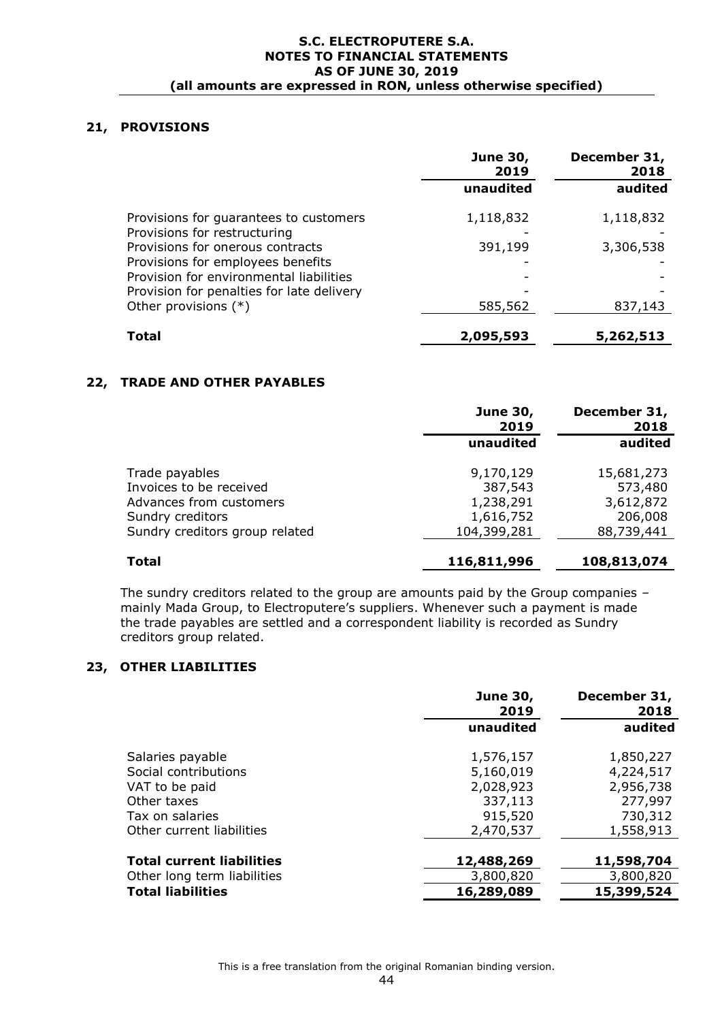## **21, PROVISIONS**

|                                                                                      | <b>June 30,</b><br>2019 | December 31,<br>2018 |  |
|--------------------------------------------------------------------------------------|-------------------------|----------------------|--|
|                                                                                      | unaudited               | audited              |  |
| Provisions for guarantees to customers<br>Provisions for restructuring               | 1,118,832               | 1,118,832            |  |
| Provisions for onerous contracts<br>Provisions for employees benefits                | 391,199                 | 3,306,538            |  |
| Provision for environmental liabilities<br>Provision for penalties for late delivery |                         |                      |  |
| Other provisions $(*)$                                                               | 585,562                 | 837,143              |  |
| Total                                                                                | 2,095,593               | 5,262,513            |  |

### **22, TRADE AND OTHER PAYABLES**

|                                                    | <b>June 30,</b><br>2019  | December 31,<br>2018  |  |
|----------------------------------------------------|--------------------------|-----------------------|--|
|                                                    | unaudited                | audited               |  |
| Trade payables<br>Invoices to be received          | 9,170,129<br>387,543     | 15,681,273<br>573,480 |  |
| Advances from customers                            | 1,238,291                | 3,612,872             |  |
| Sundry creditors<br>Sundry creditors group related | 1,616,752<br>104,399,281 | 206,008<br>88,739,441 |  |
| <b>Total</b>                                       | 116,811,996              | 108,813,074           |  |

The sundry creditors related to the group are amounts paid by the Group companies – mainly Mada Group, to Electroputere's suppliers. Whenever such a payment is made the trade payables are settled and a correspondent liability is recorded as Sundry creditors group related.

### **23, OTHER LIABILITIES**

|                                        | <b>June 30,</b><br>2019 | December 31,<br>2018   |
|----------------------------------------|-------------------------|------------------------|
|                                        | unaudited               | audited                |
| Salaries payable                       | 1,576,157               | 1,850,227              |
| Social contributions<br>VAT to be paid | 5,160,019<br>2,028,923  | 4,224,517<br>2,956,738 |
| Other taxes<br>Tax on salaries         | 337,113<br>915,520      | 277,997<br>730,312     |
| Other current liabilities              | 2,470,537               | 1,558,913              |
| <b>Total current liabilities</b>       | 12,488,269              | 11,598,704             |
| Other long term liabilities            | 3,800,820               | 3,800,820              |
| <b>Total liabilities</b>               | 16,289,089              | 15,399,524             |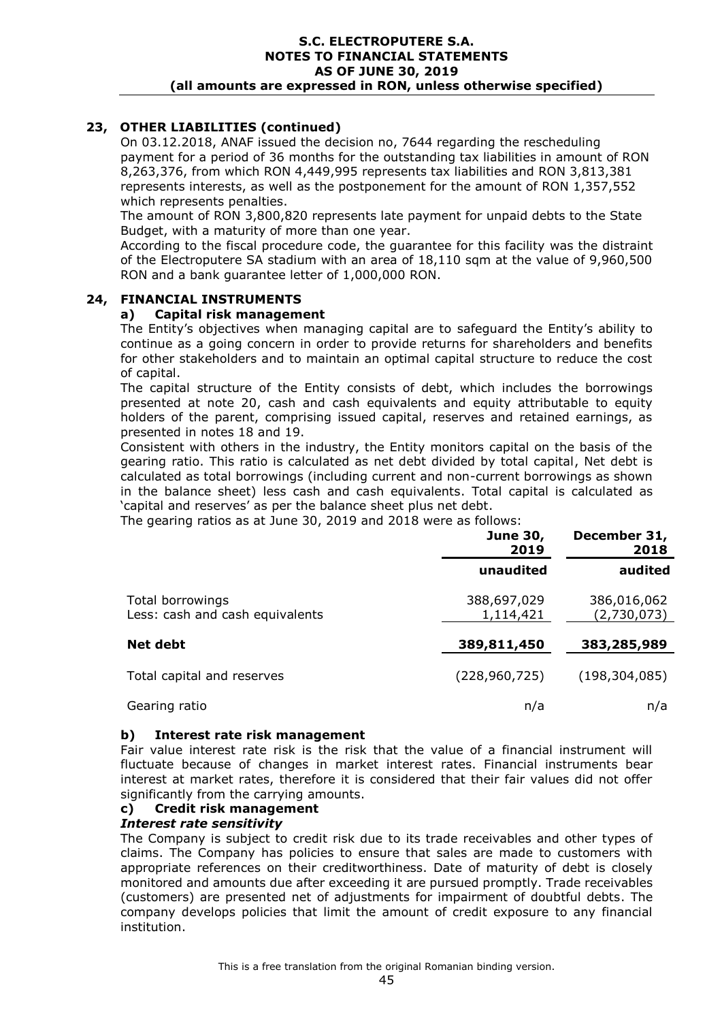# **23, OTHER LIABILITIES (continued)**

On 03.12.2018, ANAF issued the decision no, 7644 regarding the rescheduling payment for a period of 36 months for the outstanding tax liabilities in amount of RON 8,263,376, from which RON 4,449,995 represents tax liabilities and RON 3,813,381 represents interests, as well as the postponement for the amount of RON 1,357,552 which represents penalties.

The amount of RON 3,800,820 represents late payment for unpaid debts to the State Budget, with a maturity of more than one year.

According to the fiscal procedure code, the guarantee for this facility was the distraint of the Electroputere SA stadium with an area of 18,110 sqm at the value of 9,960,500 RON and a bank guarantee letter of 1,000,000 RON.

### **24, FINANCIAL INSTRUMENTS**

### **a) Capital risk management**

The Entity's objectives when managing capital are to safeguard the Entity's ability to continue as a going concern in order to provide returns for shareholders and benefits for other stakeholders and to maintain an optimal capital structure to reduce the cost of capital.

The capital structure of the Entity consists of debt, which includes the borrowings presented at note 20, cash and cash equivalents and equity attributable to equity holders of the parent, comprising issued capital, reserves and retained earnings, as presented in notes 18 and 19.

Consistent with others in the industry, the Entity monitors capital on the basis of the gearing ratio. This ratio is calculated as net debt divided by total capital, Net debt is calculated as total borrowings (including current and non-current borrowings as shown in the balance sheet) less cash and cash equivalents. Total capital is calculated as 'capital and reserves' as per the balance sheet plus net debt.

The gearing ratios as at June 30, 2019 and 2018 were as follows:

|                                                     | <b>June 30,</b><br>2019  | December 31,<br>2018       |  |
|-----------------------------------------------------|--------------------------|----------------------------|--|
|                                                     | unaudited                | audited                    |  |
| Total borrowings<br>Less: cash and cash equivalents | 388,697,029<br>1,114,421 | 386,016,062<br>(2,730,073) |  |
| <b>Net debt</b>                                     | 389,811,450              | 383,285,989                |  |
| Total capital and reserves                          | (228, 960, 725)          | (198, 304, 085)            |  |
| Gearing ratio                                       | n/a                      | n/a                        |  |

#### **b) Interest rate risk management**

Fair value interest rate risk is the risk that the value of a financial instrument will fluctuate because of changes in market interest rates. Financial instruments bear interest at market rates, therefore it is considered that their fair values did not offer significantly from the carrying amounts.

#### **c) Credit risk management**

#### *Interest rate sensitivity*

The Company is subject to credit risk due to its trade receivables and other types of claims. The Company has policies to ensure that sales are made to customers with appropriate references on their creditworthiness. Date of maturity of debt is closely monitored and amounts due after exceeding it are pursued promptly. Trade receivables (customers) are presented net of adjustments for impairment of doubtful debts. The company develops policies that limit the amount of credit exposure to any financial institution.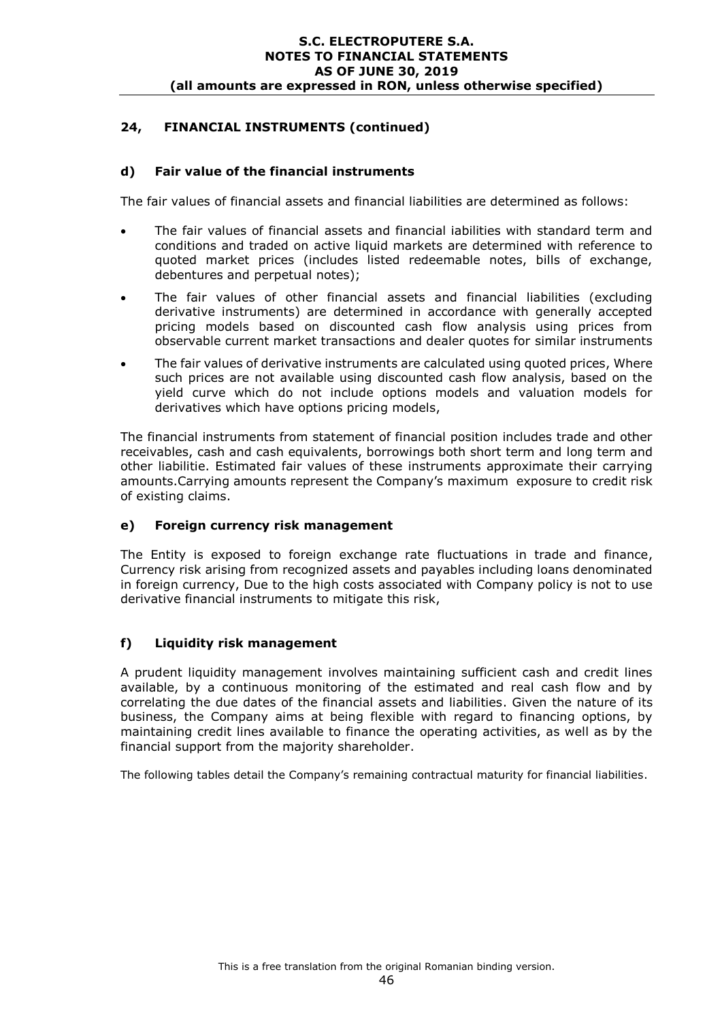# **24, FINANCIAL INSTRUMENTS (continued)**

### **d) Fair value of the financial instruments**

The fair values of financial assets and financial liabilities are determined as follows:

- The fair values of financial assets and financial iabilities with standard term and conditions and traded on active liquid markets are determined with reference to quoted market prices (includes listed redeemable notes, bills of exchange, debentures and perpetual notes);
- The fair values of other financial assets and financial liabilities (excluding derivative instruments) are determined in accordance with generally accepted pricing models based on discounted cash flow analysis using prices from observable current market transactions and dealer quotes for similar instruments
- The fair values of derivative instruments are calculated using quoted prices, Where such prices are not available using discounted cash flow analysis, based on the yield curve which do not include options models and valuation models for derivatives which have options pricing models,

The financial instruments from statement of financial position includes trade and other receivables, cash and cash equivalents, borrowings both short term and long term and other liabilitie. Estimated fair values of these instruments approximate their carrying amounts.Carrying amounts represent the Company's maximum exposure to credit risk of existing claims.

### **e) Foreign currency risk management**

The Entity is exposed to foreign exchange rate fluctuations in trade and finance, Currency risk arising from recognized assets and payables including loans denominated in foreign currency, Due to the high costs associated with Company policy is not to use derivative financial instruments to mitigate this risk,

### **f) Liquidity risk management**

A prudent liquidity management involves maintaining sufficient cash and credit lines available, by a continuous monitoring of the estimated and real cash flow and by correlating the due dates of the financial assets and liabilities. Given the nature of its business, the Company aims at being flexible with regard to financing options, by maintaining credit lines available to finance the operating activities, as well as by the financial support from the majority shareholder.

The following tables detail the Company's remaining contractual maturity for financial liabilities.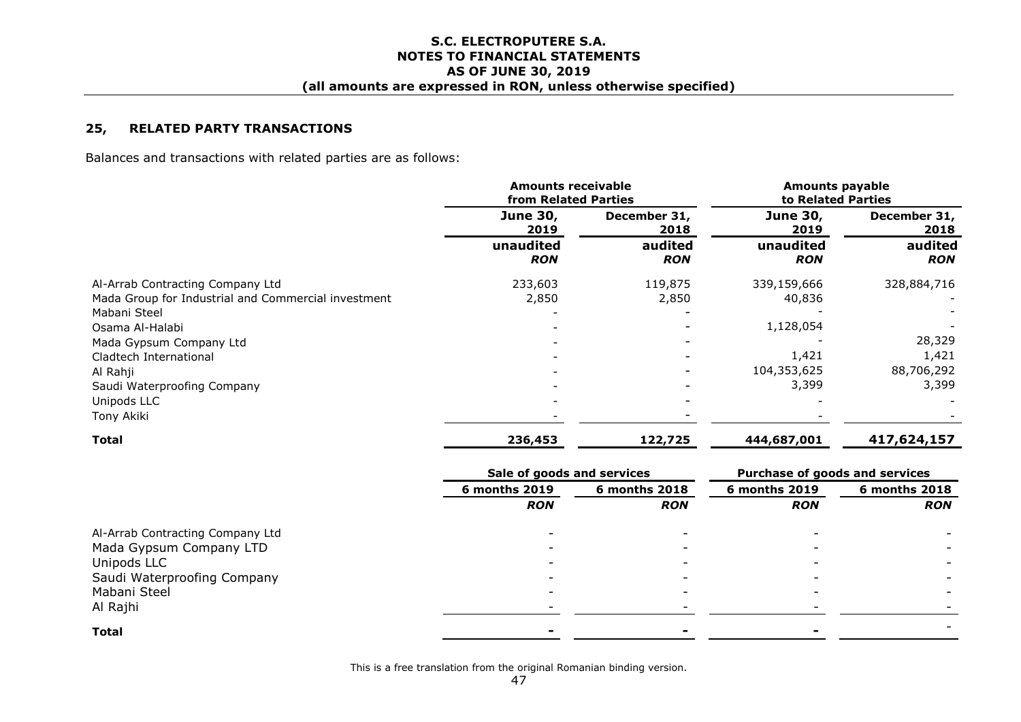#### **25, RELATED PARTY TRANSACTIONS**

Balances and transactions with related parties are as follows:

|                                                     | <b>Amounts receivable</b><br>from Related Parties |                       | <b>Amounts payable</b><br>to Related Parties |                       |
|-----------------------------------------------------|---------------------------------------------------|-----------------------|----------------------------------------------|-----------------------|
|                                                     | <b>June 30,</b><br>2019                           | December 31,<br>2018  | <b>June 30,</b><br>2019                      | December 31,<br>2018  |
|                                                     | unaudited<br><b>RON</b>                           | audited<br><b>RON</b> | unaudited<br><b>RON</b>                      | audited<br><b>RON</b> |
| Al-Arrab Contracting Company Ltd                    | 233,603                                           | 119,875               | 339,159,666                                  | 328,884,716           |
| Mada Group for Industrial and Commercial investment | 2,850                                             | 2,850                 | 40,836                                       |                       |
| Mabani Steel                                        |                                                   |                       |                                              |                       |
| Osama Al-Halabi                                     |                                                   |                       | 1,128,054                                    |                       |
| Mada Gypsum Company Ltd                             |                                                   |                       |                                              | 28,329                |
| Cladtech International                              |                                                   |                       | 1,421                                        | 1,421                 |
| Al Rahji                                            |                                                   |                       | 104,353,625                                  | 88,706,292            |
| Saudi Waterproofing Company                         |                                                   |                       | 3,399                                        | 3,399                 |
| Unipods LLC                                         |                                                   |                       |                                              |                       |
| Tony Akiki                                          |                                                   |                       |                                              |                       |
| Total                                               | 236,453                                           | 122,725               | 444,687,001                                  | 417,624,157           |

|                                  | Sale of goods and services |               | Purchase of goods and services |               |
|----------------------------------|----------------------------|---------------|--------------------------------|---------------|
|                                  | <b>6 months 2019</b>       | 6 months 2018 | 6 months 2019                  | 6 months 2018 |
|                                  | <b>RON</b>                 | <b>RON</b>    | <b>RON</b>                     | <b>RON</b>    |
| Al-Arrab Contracting Company Ltd |                            |               |                                |               |
| Mada Gypsum Company LTD          |                            |               |                                |               |
| Unipods LLC                      |                            |               |                                |               |
| Saudi Waterproofing Company      |                            |               |                                |               |
| Mabani Steel                     |                            |               |                                |               |
| Al Rajhi                         |                            |               |                                |               |
| <b>Total</b>                     |                            |               |                                |               |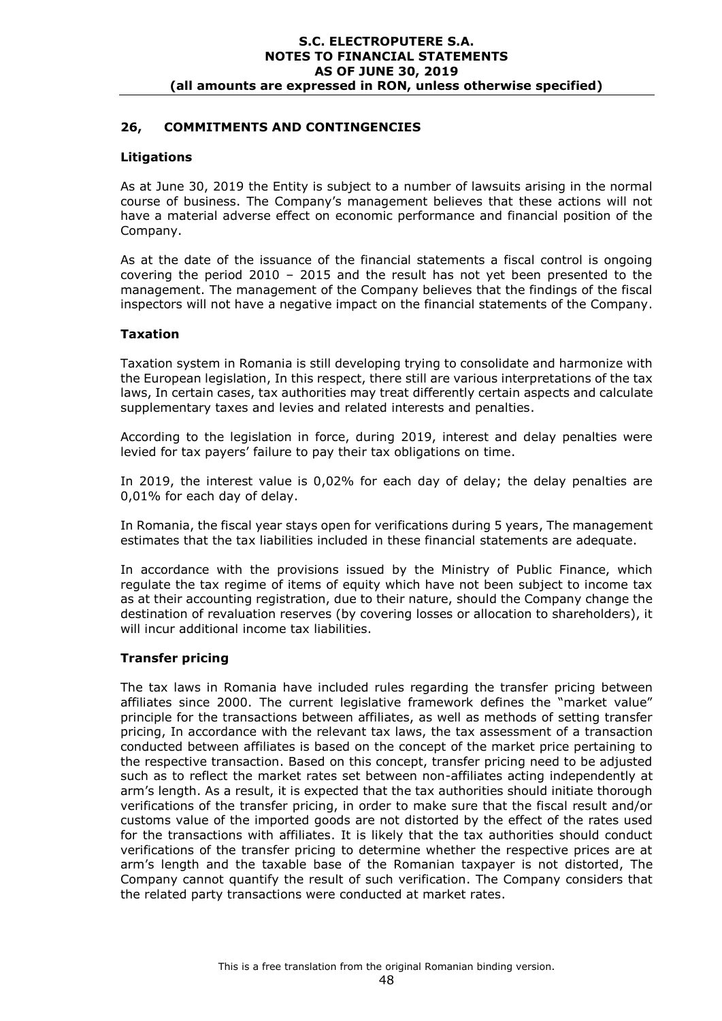### **26, COMMITMENTS AND CONTINGENCIES**

### **Litigations**

As at June 30, 2019 the Entity is subject to a number of lawsuits arising in the normal course of business. The Company's management believes that these actions will not have a material adverse effect on economic performance and financial position of the Company.

As at the date of the issuance of the financial statements a fiscal control is ongoing covering the period 2010 – 2015 and the result has not yet been presented to the management. The management of the Company believes that the findings of the fiscal inspectors will not have a negative impact on the financial statements of the Company.

### **Taxation**

Taxation system in Romania is still developing trying to consolidate and harmonize with the European legislation, In this respect, there still are various interpretations of the tax laws, In certain cases, tax authorities may treat differently certain aspects and calculate supplementary taxes and levies and related interests and penalties.

According to the legislation in force, during 2019, interest and delay penalties were levied for tax payers' failure to pay their tax obligations on time.

In 2019, the interest value is 0,02% for each day of delay; the delay penalties are 0,01% for each day of delay.

In Romania, the fiscal year stays open for verifications during 5 years, The management estimates that the tax liabilities included in these financial statements are adequate.

In accordance with the provisions issued by the Ministry of Public Finance, which regulate the tax regime of items of equity which have not been subject to income tax as at their accounting registration, due to their nature, should the Company change the destination of revaluation reserves (by covering losses or allocation to shareholders), it will incur additional income tax liabilities.

#### **Transfer pricing**

The tax laws in Romania have included rules regarding the transfer pricing between affiliates since 2000. The current legislative framework defines the "market value" principle for the transactions between affiliates, as well as methods of setting transfer pricing, In accordance with the relevant tax laws, the tax assessment of a transaction conducted between affiliates is based on the concept of the market price pertaining to the respective transaction. Based on this concept, transfer pricing need to be adjusted such as to reflect the market rates set between non-affiliates acting independently at arm's length. As a result, it is expected that the tax authorities should initiate thorough verifications of the transfer pricing, in order to make sure that the fiscal result and/or customs value of the imported goods are not distorted by the effect of the rates used for the transactions with affiliates. It is likely that the tax authorities should conduct verifications of the transfer pricing to determine whether the respective prices are at arm's length and the taxable base of the Romanian taxpayer is not distorted, The Company cannot quantify the result of such verification. The Company considers that the related party transactions were conducted at market rates.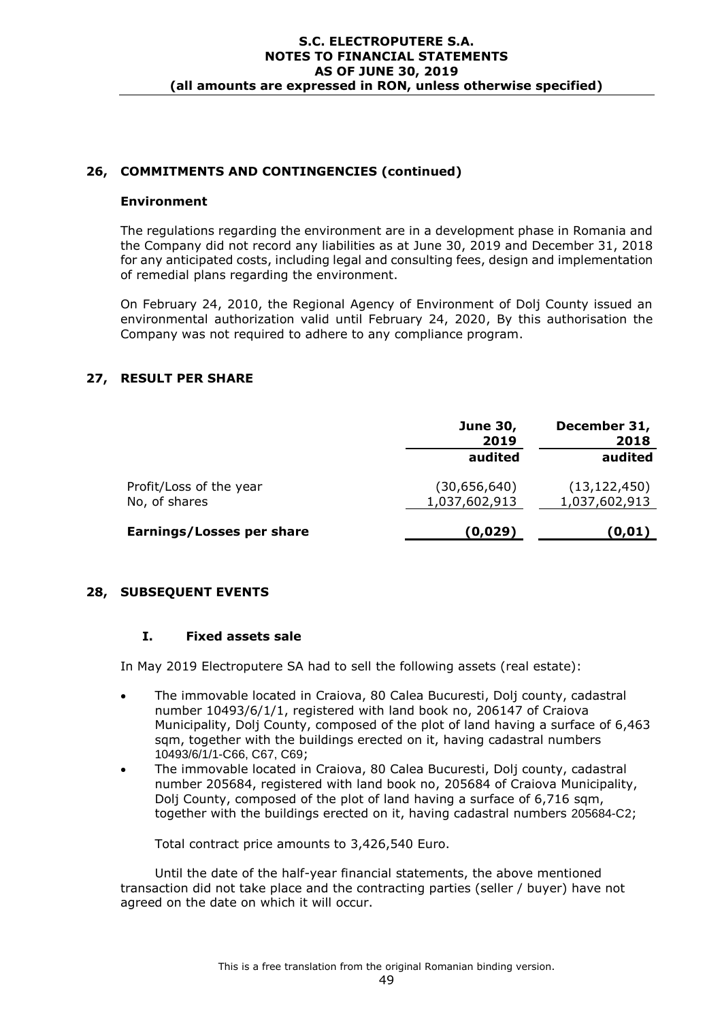### **26, COMMITMENTS AND CONTINGENCIES (continued)**

#### **Environment**

The regulations regarding the environment are in a development phase in Romania and the Company did not record any liabilities as at June 30, 2019 and December 31, 2018 for any anticipated costs, including legal and consulting fees, design and implementation of remedial plans regarding the environment.

On February 24, 2010, the Regional Agency of Environment of Dolj County issued an environmental authorization valid until February 24, 2020, By this authorisation the Company was not required to adhere to any compliance program.

### **27, RESULT PER SHARE**

|                                          | <b>June 30,</b><br>2019       | December 31,<br>2018            |
|------------------------------------------|-------------------------------|---------------------------------|
|                                          | audited                       | audited                         |
| Profit/Loss of the year<br>No, of shares | (30,656,640)<br>1,037,602,913 | (13, 122, 450)<br>1,037,602,913 |
| Earnings/Losses per share                | (0,029)                       | (0, 01)                         |

#### **28, SUBSEQUENT EVENTS**

#### **I. Fixed assets sale**

In May 2019 Electroputere SA had to sell the following assets (real estate):

- The immovable located in Craiova, 80 Calea Bucuresti, Dolj county, cadastral number 10493/6/1/1, registered with land book no, 206147 of Craiova Municipality, Dolj County, composed of the plot of land having a surface of 6,463 sqm, together with the buildings erected on it, having cadastral numbers 10493/6/1/1-C66, C67, C69;
- The immovable located in Craiova, 80 Calea Bucuresti, Dolj county, cadastral number 205684, registered with land book no, 205684 of Craiova Municipality, Dolj County, composed of the plot of land having a surface of 6,716 sqm, together with the buildings erected on it, having cadastral numbers 205684-C2;

Total contract price amounts to 3,426,540 Euro.

Until the date of the half-year financial statements, the above mentioned transaction did not take place and the contracting parties (seller / buyer) have not agreed on the date on which it will occur.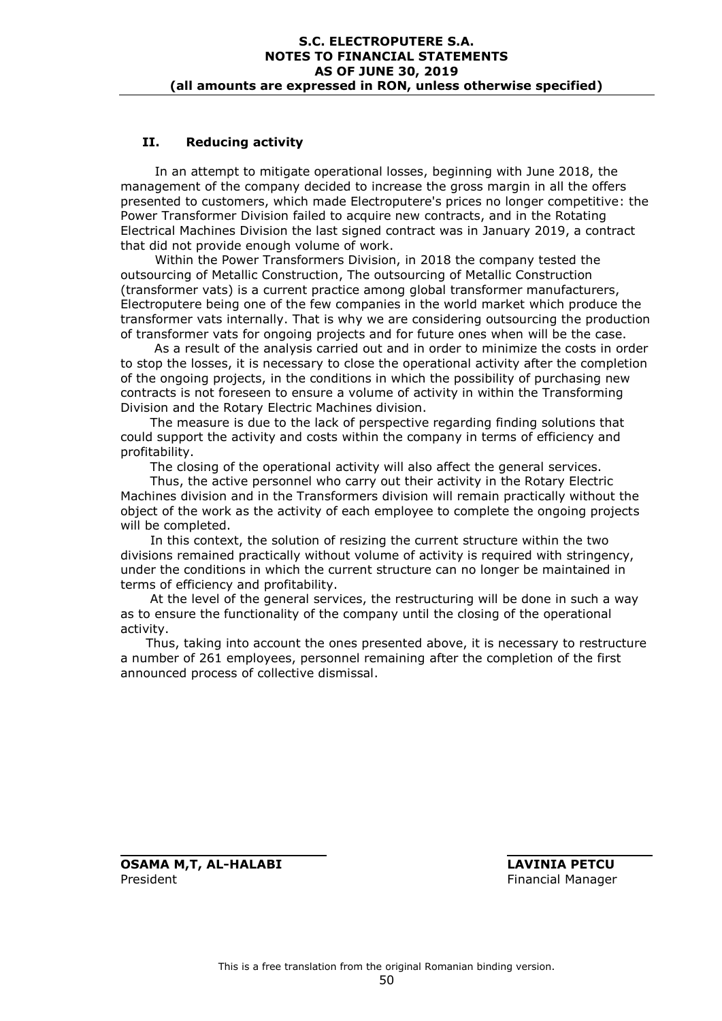### **II. Reducing activity**

In an attempt to mitigate operational losses, beginning with June 2018, the management of the company decided to increase the gross margin in all the offers presented to customers, which made Electroputere's prices no longer competitive: the Power Transformer Division failed to acquire new contracts, and in the Rotating Electrical Machines Division the last signed contract was in January 2019, a contract that did not provide enough volume of work.

Within the Power Transformers Division, in 2018 the company tested the outsourcing of Metallic Construction, The outsourcing of Metallic Construction (transformer vats) is a current practice among global transformer manufacturers, Electroputere being one of the few companies in the world market which produce the transformer vats internally. That is why we are considering outsourcing the production of transformer vats for ongoing projects and for future ones when will be the case.

 As a result of the analysis carried out and in order to minimize the costs in order to stop the losses, it is necessary to close the operational activity after the completion of the ongoing projects, in the conditions in which the possibility of purchasing new contracts is not foreseen to ensure a volume of activity in within the Transforming Division and the Rotary Electric Machines division.

 The measure is due to the lack of perspective regarding finding solutions that could support the activity and costs within the company in terms of efficiency and profitability.

The closing of the operational activity will also affect the general services.

 Thus, the active personnel who carry out their activity in the Rotary Electric Machines division and in the Transformers division will remain practically without the object of the work as the activity of each employee to complete the ongoing projects will be completed.

 In this context, the solution of resizing the current structure within the two divisions remained practically without volume of activity is required with stringency, under the conditions in which the current structure can no longer be maintained in terms of efficiency and profitability.

 At the level of the general services, the restructuring will be done in such a way as to ensure the functionality of the company until the closing of the operational activity.

 Thus, taking into account the ones presented above, it is necessary to restructure a number of 261 employees, personnel remaining after the completion of the first announced process of collective dismissal.

**OSAMA M,T, AL-HALABI LAVINIA PETCU** President **Financial Manager Financial Manager**